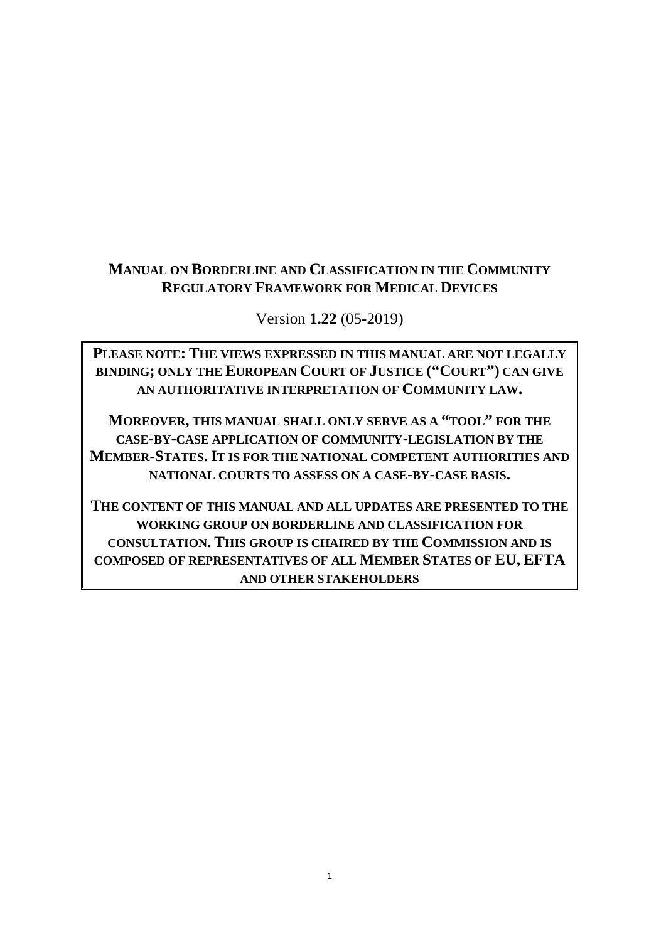# **MANUAL ON BORDERLINE AND CLASSIFICATION IN THE COMMUNITY REGULATORY FRAMEWORK FOR MEDICAL DEVICES**

Version **1.22** (05-2019)

**PLEASE NOTE: THE VIEWS EXPRESSED IN THIS MANUAL ARE NOT LEGALLY BINDING; ONLY THE EUROPEAN COURT OF JUSTICE ("COURT") CAN GIVE AN AUTHORITATIVE INTERPRETATION OF COMMUNITY LAW.**

**MOREOVER, THIS MANUAL SHALL ONLY SERVE AS A "TOOL" FOR THE CASE-BY-CASE APPLICATION OF COMMUNITY-LEGISLATION BY THE MEMBER-STATES.IT IS FOR THE NATIONAL COMPETENT AUTHORITIES AND NATIONAL COURTS TO ASSESS ON A CASE-BY-CASE BASIS.**

**THE CONTENT OF THIS MANUAL AND ALL UPDATES ARE PRESENTED TO THE WORKING GROUP ON BORDERLINE AND CLASSIFICATION FOR CONSULTATION. THIS GROUP IS CHAIRED BY THE COMMISSION AND IS COMPOSED OF REPRESENTATIVES OF ALL MEMBER STATES OF EU, EFTA AND OTHER STAKEHOLDERS**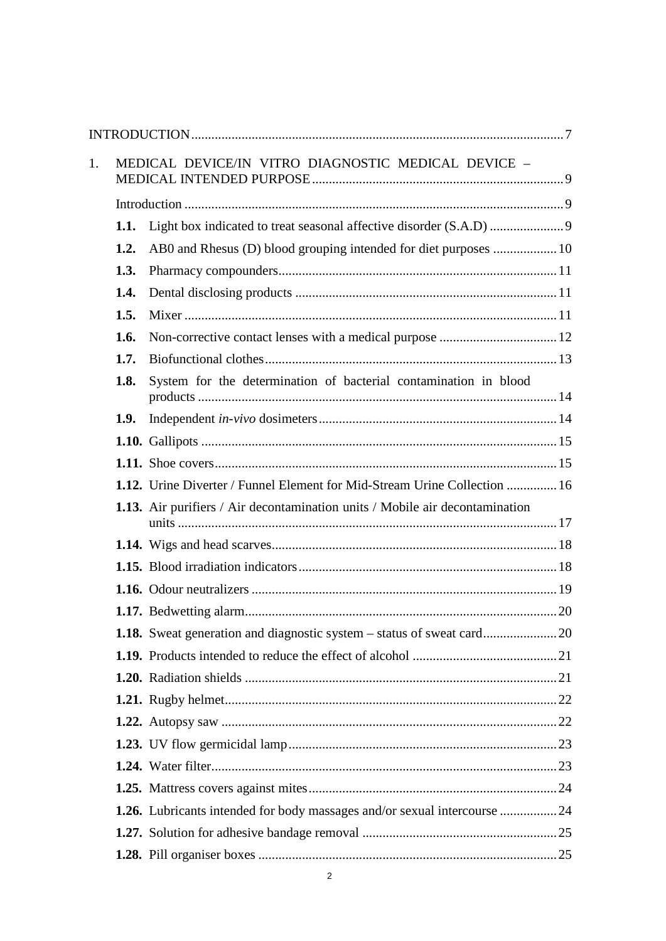| 1. |      | MEDICAL DEVICE/IN VITRO DIAGNOSTIC MEDICAL DEVICE -                          |  |
|----|------|------------------------------------------------------------------------------|--|
|    |      |                                                                              |  |
|    | 1.1. |                                                                              |  |
|    | 1.2. |                                                                              |  |
|    | 1.3. |                                                                              |  |
|    | 1.4. |                                                                              |  |
|    | 1.5. |                                                                              |  |
|    | 1.6. |                                                                              |  |
|    | 1.7. |                                                                              |  |
|    | 1.8. | System for the determination of bacterial contamination in blood             |  |
|    | 1.9. |                                                                              |  |
|    |      |                                                                              |  |
|    |      |                                                                              |  |
|    |      | 1.12. Urine Diverter / Funnel Element for Mid-Stream Urine Collection  16    |  |
|    |      | 1.13. Air purifiers / Air decontamination units / Mobile air decontamination |  |
|    |      |                                                                              |  |
|    |      |                                                                              |  |
|    |      |                                                                              |  |
|    |      |                                                                              |  |
|    |      |                                                                              |  |
|    |      |                                                                              |  |
|    |      |                                                                              |  |
|    |      |                                                                              |  |
|    |      |                                                                              |  |
|    |      |                                                                              |  |
|    |      |                                                                              |  |
|    |      |                                                                              |  |
|    |      | 1.26. Lubricants intended for body massages and/or sexual intercourse  24    |  |
|    |      |                                                                              |  |
|    |      |                                                                              |  |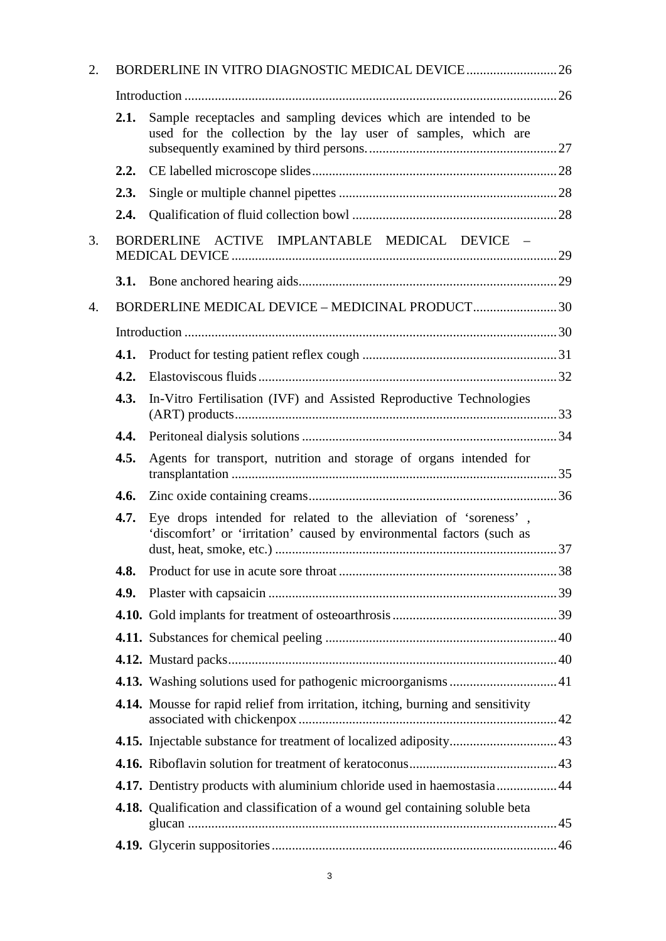| 2. |      | BORDERLINE IN VITRO DIAGNOSTIC MEDICAL DEVICE  26                                                                                         |  |
|----|------|-------------------------------------------------------------------------------------------------------------------------------------------|--|
|    |      |                                                                                                                                           |  |
|    | 2.1. | Sample receptacles and sampling devices which are intended to be<br>used for the collection by the lay user of samples, which are         |  |
|    | 2.2. |                                                                                                                                           |  |
|    | 2.3. |                                                                                                                                           |  |
|    | 2.4. |                                                                                                                                           |  |
| 3. |      | BORDERLINE ACTIVE IMPLANTABLE MEDICAL DEVICE -                                                                                            |  |
|    |      |                                                                                                                                           |  |
| 4. |      | BORDERLINE MEDICAL DEVICE - MEDICINAL PRODUCT 30                                                                                          |  |
|    |      |                                                                                                                                           |  |
|    | 4.1. |                                                                                                                                           |  |
|    | 4.2. |                                                                                                                                           |  |
|    | 4.3. | In-Vitro Fertilisation (IVF) and Assisted Reproductive Technologies                                                                       |  |
|    | 4.4. |                                                                                                                                           |  |
|    | 4.5. | Agents for transport, nutrition and storage of organs intended for                                                                        |  |
|    | 4.6. |                                                                                                                                           |  |
|    | 4.7. | Eye drops intended for related to the alleviation of 'soreness',<br>'discomfort' or 'irritation' caused by environmental factors (such as |  |
|    | 4.8. |                                                                                                                                           |  |
|    | 4.9. |                                                                                                                                           |  |
|    |      |                                                                                                                                           |  |
|    |      |                                                                                                                                           |  |
|    |      |                                                                                                                                           |  |
|    |      |                                                                                                                                           |  |
|    |      | 4.14. Mousse for rapid relief from irritation, itching, burning and sensitivity                                                           |  |
|    |      |                                                                                                                                           |  |
|    |      |                                                                                                                                           |  |
|    |      | 4.17. Dentistry products with aluminium chloride used in haemostasia44                                                                    |  |
|    |      | 4.18. Qualification and classification of a wound gel containing soluble beta                                                             |  |
|    |      |                                                                                                                                           |  |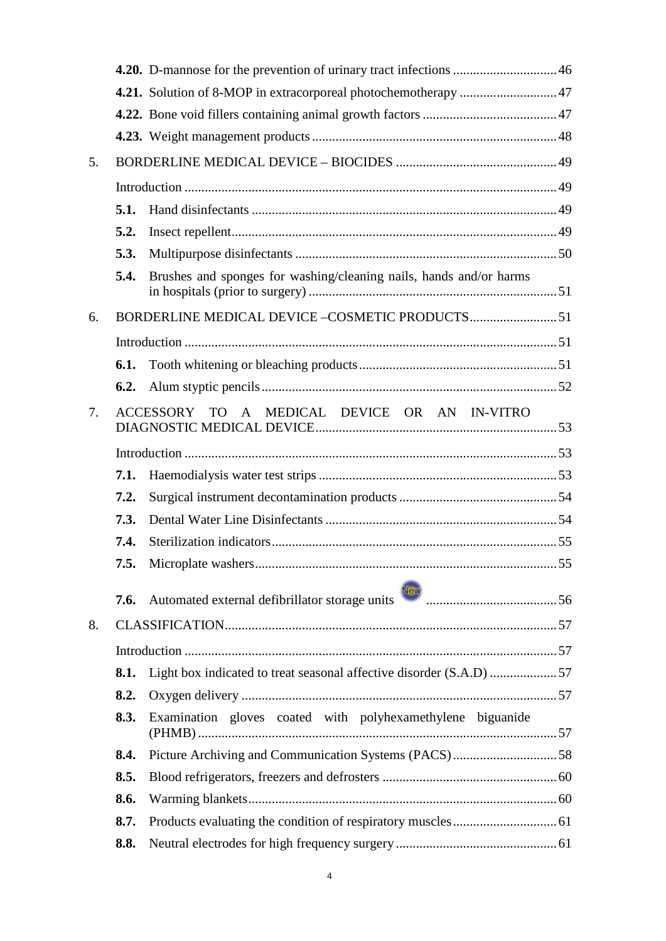|    |      | 4.21. Solution of 8-MOP in extracorporeal photochemotherapy  47     |  |
|----|------|---------------------------------------------------------------------|--|
|    |      |                                                                     |  |
|    |      |                                                                     |  |
| 5. |      |                                                                     |  |
|    |      |                                                                     |  |
|    | 5.1. |                                                                     |  |
|    | 5.2. |                                                                     |  |
|    | 5.3. |                                                                     |  |
|    | 5.4. | Brushes and sponges for washing/cleaning nails, hands and/or harms  |  |
| 6. |      |                                                                     |  |
|    |      |                                                                     |  |
|    | 6.1. |                                                                     |  |
|    | 6.2. |                                                                     |  |
| 7. |      | ACCESSORY TO A MEDICAL DEVICE OR AN IN-VITRO                        |  |
|    |      |                                                                     |  |
|    | 7.1. |                                                                     |  |
|    | 7.2. |                                                                     |  |
|    | 7.3. |                                                                     |  |
|    | 7.4. |                                                                     |  |
|    |      |                                                                     |  |
|    | 7.6. |                                                                     |  |
| 8. |      |                                                                     |  |
|    |      |                                                                     |  |
|    | 8.1. | Light box indicated to treat seasonal affective disorder (S.A.D) 57 |  |
|    | 8.2. |                                                                     |  |
|    | 8.3. | Examination gloves coated with polyhexamethylene biguanide          |  |
|    | 8.4. | Picture Archiving and Communication Systems (PACS)58                |  |
|    | 8.5. |                                                                     |  |
|    | 8.6. |                                                                     |  |
|    | 8.7. |                                                                     |  |
|    | 8.8. |                                                                     |  |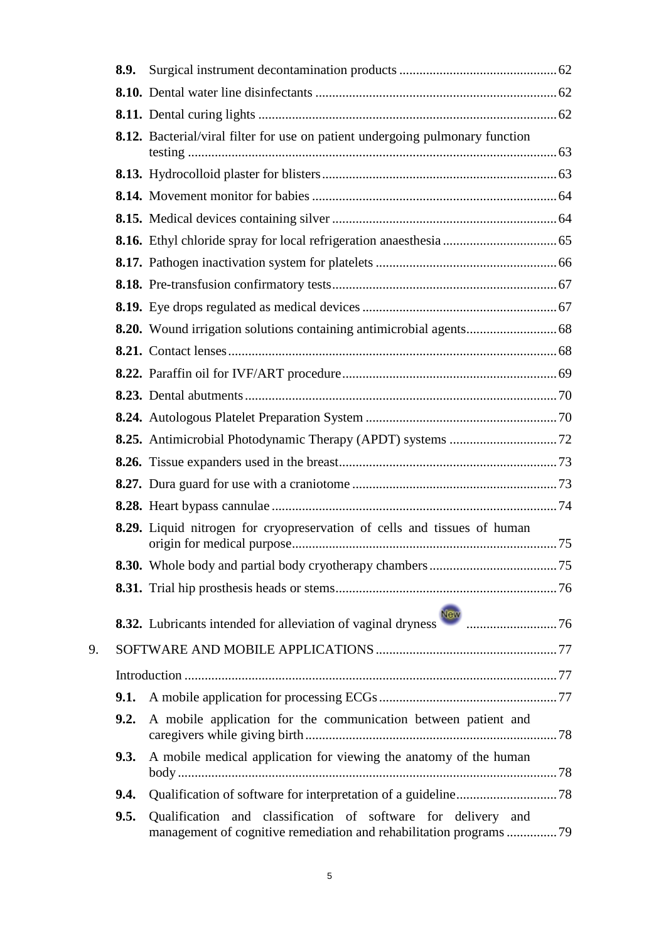|    | 8.9. |                                                                                                                                    |  |
|----|------|------------------------------------------------------------------------------------------------------------------------------------|--|
|    |      |                                                                                                                                    |  |
|    |      |                                                                                                                                    |  |
|    |      | <b>8.12.</b> Bacterial/viral filter for use on patient undergoing pulmonary function                                               |  |
|    |      |                                                                                                                                    |  |
|    |      |                                                                                                                                    |  |
|    |      |                                                                                                                                    |  |
|    |      |                                                                                                                                    |  |
|    |      |                                                                                                                                    |  |
|    |      |                                                                                                                                    |  |
|    |      |                                                                                                                                    |  |
|    |      |                                                                                                                                    |  |
|    |      |                                                                                                                                    |  |
|    |      |                                                                                                                                    |  |
|    |      |                                                                                                                                    |  |
|    |      |                                                                                                                                    |  |
|    |      |                                                                                                                                    |  |
|    |      |                                                                                                                                    |  |
|    |      |                                                                                                                                    |  |
|    |      |                                                                                                                                    |  |
|    |      | 8.29. Liquid nitrogen for cryopreservation of cells and tissues of human                                                           |  |
|    |      |                                                                                                                                    |  |
|    |      |                                                                                                                                    |  |
|    |      |                                                                                                                                    |  |
| 9. |      |                                                                                                                                    |  |
|    |      |                                                                                                                                    |  |
|    | 9.1. |                                                                                                                                    |  |
|    | 9.2. | A mobile application for the communication between patient and                                                                     |  |
|    | 9.3. | A mobile medical application for viewing the anatomy of the human                                                                  |  |
|    | 9.4. |                                                                                                                                    |  |
|    | 9.5. | Qualification and classification of software for delivery and<br>management of cognitive remediation and rehabilitation programs79 |  |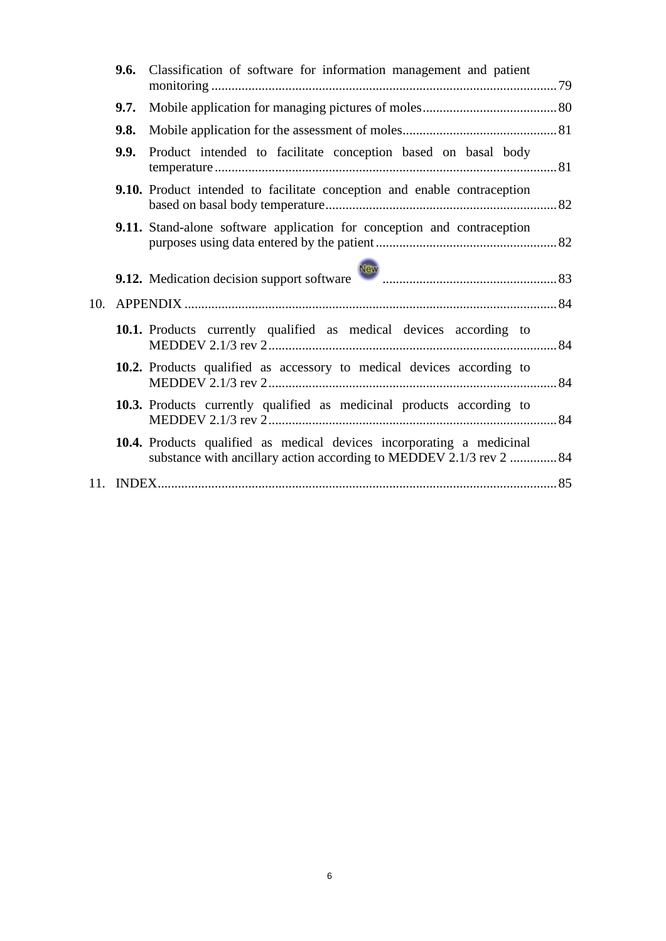| 9.7. |                                                                     |                                                                                                                                                                                                                                                                                                                                                                                                                                                                                                                                                                                                               |
|------|---------------------------------------------------------------------|---------------------------------------------------------------------------------------------------------------------------------------------------------------------------------------------------------------------------------------------------------------------------------------------------------------------------------------------------------------------------------------------------------------------------------------------------------------------------------------------------------------------------------------------------------------------------------------------------------------|
| 9.8. |                                                                     |                                                                                                                                                                                                                                                                                                                                                                                                                                                                                                                                                                                                               |
| 9.9. |                                                                     |                                                                                                                                                                                                                                                                                                                                                                                                                                                                                                                                                                                                               |
|      |                                                                     |                                                                                                                                                                                                                                                                                                                                                                                                                                                                                                                                                                                                               |
|      |                                                                     |                                                                                                                                                                                                                                                                                                                                                                                                                                                                                                                                                                                                               |
|      |                                                                     |                                                                                                                                                                                                                                                                                                                                                                                                                                                                                                                                                                                                               |
|      |                                                                     |                                                                                                                                                                                                                                                                                                                                                                                                                                                                                                                                                                                                               |
|      |                                                                     |                                                                                                                                                                                                                                                                                                                                                                                                                                                                                                                                                                                                               |
|      |                                                                     |                                                                                                                                                                                                                                                                                                                                                                                                                                                                                                                                                                                                               |
|      |                                                                     |                                                                                                                                                                                                                                                                                                                                                                                                                                                                                                                                                                                                               |
|      | substance with ancillary action according to MEDDEV 2.1/3 rev 2  84 |                                                                                                                                                                                                                                                                                                                                                                                                                                                                                                                                                                                                               |
|      |                                                                     |                                                                                                                                                                                                                                                                                                                                                                                                                                                                                                                                                                                                               |
|      |                                                                     | 9.6. Classification of software for information management and patient<br>Product intended to facilitate conception based on basal body<br>9.10. Product intended to facilitate conception and enable contraception<br><b>9.11.</b> Stand-alone software application for conception and contraception<br>10.1. Products currently qualified as medical devices according to<br>10.2. Products qualified as accessory to medical devices according to<br><b>10.3.</b> Products currently qualified as medicinal products according to<br>10.4. Products qualified as medical devices incorporating a medicinal |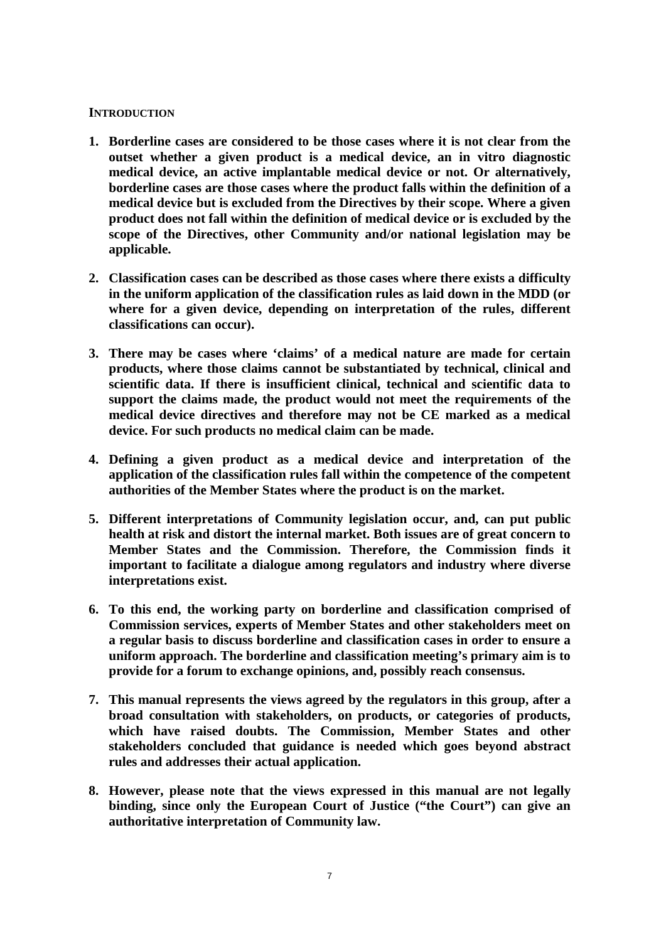### <span id="page-6-0"></span>**INTRODUCTION**

- **1. Borderline cases are considered to be those cases where it is not clear from the outset whether a given product is a medical device, an in vitro diagnostic medical device, an active implantable medical device or not. Or alternatively, borderline cases are those cases where the product falls within the definition of a medical device but is excluded from the Directives by their scope. Where a given product does not fall within the definition of medical device or is excluded by the scope of the Directives, other Community and/or national legislation may be applicable.**
- **2. Classification cases can be described as those cases where there exists a difficulty in the uniform application of the classification rules as laid down in the MDD (or where for a given device, depending on interpretation of the rules, different classifications can occur).**
- **3. There may be cases where 'claims' of a medical nature are made for certain products, where those claims cannot be substantiated by technical, clinical and scientific data. If there is insufficient clinical, technical and scientific data to support the claims made, the product would not meet the requirements of the medical device directives and therefore may not be CE marked as a medical device. For such products no medical claim can be made.**
- **4. Defining a given product as a medical device and interpretation of the application of the classification rules fall within the competence of the competent authorities of the Member States where the product is on the market.**
- **5. Different interpretations of Community legislation occur, and, can put public health at risk and distort the internal market. Both issues are of great concern to Member States and the Commission. Therefore, the Commission finds it important to facilitate a dialogue among regulators and industry where diverse interpretations exist.**
- **6. To this end, the working party on borderline and classification comprised of Commission services, experts of Member States and other stakeholders meet on a regular basis to discuss borderline and classification cases in order to ensure a uniform approach. The borderline and classification meeting's primary aim is to provide for a forum to exchange opinions, and, possibly reach consensus.**
- **7. This manual represents the views agreed by the regulators in this group, after a broad consultation with stakeholders, on products, or categories of products, which have raised doubts. The Commission, Member States and other stakeholders concluded that guidance is needed which goes beyond abstract rules and addresses their actual application.**
- **8. However, please note that the views expressed in this manual are not legally binding, since only the European Court of Justice ("the Court") can give an authoritative interpretation of Community law.**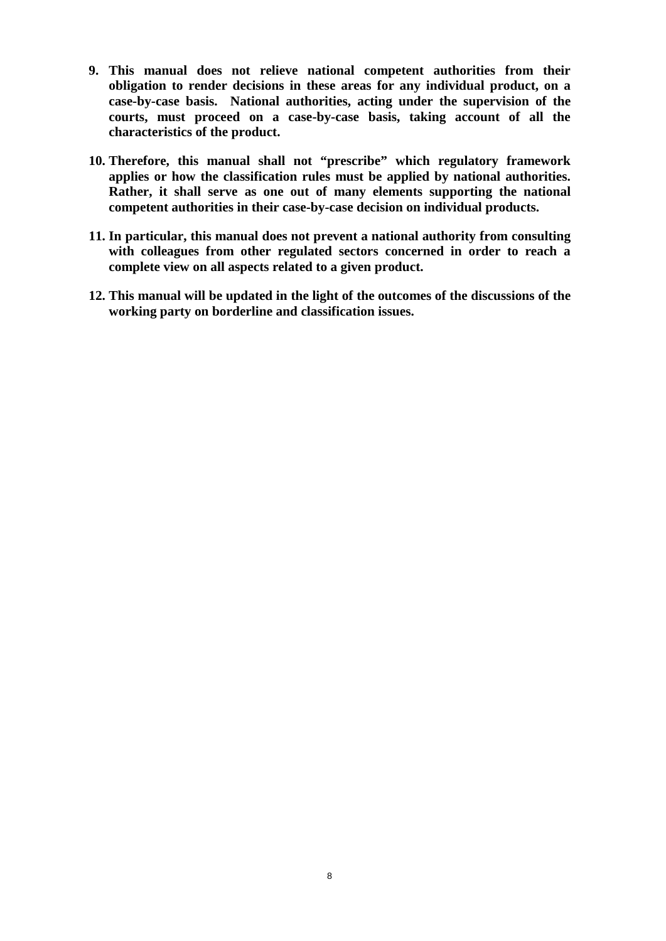- **9. This manual does not relieve national competent authorities from their obligation to render decisions in these areas for any individual product, on a case-by-case basis. National authorities, acting under the supervision of the courts, must proceed on a case-by-case basis, taking account of all the characteristics of the product.**
- **10. Therefore, this manual shall not "prescribe" which regulatory framework applies or how the classification rules must be applied by national authorities. Rather, it shall serve as one out of many elements supporting the national competent authorities in their case-by-case decision on individual products.**
- **11. In particular, this manual does not prevent a national authority from consulting with colleagues from other regulated sectors concerned in order to reach a complete view on all aspects related to a given product.**
- **12. This manual will be updated in the light of the outcomes of the discussions of the working party on borderline and classification issues.**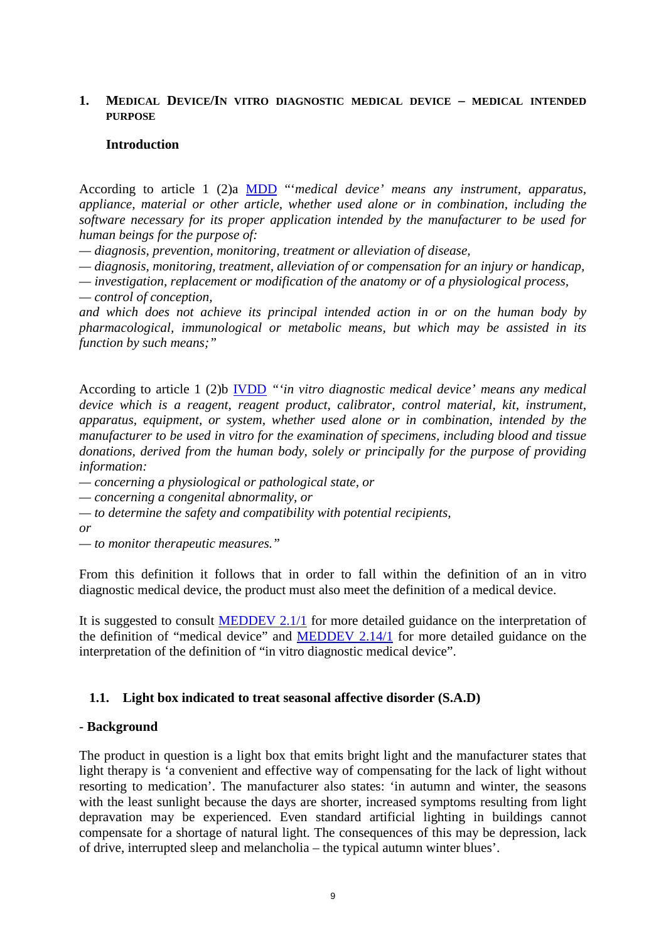### <span id="page-8-0"></span>**1. MEDICAL DEVICE/IN VITRO DIAGNOSTIC MEDICAL DEVICE – MEDICAL INTENDED PURPOSE**

#### <span id="page-8-1"></span>**Introduction**

According to article 1 (2)a [MDD](http://eur-lex.europa.eu/LexUriServ/LexUriServ.do?uri=CONSLEG:1993L0042:20071011:EN:PDF) "'*medical device' means any instrument, apparatus, appliance, material or other article, whether used alone or in combination, including the software necessary for its proper application intended by the manufacturer to be used for human beings for the purpose of:* 

*— diagnosis, prevention, monitoring, treatment or alleviation of disease,*

*— diagnosis, monitoring, treatment, alleviation of or compensation for an injury or handicap,*

*— investigation, replacement or modification of the anatomy or of a physiological process,*

*— control of conception,*

*and which does not achieve its principal intended action in or on the human body by pharmacological, immunological or metabolic means, but which may be assisted in its function by such means;"*

According to article 1 (2)b [IVDD](http://eur-lex.europa.eu/LexUriServ/LexUriServ.do?uri=CONSLEG:1998L0079:20090807:en:PDF) *"'in vitro diagnostic medical device' means any medical device which is a reagent, reagent product, calibrator, control material, kit, instrument, apparatus, equipment, or system, whether used alone or in combination, intended by the manufacturer to be used in vitro for the examination of specimens, including blood and tissue donations, derived from the human body, solely or principally for the purpose of providing information:*

*— concerning a physiological or pathological state, or*

*— concerning a congenital abnormality, or*

*— to determine the safety and compatibility with potential recipients,*

*or*

*— to monitor therapeutic measures."*

From this definition it follows that in order to fall within the definition of an in vitro diagnostic medical device, the product must also meet the definition of a medical device.

It is suggested to consult [MEDDEV 2.1/1](http://ec.europa.eu/consumers/sectors/medical-devices/files/meddev/2_1-1___04-1994_en.pdf) for more detailed guidance on the interpretation of the definition of "medical device" and [MEDDEV 2.14/1](http://ec.europa.eu/consumers/sectors/medical-devices/files/meddev/2_14_ivd_borderline_issues_jan2004_en.pdf) for more detailed guidance on the interpretation of the definition of "in vitro diagnostic medical device".

### <span id="page-8-2"></span>**1.1. Light box indicated to treat seasonal affective disorder (S.A.D)**

### - **Background**

The product in question is a light box that emits bright light and the manufacturer states that light therapy is 'a convenient and effective way of compensating for the lack of light without resorting to medication'. The manufacturer also states: 'in autumn and winter, the seasons with the least sunlight because the days are shorter, increased symptoms resulting from light depravation may be experienced. Even standard artificial lighting in buildings cannot compensate for a shortage of natural light. The consequences of this may be depression, lack of drive, interrupted sleep and melancholia – the typical autumn winter blues'.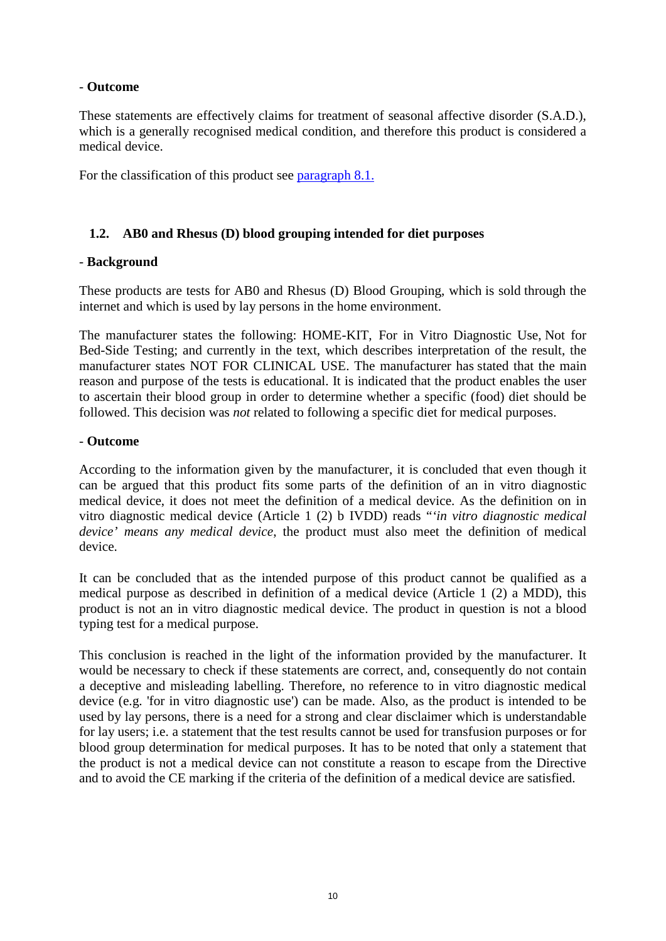# - **Outcome**

These statements are effectively claims for treatment of seasonal affective disorder (S.A.D.), which is a generally recognised medical condition, and therefore this product is considered a medical device.

For the classification of this product see [paragraph 8.1.](#page-56-2)

# <span id="page-9-0"></span>**1.2. AB0 and Rhesus (D) blood grouping intended for diet purposes**

# - **Background**

These products are tests for AB0 and Rhesus (D) Blood Grouping, which is sold through the internet and which is used by lay persons in the home environment.

The manufacturer states the following: HOME-KIT, For in Vitro Diagnostic Use, Not for Bed-Side Testing; and currently in the text, which describes interpretation of the result, the manufacturer states NOT FOR CLINICAL USE. The manufacturer has stated that the main reason and purpose of the tests is educational. It is indicated that the product enables the user to ascertain their blood group in order to determine whether a specific (food) diet should be followed. This decision was *not* related to following a specific diet for medical purposes.

### - **Outcome**

According to the information given by the manufacturer, it is concluded that even though it can be argued that this product fits some parts of the definition of an in vitro diagnostic medical device, it does not meet the definition of a medical device. As the definition on in vitro diagnostic medical device (Article 1 (2) b IVDD) reads "*'in vitro diagnostic medical device' means any medical device*, the product must also meet the definition of medical device.

It can be concluded that as the intended purpose of this product cannot be qualified as a medical purpose as described in definition of a medical device (Article 1 (2) a MDD), this product is not an in vitro diagnostic medical device. The product in question is not a blood typing test for a medical purpose.

This conclusion is reached in the light of the information provided by the manufacturer. It would be necessary to check if these statements are correct, and, consequently do not contain a deceptive and misleading labelling. Therefore, no reference to in vitro diagnostic medical device (e.g. 'for in vitro diagnostic use') can be made. Also, as the product is intended to be used by lay persons, there is a need for a strong and clear disclaimer which is understandable for lay users; i.e. a statement that the test results cannot be used for transfusion purposes or for blood group determination for medical purposes. It has to be noted that only a statement that the product is not a medical device can not constitute a reason to escape from the Directive and to avoid the CE marking if the criteria of the definition of a medical device are satisfied.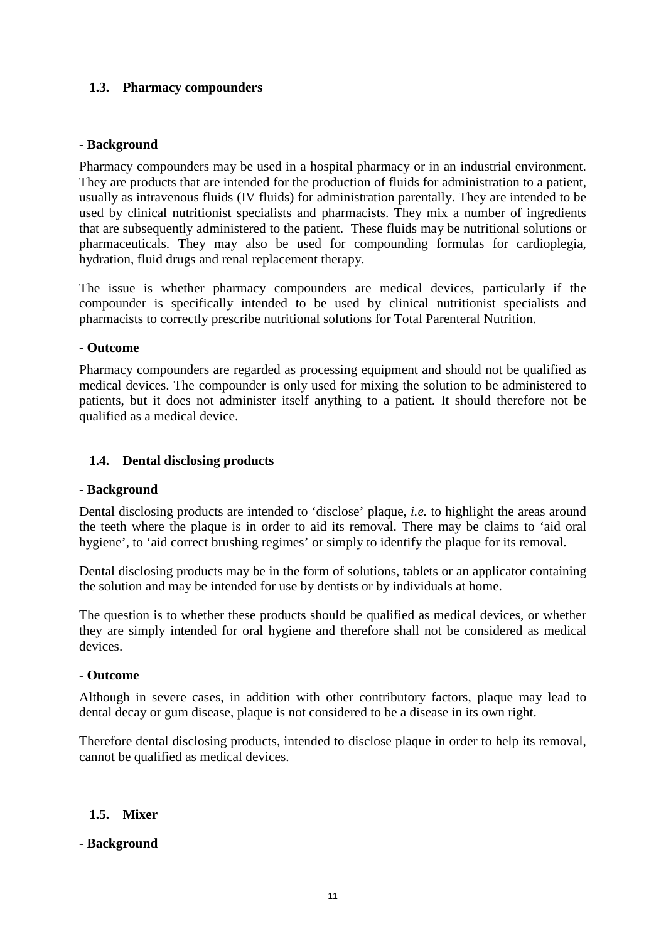# <span id="page-10-0"></span>**1.3. Pharmacy compounders**

# **- Background**

Pharmacy compounders may be used in a hospital pharmacy or in an industrial environment. They are products that are intended for the production of fluids for administration to a patient, usually as intravenous fluids (IV fluids) for administration parentally. They are intended to be used by clinical nutritionist specialists and pharmacists. They mix a number of ingredients that are subsequently administered to the patient. These fluids may be nutritional solutions or pharmaceuticals. They may also be used for compounding formulas for cardioplegia, hydration, fluid drugs and renal replacement therapy.

The issue is whether pharmacy compounders are medical devices, particularly if the compounder is specifically intended to be used by clinical nutritionist specialists and pharmacists to correctly prescribe nutritional solutions for Total Parenteral Nutrition.

### **- Outcome**

Pharmacy compounders are regarded as processing equipment and should not be qualified as medical devices. The compounder is only used for mixing the solution to be administered to patients, but it does not administer itself anything to a patient. It should therefore not be qualified as a medical device.

# <span id="page-10-1"></span>**1.4. Dental disclosing products**

### **- Background**

Dental disclosing products are intended to 'disclose' plaque, *i.e.* to highlight the areas around the teeth where the plaque is in order to aid its removal. There may be claims to 'aid oral hygiene', to 'aid correct brushing regimes' or simply to identify the plaque for its removal.

Dental disclosing products may be in the form of solutions, tablets or an applicator containing the solution and may be intended for use by dentists or by individuals at home.

The question is to whether these products should be qualified as medical devices, or whether they are simply intended for oral hygiene and therefore shall not be considered as medical devices.

### **- Outcome**

Although in severe cases, in addition with other contributory factors, plaque may lead to dental decay or gum disease, plaque is not considered to be a disease in its own right.

Therefore dental disclosing products, intended to disclose plaque in order to help its removal, cannot be qualified as medical devices.

### <span id="page-10-2"></span>**1.5. Mixer**

### **- Background**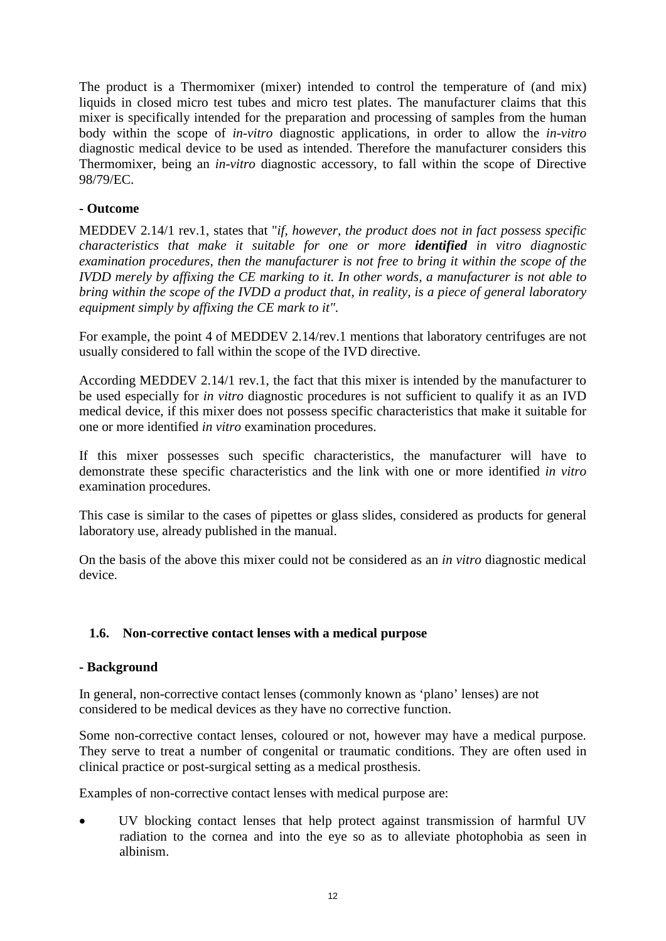The product is a Thermomixer (mixer) intended to control the temperature of (and mix) liquids in closed micro test tubes and micro test plates. The manufacturer claims that this mixer is specifically intended for the preparation and processing of samples from the human body within the scope of *in-vitro* diagnostic applications, in order to allow the *in-vitro*  diagnostic medical device to be used as intended. Therefore the manufacturer considers this Thermomixer, being an *in-vitro* diagnostic accessory, to fall within the scope of Directive 98/79/EC.

# **- Outcome**

MEDDEV 2.14/1 rev.1, states that "*if, however, the product does not in fact possess specific characteristics that make it suitable for one or more identified in vitro diagnostic examination procedures, then the manufacturer is not free to bring it within the scope of the IVDD merely by affixing the CE marking to it. In other words, a manufacturer is not able to bring within the scope of the IVDD a product that, in reality, is a piece of general laboratory equipment simply by affixing the CE mark to it".*

For example, the point 4 of MEDDEV 2.14/rev.1 mentions that laboratory centrifuges are not usually considered to fall within the scope of the IVD directive.

According MEDDEV 2.14/1 rev.1, the fact that this mixer is intended by the manufacturer to be used especially for *in vitro* diagnostic procedures is not sufficient to qualify it as an IVD medical device, if this mixer does not possess specific characteristics that make it suitable for one or more identified *in vitro* examination procedures.

If this mixer possesses such specific characteristics, the manufacturer will have to demonstrate these specific characteristics and the link with one or more identified *in vitro* examination procedures.

This case is similar to the cases of pipettes or glass slides, considered as products for general laboratory use, already published in the manual.

On the basis of the above this mixer could not be considered as an *in vitro* diagnostic medical device.

# <span id="page-11-0"></span>**1.6. Non-corrective contact lenses with a medical purpose**

### **- Background**

In general, non-corrective contact lenses (commonly known as 'plano' lenses) are not considered to be medical devices as they have no corrective function.

Some non-corrective contact lenses, coloured or not, however may have a medical purpose. They serve to treat a number of congenital or traumatic conditions. They are often used in clinical practice or post-surgical setting as a medical prosthesis.

Examples of non-corrective contact lenses with medical purpose are:

• UV blocking contact lenses that help protect against transmission of harmful UV radiation to the cornea and into the eye so as to alleviate photophobia as seen in albinism.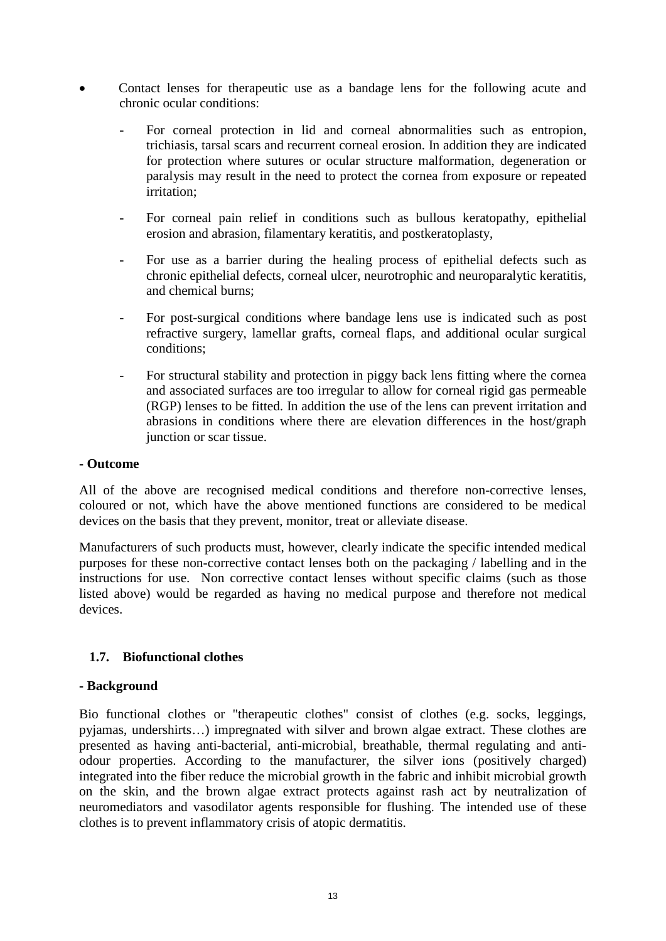- Contact lenses for therapeutic use as a bandage lens for the following acute and chronic ocular conditions:
	- For corneal protection in lid and corneal abnormalities such as entropion, trichiasis, tarsal scars and recurrent corneal erosion. In addition they are indicated for protection where sutures or ocular structure malformation, degeneration or paralysis may result in the need to protect the cornea from exposure or repeated irritation;
	- For corneal pain relief in conditions such as bullous keratopathy, epithelial erosion and abrasion, filamentary keratitis, and postkeratoplasty,
	- For use as a barrier during the healing process of epithelial defects such as chronic epithelial defects, corneal ulcer, neurotrophic and neuroparalytic keratitis, and chemical burns;
	- For post-surgical conditions where bandage lens use is indicated such as post refractive surgery, lamellar grafts, corneal flaps, and additional ocular surgical conditions;
	- For structural stability and protection in piggy back lens fitting where the cornea and associated surfaces are too irregular to allow for corneal rigid gas permeable (RGP) lenses to be fitted. In addition the use of the lens can prevent irritation and abrasions in conditions where there are elevation differences in the host/graph junction or scar tissue.

### **- Outcome**

All of the above are recognised medical conditions and therefore non-corrective lenses, coloured or not, which have the above mentioned functions are considered to be medical devices on the basis that they prevent, monitor, treat or alleviate disease.

Manufacturers of such products must, however, clearly indicate the specific intended medical purposes for these non-corrective contact lenses both on the packaging / labelling and in the instructions for use. Non corrective contact lenses without specific claims (such as those listed above) would be regarded as having no medical purpose and therefore not medical devices.

# <span id="page-12-0"></span>**1.7. Biofunctional clothes**

# **- Background**

Bio functional clothes or "therapeutic clothes" consist of clothes (e.g. socks, leggings, pyjamas, undershirts…) impregnated with silver and brown algae extract. These clothes are presented as having anti-bacterial, anti-microbial, breathable, thermal regulating and antiodour properties. According to the manufacturer, the silver ions (positively charged) integrated into the fiber reduce the microbial growth in the fabric and inhibit microbial growth on the skin, and the brown algae extract protects against rash act by neutralization of neuromediators and vasodilator agents responsible for flushing. The intended use of these clothes is to prevent inflammatory crisis of atopic dermatitis.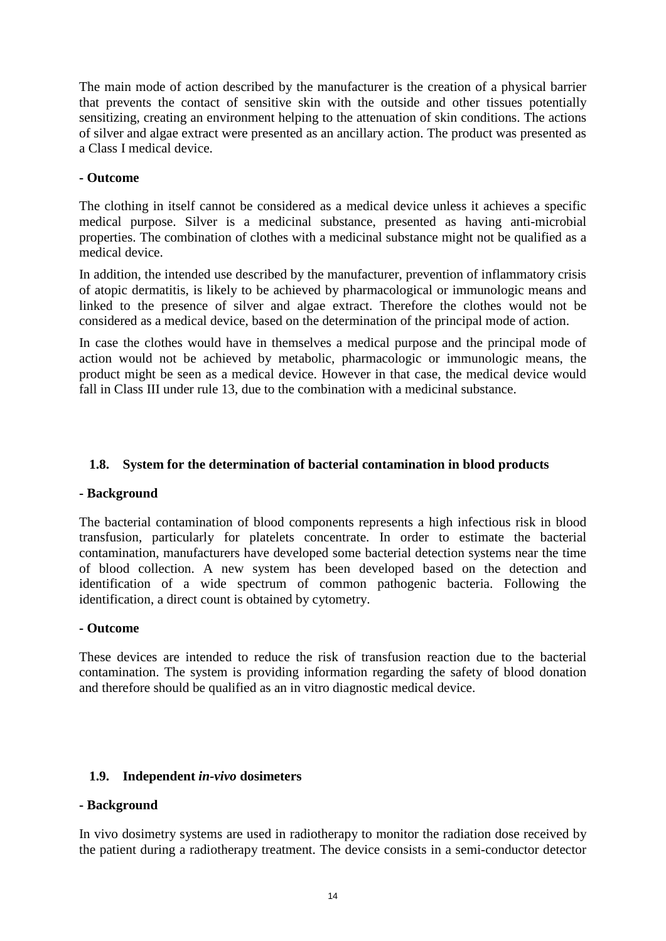The main mode of action described by the manufacturer is the creation of a physical barrier that prevents the contact of sensitive skin with the outside and other tissues potentially sensitizing, creating an environment helping to the attenuation of skin conditions. The actions of silver and algae extract were presented as an ancillary action. The product was presented as a Class I medical device.

# **- Outcome**

The clothing in itself cannot be considered as a medical device unless it achieves a specific medical purpose. Silver is a medicinal substance, presented as having anti-microbial properties. The combination of clothes with a medicinal substance might not be qualified as a medical device.

In addition, the intended use described by the manufacturer, prevention of inflammatory crisis of atopic dermatitis, is likely to be achieved by pharmacological or immunologic means and linked to the presence of silver and algae extract. Therefore the clothes would not be considered as a medical device, based on the determination of the principal mode of action.

In case the clothes would have in themselves a medical purpose and the principal mode of action would not be achieved by metabolic, pharmacologic or immunologic means, the product might be seen as a medical device. However in that case, the medical device would fall in Class III under rule 13, due to the combination with a medicinal substance.

# <span id="page-13-0"></span>**1.8. System for the determination of bacterial contamination in blood products**

### **- Background**

The bacterial contamination of blood components represents a high infectious risk in blood transfusion, particularly for platelets concentrate. In order to estimate the bacterial contamination, manufacturers have developed some bacterial detection systems near the time of blood collection. A new system has been developed based on the detection and identification of a wide spectrum of common pathogenic bacteria. Following the identification, a direct count is obtained by cytometry.

### **- Outcome**

These devices are intended to reduce the risk of transfusion reaction due to the bacterial contamination. The system is providing information regarding the safety of blood donation and therefore should be qualified as an in vitro diagnostic medical device.

### <span id="page-13-1"></span>**1.9. Independent** *in-vivo* **dosimeters**

### **- Background**

In vivo dosimetry systems are used in radiotherapy to monitor the radiation dose received by the patient during a radiotherapy treatment. The device consists in a semi-conductor detector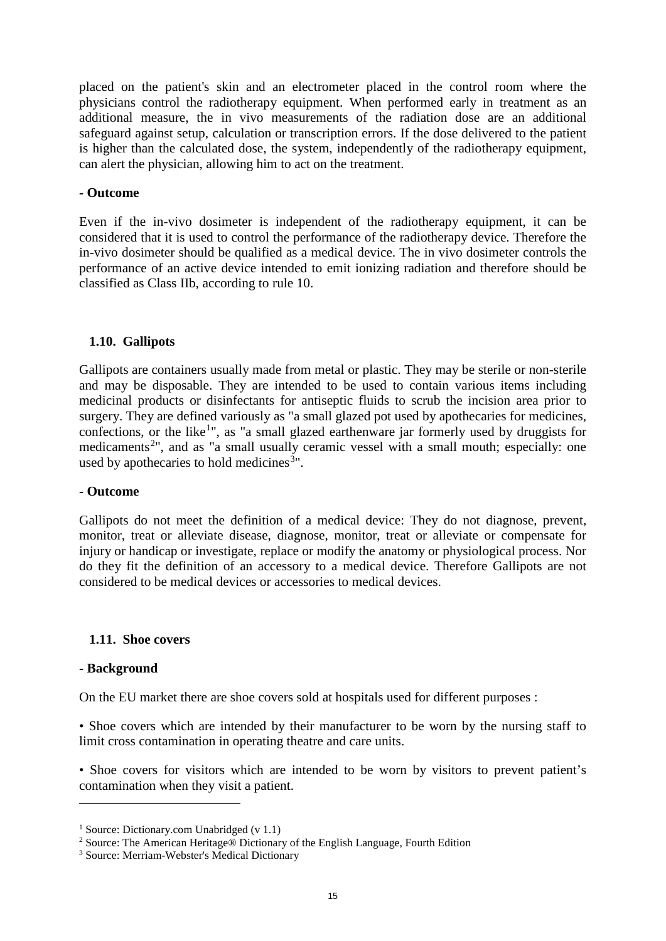placed on the patient's skin and an electrometer placed in the control room where the physicians control the radiotherapy equipment. When performed early in treatment as an additional measure, the in vivo measurements of the radiation dose are an additional safeguard against setup, calculation or transcription errors. If the dose delivered to the patient is higher than the calculated dose, the system, independently of the radiotherapy equipment, can alert the physician, allowing him to act on the treatment.

#### **- Outcome**

Even if the in-vivo dosimeter is independent of the radiotherapy equipment, it can be considered that it is used to control the performance of the radiotherapy device. Therefore the in-vivo dosimeter should be qualified as a medical device. The in vivo dosimeter controls the performance of an active device intended to emit ionizing radiation and therefore should be classified as Class IIb, according to rule 10.

#### <span id="page-14-0"></span>**1.10. Gallipots**

Gallipots are containers usually made from metal or plastic. They may be sterile or non-sterile and may be disposable. They are intended to be used to contain various items including medicinal products or disinfectants for antiseptic fluids to scrub the incision area prior to surgery. They are defined variously as "a small glazed pot used by apothecaries for medicines, confections, or the like<sup>[1](#page-14-2)</sup>", as "a small glazed earthenware jar formerly used by druggists for medicaments<sup>[2](#page-14-3)</sup>", and as "a small usually ceramic vessel with a small mouth; especially: one used by apothecaries to hold medicines<sup>[3](#page-14-4)</sup>".

#### **- Outcome**

Gallipots do not meet the definition of a medical device: They do not diagnose, prevent, monitor, treat or alleviate disease, diagnose, monitor, treat or alleviate or compensate for injury or handicap or investigate, replace or modify the anatomy or physiological process. Nor do they fit the definition of an accessory to a medical device. Therefore Gallipots are not considered to be medical devices or accessories to medical devices.

#### <span id="page-14-1"></span>**1.11. Shoe covers**

#### **- Background**

 $\overline{a}$ 

On the EU market there are shoe covers sold at hospitals used for different purposes :

• Shoe covers which are intended by their manufacturer to be worn by the nursing staff to limit cross contamination in operating theatre and care units.

• Shoe covers for visitors which are intended to be worn by visitors to prevent patient's contamination when they visit a patient.

<span id="page-14-2"></span><sup>&</sup>lt;sup>1</sup> Source: Dictionary.com Unabridged (v 1.1)

<span id="page-14-3"></span><sup>2</sup> Source: The American Heritage® Dictionary of the English Language, Fourth Edition

<span id="page-14-4"></span><sup>3</sup> Source: Merriam-Webster's Medical Dictionary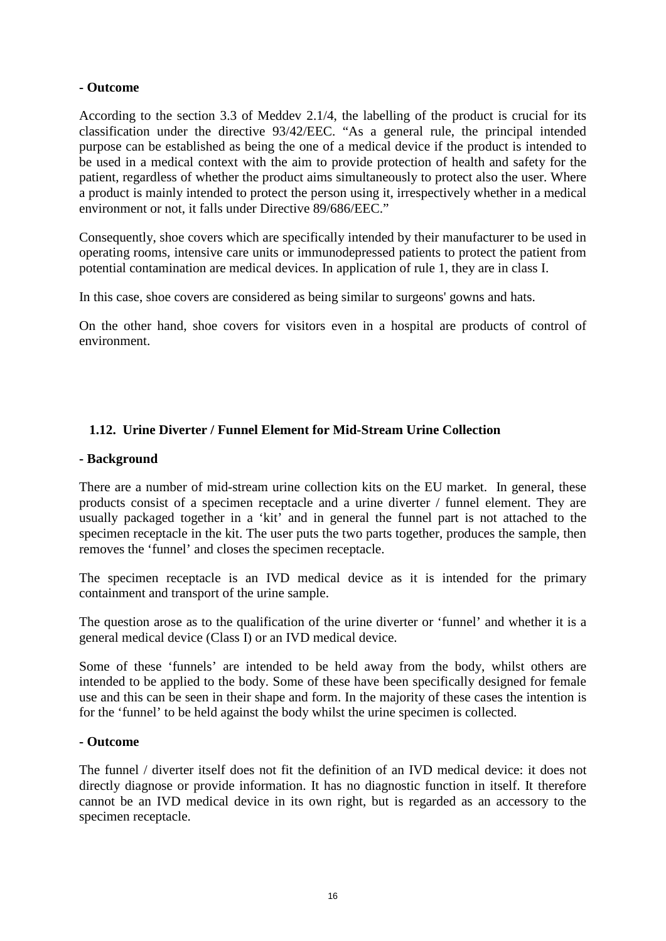# **- Outcome**

According to the section 3.3 of Meddev 2.1/4, the labelling of the product is crucial for its classification under the directive 93/42/EEC. "As a general rule, the principal intended purpose can be established as being the one of a medical device if the product is intended to be used in a medical context with the aim to provide protection of health and safety for the patient, regardless of whether the product aims simultaneously to protect also the user. Where a product is mainly intended to protect the person using it, irrespectively whether in a medical environment or not, it falls under Directive 89/686/EEC."

Consequently, shoe covers which are specifically intended by their manufacturer to be used in operating rooms, intensive care units or immunodepressed patients to protect the patient from potential contamination are medical devices. In application of rule 1, they are in class I.

In this case, shoe covers are considered as being similar to surgeons' gowns and hats.

On the other hand, shoe covers for visitors even in a hospital are products of control of environment.

# <span id="page-15-0"></span>**1.12. Urine Diverter / Funnel Element for Mid-Stream Urine Collection**

### **- Background**

There are a number of mid-stream urine collection kits on the EU market. In general, these products consist of a specimen receptacle and a urine diverter / funnel element. They are usually packaged together in a 'kit' and in general the funnel part is not attached to the specimen receptacle in the kit. The user puts the two parts together, produces the sample, then removes the 'funnel' and closes the specimen receptacle.

The specimen receptacle is an IVD medical device as it is intended for the primary containment and transport of the urine sample.

The question arose as to the qualification of the urine diverter or 'funnel' and whether it is a general medical device (Class I) or an IVD medical device.

Some of these 'funnels' are intended to be held away from the body, whilst others are intended to be applied to the body. Some of these have been specifically designed for female use and this can be seen in their shape and form. In the majority of these cases the intention is for the 'funnel' to be held against the body whilst the urine specimen is collected.

### **- Outcome**

The funnel / diverter itself does not fit the definition of an IVD medical device: it does not directly diagnose or provide information. It has no diagnostic function in itself. It therefore cannot be an IVD medical device in its own right, but is regarded as an accessory to the specimen receptacle.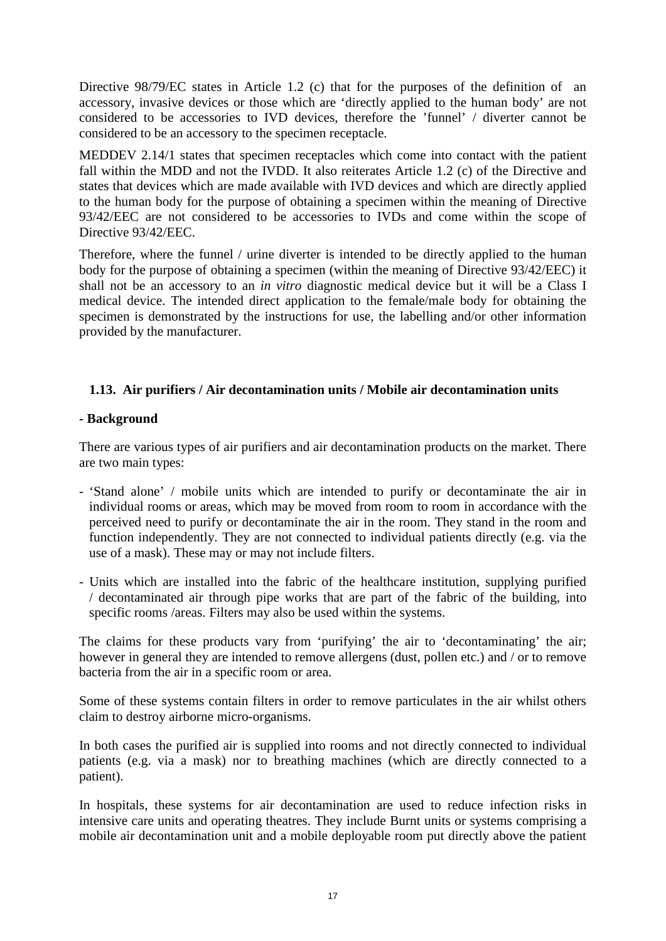Directive 98/79/EC states in Article 1.2 (c) that for the purposes of the definition of an accessory, invasive devices or those which are 'directly applied to the human body' are not considered to be accessories to IVD devices, therefore the 'funnel' / diverter cannot be considered to be an accessory to the specimen receptacle.

MEDDEV 2.14/1 states that specimen receptacles which come into contact with the patient fall within the MDD and not the IVDD. It also reiterates Article 1.2 (c) of the Directive and states that devices which are made available with IVD devices and which are directly applied to the human body for the purpose of obtaining a specimen within the meaning of Directive 93/42/EEC are not considered to be accessories to IVDs and come within the scope of Directive 93/42/EEC.

Therefore, where the funnel / urine diverter is intended to be directly applied to the human body for the purpose of obtaining a specimen (within the meaning of Directive 93/42/EEC) it shall not be an accessory to an *in vitro* diagnostic medical device but it will be a Class I medical device. The intended direct application to the female/male body for obtaining the specimen is demonstrated by the instructions for use, the labelling and/or other information provided by the manufacturer.

# <span id="page-16-0"></span>**1.13. Air purifiers / Air decontamination units / Mobile air decontamination units**

# **- Background**

There are various types of air purifiers and air decontamination products on the market. There are two main types:

- 'Stand alone' / mobile units which are intended to purify or decontaminate the air in individual rooms or areas, which may be moved from room to room in accordance with the perceived need to purify or decontaminate the air in the room. They stand in the room and function independently. They are not connected to individual patients directly (e.g. via the use of a mask). These may or may not include filters.
- Units which are installed into the fabric of the healthcare institution, supplying purified / decontaminated air through pipe works that are part of the fabric of the building, into specific rooms /areas. Filters may also be used within the systems.

The claims for these products vary from 'purifying' the air to 'decontaminating' the air; however in general they are intended to remove allergens (dust, pollen etc.) and / or to remove bacteria from the air in a specific room or area.

Some of these systems contain filters in order to remove particulates in the air whilst others claim to destroy airborne micro-organisms.

In both cases the purified air is supplied into rooms and not directly connected to individual patients (e.g. via a mask) nor to breathing machines (which are directly connected to a patient).

In hospitals, these systems for air decontamination are used to reduce infection risks in intensive care units and operating theatres. They include Burnt units or systems comprising a mobile air decontamination unit and a mobile deployable room put directly above the patient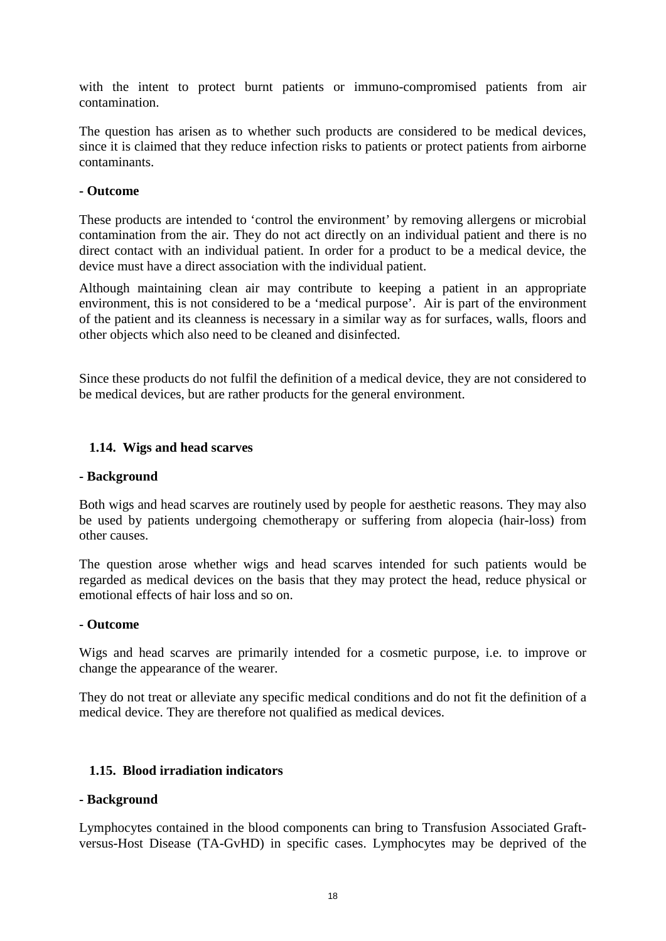with the intent to protect burnt patients or immuno-compromised patients from air contamination.

The question has arisen as to whether such products are considered to be medical devices, since it is claimed that they reduce infection risks to patients or protect patients from airborne contaminants.

### **- Outcome**

These products are intended to 'control the environment' by removing allergens or microbial contamination from the air. They do not act directly on an individual patient and there is no direct contact with an individual patient. In order for a product to be a medical device, the device must have a direct association with the individual patient.

Although maintaining clean air may contribute to keeping a patient in an appropriate environment, this is not considered to be a 'medical purpose'. Air is part of the environment of the patient and its cleanness is necessary in a similar way as for surfaces, walls, floors and other objects which also need to be cleaned and disinfected.

Since these products do not fulfil the definition of a medical device, they are not considered to be medical devices, but are rather products for the general environment.

# <span id="page-17-0"></span>**1.14. Wigs and head scarves**

### **- Background**

Both wigs and head scarves are routinely used by people for aesthetic reasons. They may also be used by patients undergoing chemotherapy or suffering from alopecia (hair-loss) from other causes.

The question arose whether wigs and head scarves intended for such patients would be regarded as medical devices on the basis that they may protect the head, reduce physical or emotional effects of hair loss and so on.

### **- Outcome**

Wigs and head scarves are primarily intended for a cosmetic purpose, i.e. to improve or change the appearance of the wearer.

They do not treat or alleviate any specific medical conditions and do not fit the definition of a medical device. They are therefore not qualified as medical devices.

# <span id="page-17-1"></span>**1.15. Blood irradiation indicators**

### **- Background**

Lymphocytes contained in the blood components can bring to Transfusion Associated Graftversus-Host Disease (TA-GvHD) in specific cases. Lymphocytes may be deprived of the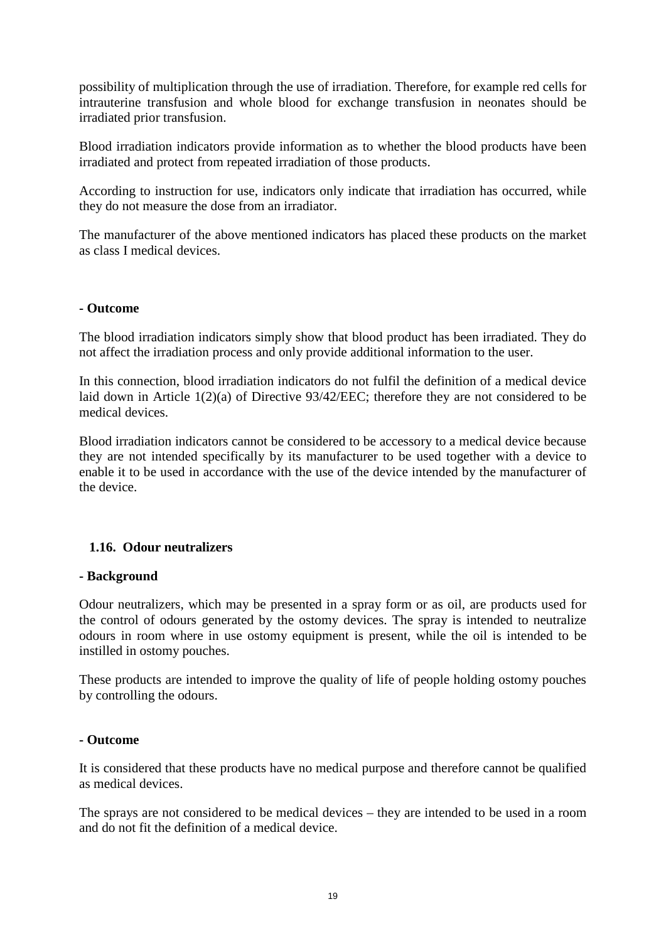possibility of multiplication through the use of irradiation. Therefore, for example red cells for intrauterine transfusion and whole blood for exchange transfusion in neonates should be irradiated prior transfusion.

Blood irradiation indicators provide information as to whether the blood products have been irradiated and protect from repeated irradiation of those products.

According to instruction for use, indicators only indicate that irradiation has occurred, while they do not measure the dose from an irradiator.

The manufacturer of the above mentioned indicators has placed these products on the market as class I medical devices.

### **- Outcome**

The blood irradiation indicators simply show that blood product has been irradiated. They do not affect the irradiation process and only provide additional information to the user.

In this connection, blood irradiation indicators do not fulfil the definition of a medical device laid down in Article 1(2)(a) of Directive 93/42/EEC; therefore they are not considered to be medical devices.

Blood irradiation indicators cannot be considered to be accessory to a medical device because they are not intended specifically by its manufacturer to be used together with a device to enable it to be used in accordance with the use of the device intended by the manufacturer of the device.

# <span id="page-18-0"></span>**1.16. Odour neutralizers**

### **- Background**

Odour neutralizers, which may be presented in a spray form or as oil, are products used for the control of odours generated by the ostomy devices. The spray is intended to neutralize odours in room where in use ostomy equipment is present, while the oil is intended to be instilled in ostomy pouches.

These products are intended to improve the quality of life of people holding ostomy pouches by controlling the odours.

#### **- Outcome**

It is considered that these products have no medical purpose and therefore cannot be qualified as medical devices.

The sprays are not considered to be medical devices – they are intended to be used in a room and do not fit the definition of a medical device.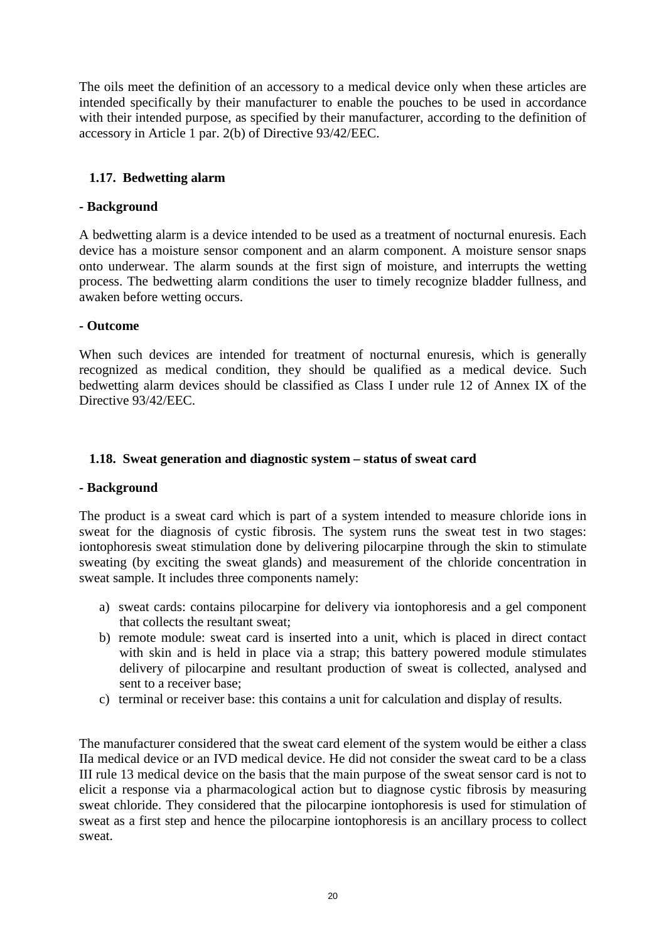The oils meet the definition of an accessory to a medical device only when these articles are intended specifically by their manufacturer to enable the pouches to be used in accordance with their intended purpose, as specified by their manufacturer, according to the definition of accessory in Article 1 par. 2(b) of Directive 93/42/EEC.

# <span id="page-19-0"></span>**1.17. Bedwetting alarm**

# **- Background**

A bedwetting alarm is a device intended to be used as a treatment of nocturnal enuresis. Each device has a moisture sensor component and an alarm component. A moisture sensor snaps onto underwear. The alarm sounds at the first sign of moisture, and interrupts the wetting process. The bedwetting alarm conditions the user to timely recognize bladder fullness, and awaken before wetting occurs.

# **- Outcome**

When such devices are intended for treatment of nocturnal enuresis, which is generally recognized as medical condition, they should be qualified as a medical device. Such bedwetting alarm devices should be classified as Class I under rule 12 of Annex IX of the Directive 93/42/EEC.

# <span id="page-19-1"></span>**1.18. Sweat generation and diagnostic system – status of sweat card**

### **- Background**

The product is a sweat card which is part of a system intended to measure chloride ions in sweat for the diagnosis of cystic fibrosis. The system runs the sweat test in two stages: iontophoresis sweat stimulation done by delivering pilocarpine through the skin to stimulate sweating (by exciting the sweat glands) and measurement of the chloride concentration in sweat sample. It includes three components namely:

- a) sweat cards: contains pilocarpine for delivery via iontophoresis and a gel component that collects the resultant sweat;
- b) remote module: sweat card is inserted into a unit, which is placed in direct contact with skin and is held in place via a strap; this battery powered module stimulates delivery of pilocarpine and resultant production of sweat is collected, analysed and sent to a receiver base;
- c) terminal or receiver base: this contains a unit for calculation and display of results.

The manufacturer considered that the sweat card element of the system would be either a class IIa medical device or an IVD medical device. He did not consider the sweat card to be a class III rule 13 medical device on the basis that the main purpose of the sweat sensor card is not to elicit a response via a pharmacological action but to diagnose cystic fibrosis by measuring sweat chloride. They considered that the pilocarpine iontophoresis is used for stimulation of sweat as a first step and hence the pilocarpine iontophoresis is an ancillary process to collect sweat.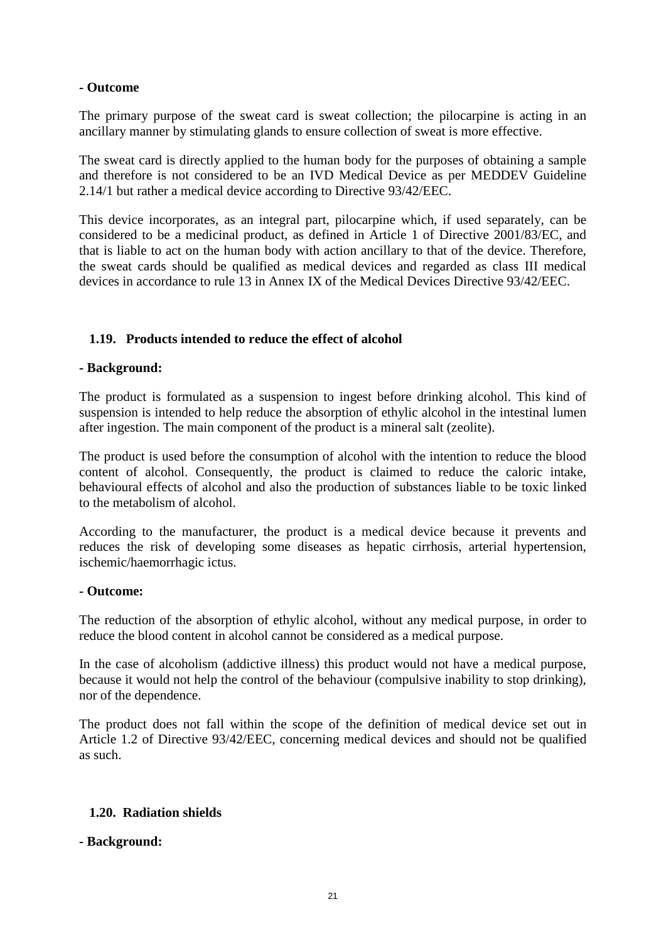# **- Outcome**

The primary purpose of the sweat card is sweat collection; the pilocarpine is acting in an ancillary manner by stimulating glands to ensure collection of sweat is more effective.

The sweat card is directly applied to the human body for the purposes of obtaining a sample and therefore is not considered to be an IVD Medical Device as per MEDDEV Guideline 2.14/1 but rather a medical device according to Directive 93/42/EEC.

This device incorporates, as an integral part, pilocarpine which, if used separately, can be considered to be a medicinal product, as defined in Article 1 of Directive 2001/83/EC, and that is liable to act on the human body with action ancillary to that of the device. Therefore, the sweat cards should be qualified as medical devices and regarded as class III medical devices in accordance to rule 13 in Annex IX of the Medical Devices Directive 93/42/EEC.

# <span id="page-20-0"></span>**1.19. Products intended to reduce the effect of alcohol**

# **- Background:**

The product is formulated as a suspension to ingest before drinking alcohol. This kind of suspension is intended to help reduce the absorption of ethylic alcohol in the intestinal lumen after ingestion. The main component of the product is a mineral salt (zeolite).

The product is used before the consumption of alcohol with the intention to reduce the blood content of alcohol. Consequently, the product is claimed to reduce the caloric intake, behavioural effects of alcohol and also the production of substances liable to be toxic linked to the metabolism of alcohol.

According to the manufacturer, the product is a medical device because it prevents and reduces the risk of developing some diseases as hepatic cirrhosis, arterial hypertension, ischemic/haemorrhagic ictus.

### **- Outcome:**

The reduction of the absorption of ethylic alcohol, without any medical purpose, in order to reduce the blood content in alcohol cannot be considered as a medical purpose.

In the case of alcoholism (addictive illness) this product would not have a medical purpose, because it would not help the control of the behaviour (compulsive inability to stop drinking), nor of the dependence.

The product does not fall within the scope of the definition of medical device set out in Article 1.2 of Directive 93/42/EEC, concerning medical devices and should not be qualified as such.

# <span id="page-20-1"></span>**1.20. Radiation shields**

# **- Background:**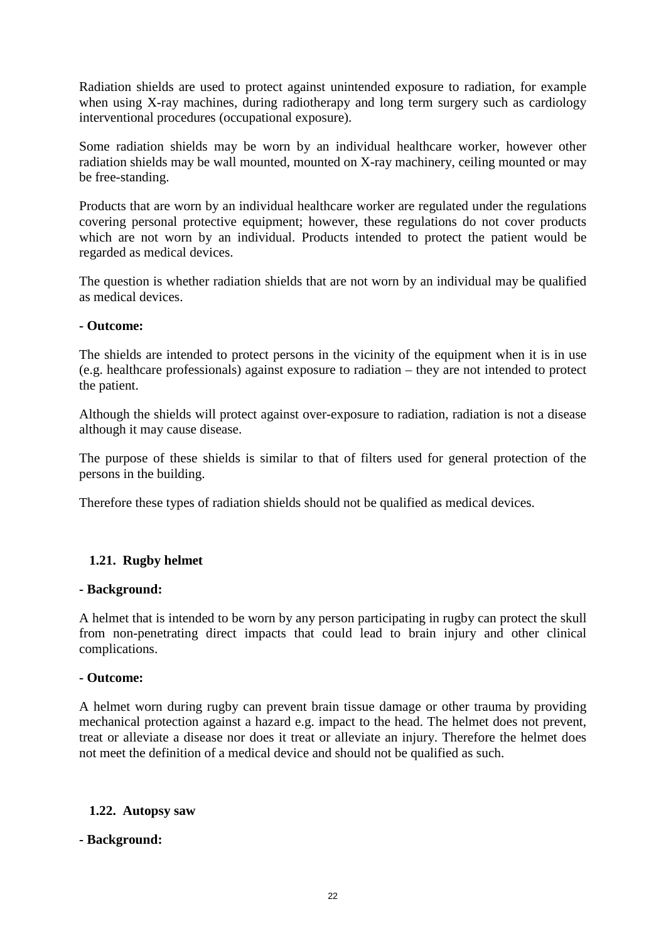Radiation shields are used to protect against unintended exposure to radiation, for example when using X-ray machines, during radiotherapy and long term surgery such as cardiology interventional procedures (occupational exposure).

Some radiation shields may be worn by an individual healthcare worker, however other radiation shields may be wall mounted, mounted on X-ray machinery, ceiling mounted or may be free-standing.

Products that are worn by an individual healthcare worker are regulated under the regulations covering personal protective equipment; however, these regulations do not cover products which are not worn by an individual. Products intended to protect the patient would be regarded as medical devices.

The question is whether radiation shields that are not worn by an individual may be qualified as medical devices.

# **- Outcome:**

The shields are intended to protect persons in the vicinity of the equipment when it is in use (e.g. healthcare professionals) against exposure to radiation – they are not intended to protect the patient.

Although the shields will protect against over-exposure to radiation, radiation is not a disease although it may cause disease.

The purpose of these shields is similar to that of filters used for general protection of the persons in the building.

Therefore these types of radiation shields should not be qualified as medical devices.

# <span id="page-21-0"></span>**1.21. Rugby helmet**

### **- Background:**

A helmet that is intended to be worn by any person participating in rugby can protect the skull from non-penetrating direct impacts that could lead to brain injury and other clinical complications.

### **- Outcome:**

A helmet worn during rugby can prevent brain tissue damage or other trauma by providing mechanical protection against a hazard e.g. impact to the head. The helmet does not prevent, treat or alleviate a disease nor does it treat or alleviate an injury. Therefore the helmet does not meet the definition of a medical device and should not be qualified as such.

### <span id="page-21-1"></span>**1.22. Autopsy saw**

### **- Background:**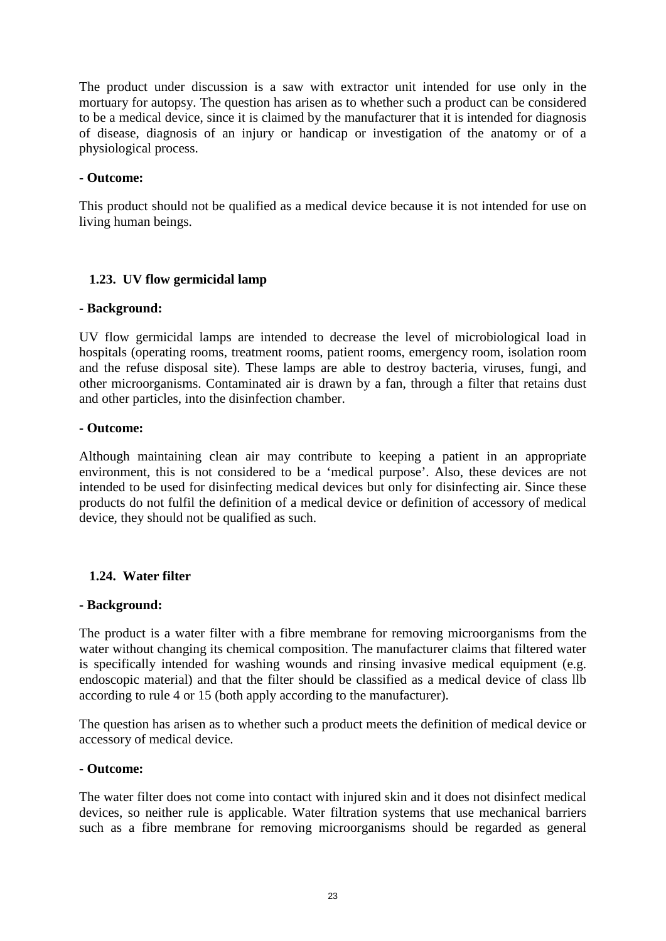The product under discussion is a saw with extractor unit intended for use only in the mortuary for autopsy. The question has arisen as to whether such a product can be considered to be a medical device, since it is claimed by the manufacturer that it is intended for diagnosis of disease, diagnosis of an injury or handicap or investigation of the anatomy or of a physiological process.

### **- Outcome:**

This product should not be qualified as a medical device because it is not intended for use on living human beings.

# <span id="page-22-0"></span>**1.23. UV flow germicidal lamp**

# **- Background:**

UV flow germicidal lamps are intended to decrease the level of microbiological load in hospitals (operating rooms, treatment rooms, patient rooms, emergency room, isolation room and the refuse disposal site). These lamps are able to destroy bacteria, viruses, fungi, and other microorganisms. Contaminated air is drawn by a fan, through a filter that retains dust and other particles, into the disinfection chamber.

# **- Outcome:**

Although maintaining clean air may contribute to keeping a patient in an appropriate environment, this is not considered to be a 'medical purpose'. Also, these devices are not intended to be used for disinfecting medical devices but only for disinfecting air. Since these products do not fulfil the definition of a medical device or definition of accessory of medical device, they should not be qualified as such.

# <span id="page-22-1"></span>**1.24. Water filter**

### **- Background:**

The product is a water filter with a fibre membrane for removing microorganisms from the water without changing its chemical composition. The manufacturer claims that filtered water is specifically intended for washing wounds and rinsing invasive medical equipment (e.g. endoscopic material) and that the filter should be classified as a medical device of class llb according to rule 4 or 15 (both apply according to the manufacturer).

The question has arisen as to whether such a product meets the definition of medical device or accessory of medical device.

# **- Outcome:**

The water filter does not come into contact with injured skin and it does not disinfect medical devices, so neither rule is applicable. Water filtration systems that use mechanical barriers such as a fibre membrane for removing microorganisms should be regarded as general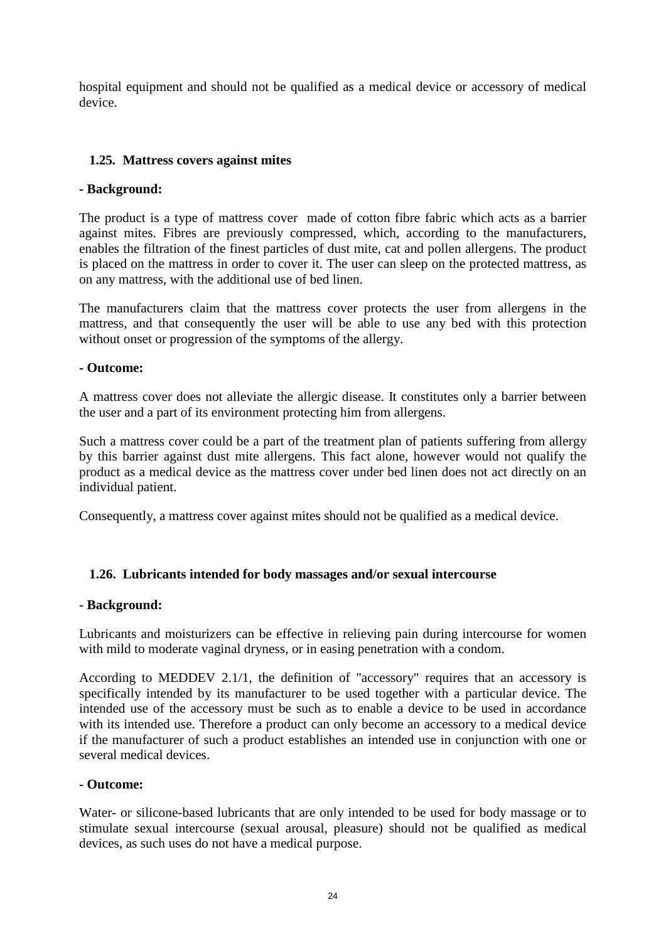hospital equipment and should not be qualified as a medical device or accessory of medical device.

# <span id="page-23-0"></span>**1.25. Mattress covers against mites**

# **- Background:**

The product is a type of mattress cover made of cotton fibre fabric which acts as a barrier against mites. Fibres are previously compressed, which, according to the manufacturers, enables the filtration of the finest particles of dust mite, cat and pollen allergens. The product is placed on the mattress in order to cover it. The user can sleep on the protected mattress, as on any mattress, with the additional use of bed linen.

The manufacturers claim that the mattress cover protects the user from allergens in the mattress, and that consequently the user will be able to use any bed with this protection without onset or progression of the symptoms of the allergy.

# **- Outcome:**

A mattress cover does not alleviate the allergic disease. It constitutes only a barrier between the user and a part of its environment protecting him from allergens.

Such a mattress cover could be a part of the treatment plan of patients suffering from allergy by this barrier against dust mite allergens. This fact alone, however would not qualify the product as a medical device as the mattress cover under bed linen does not act directly on an individual patient.

Consequently, a mattress cover against mites should not be qualified as a medical device.

# <span id="page-23-1"></span>**1.26. Lubricants intended for body massages and/or sexual intercourse**

### - **Background:**

Lubricants and moisturizers can be effective in relieving pain during intercourse for women with mild to moderate vaginal dryness, or in easing penetration with a condom.

According to MEDDEV 2.1/1, the definition of "accessory" requires that an accessory is specifically intended by its manufacturer to be used together with a particular device. The intended use of the accessory must be such as to enable a device to be used in accordance with its intended use. Therefore a product can only become an accessory to a medical device if the manufacturer of such a product establishes an intended use in conjunction with one or several medical devices.

### **- Outcome:**

Water- or silicone-based lubricants that are only intended to be used for body massage or to stimulate sexual intercourse (sexual arousal, pleasure) should not be qualified as medical devices, as such uses do not have a medical purpose.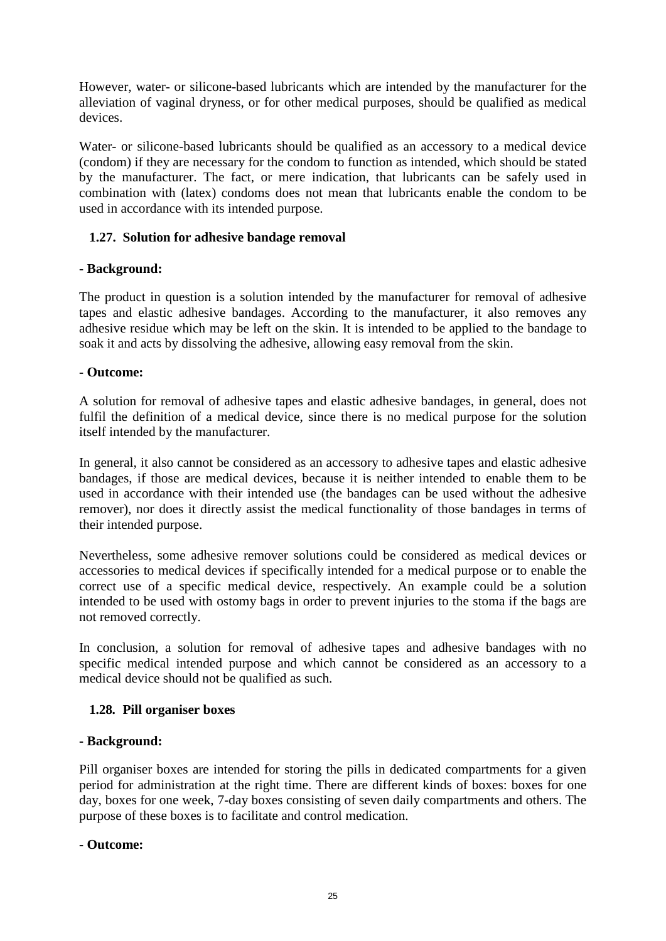However, water- or silicone-based lubricants which are intended by the manufacturer for the alleviation of vaginal dryness, or for other medical purposes, should be qualified as medical devices.

Water- or silicone-based lubricants should be qualified as an accessory to a medical device (condom) if they are necessary for the condom to function as intended, which should be stated by the manufacturer. The fact, or mere indication, that lubricants can be safely used in combination with (latex) condoms does not mean that lubricants enable the condom to be used in accordance with its intended purpose.

# <span id="page-24-0"></span>**1.27. Solution for adhesive bandage removal**

# **- Background:**

The product in question is a solution intended by the manufacturer for removal of adhesive tapes and elastic adhesive bandages. According to the manufacturer, it also removes any adhesive residue which may be left on the skin. It is intended to be applied to the bandage to soak it and acts by dissolving the adhesive, allowing easy removal from the skin.

# **- Outcome:**

A solution for removal of adhesive tapes and elastic adhesive bandages, in general, does not fulfil the definition of a medical device, since there is no medical purpose for the solution itself intended by the manufacturer.

In general, it also cannot be considered as an accessory to adhesive tapes and elastic adhesive bandages, if those are medical devices, because it is neither intended to enable them to be used in accordance with their intended use (the bandages can be used without the adhesive remover), nor does it directly assist the medical functionality of those bandages in terms of their intended purpose.

Nevertheless, some adhesive remover solutions could be considered as medical devices or accessories to medical devices if specifically intended for a medical purpose or to enable the correct use of a specific medical device, respectively. An example could be a solution intended to be used with ostomy bags in order to prevent injuries to the stoma if the bags are not removed correctly.

In conclusion, a solution for removal of adhesive tapes and adhesive bandages with no specific medical intended purpose and which cannot be considered as an accessory to a medical device should not be qualified as such.

### <span id="page-24-1"></span>**1.28. Pill organiser boxes**

### **- Background:**

Pill organiser boxes are intended for storing the pills in dedicated compartments for a given period for administration at the right time. There are different kinds of boxes: boxes for one day, boxes for one week, 7-day boxes consisting of seven daily compartments and others. The purpose of these boxes is to facilitate and control medication.

# **- Outcome:**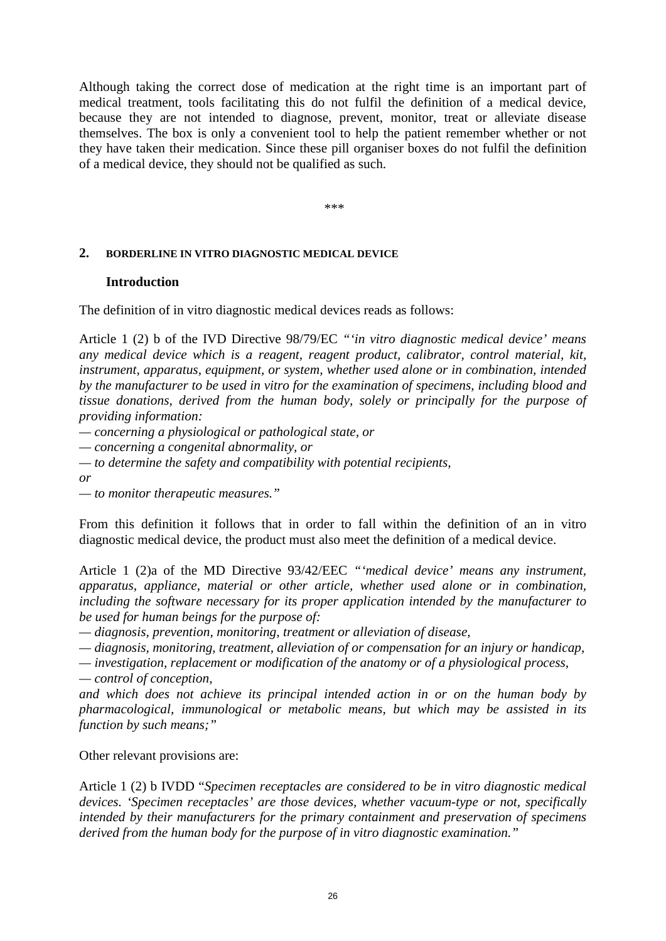Although taking the correct dose of medication at the right time is an important part of medical treatment, tools facilitating this do not fulfil the definition of a medical device, because they are not intended to diagnose, prevent, monitor, treat or alleviate disease themselves. The box is only a convenient tool to help the patient remember whether or not they have taken their medication. Since these pill organiser boxes do not fulfil the definition of a medical device, they should not be qualified as such.

\*\*\*

#### <span id="page-25-1"></span><span id="page-25-0"></span>**2. BORDERLINE IN VITRO DIAGNOSTIC MEDICAL DEVICE**

#### **Introduction**

The definition of in vitro diagnostic medical devices reads as follows:

Article 1 (2) b of the IVD Directive 98/79/EC *"'in vitro diagnostic medical device' means any medical device which is a reagent, reagent product, calibrator, control material, kit, instrument, apparatus, equipment, or system, whether used alone or in combination, intended by the manufacturer to be used in vitro for the examination of specimens, including blood and tissue donations, derived from the human body, solely or principally for the purpose of providing information:*

*— concerning a physiological or pathological state, or*

*— concerning a congenital abnormality, or*

*— to determine the safety and compatibility with potential recipients,*

*or*

*— to monitor therapeutic measures."*

From this definition it follows that in order to fall within the definition of an in vitro diagnostic medical device, the product must also meet the definition of a medical device.

Article 1 (2)a of the MD Directive 93/42/EEC *"'medical device' means any instrument, apparatus, appliance, material or other article, whether used alone or in combination, including the software necessary for its proper application intended by the manufacturer to be used for human beings for the purpose of:* 

*— diagnosis, prevention, monitoring, treatment or alleviation of disease,*

*— diagnosis, monitoring, treatment, alleviation of or compensation for an injury or handicap,*

*— investigation, replacement or modification of the anatomy or of a physiological process,*

*— control of conception,*

*and which does not achieve its principal intended action in or on the human body by pharmacological, immunological or metabolic means, but which may be assisted in its function by such means;"*

Other relevant provisions are:

Article 1 (2) b IVDD "*Specimen receptacles are considered to be in vitro diagnostic medical devices. 'Specimen receptacles' are those devices, whether vacuum-type or not, specifically intended by their manufacturers for the primary containment and preservation of specimens derived from the human body for the purpose of in vitro diagnostic examination."*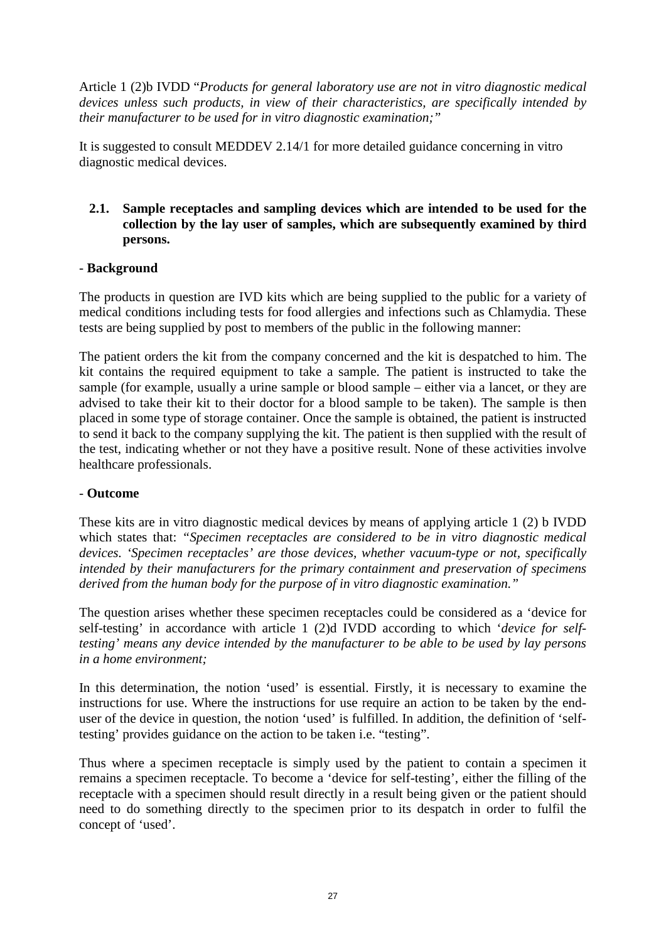Article 1 (2)b IVDD "*Products for general laboratory use are not in vitro diagnostic medical devices unless such products, in view of their characteristics, are specifically intended by their manufacturer to be used for in vitro diagnostic examination;"*

It is suggested to consult MEDDEV 2.14/1 for more detailed guidance concerning in vitro diagnostic medical devices.

# <span id="page-26-0"></span>**2.1. Sample receptacles and sampling devices which are intended to be used for the collection by the lay user of samples, which are subsequently examined by third persons.**

# - **Background**

The products in question are IVD kits which are being supplied to the public for a variety of medical conditions including tests for food allergies and infections such as Chlamydia. These tests are being supplied by post to members of the public in the following manner:

The patient orders the kit from the company concerned and the kit is despatched to him. The kit contains the required equipment to take a sample. The patient is instructed to take the sample (for example, usually a urine sample or blood sample – either via a lancet, or they are advised to take their kit to their doctor for a blood sample to be taken). The sample is then placed in some type of storage container. Once the sample is obtained, the patient is instructed to send it back to the company supplying the kit. The patient is then supplied with the result of the test, indicating whether or not they have a positive result. None of these activities involve healthcare professionals.

### - **Outcome**

These kits are in vitro diagnostic medical devices by means of applying article 1 (2) b IVDD which states that: *"Specimen receptacles are considered to be in vitro diagnostic medical devices. 'Specimen receptacles' are those devices, whether vacuum-type or not, specifically intended by their manufacturers for the primary containment and preservation of specimens derived from the human body for the purpose of in vitro diagnostic examination."*

The question arises whether these specimen receptacles could be considered as a 'device for self-testing' in accordance with article 1 (2)d IVDD according to which '*device for selftesting' means any device intended by the manufacturer to be able to be used by lay persons in a home environment;* 

In this determination, the notion 'used' is essential. Firstly, it is necessary to examine the instructions for use. Where the instructions for use require an action to be taken by the enduser of the device in question, the notion 'used' is fulfilled. In addition, the definition of 'selftesting' provides guidance on the action to be taken i.e. "testing".

Thus where a specimen receptacle is simply used by the patient to contain a specimen it remains a specimen receptacle. To become a 'device for self-testing', either the filling of the receptacle with a specimen should result directly in a result being given or the patient should need to do something directly to the specimen prior to its despatch in order to fulfil the concept of 'used'.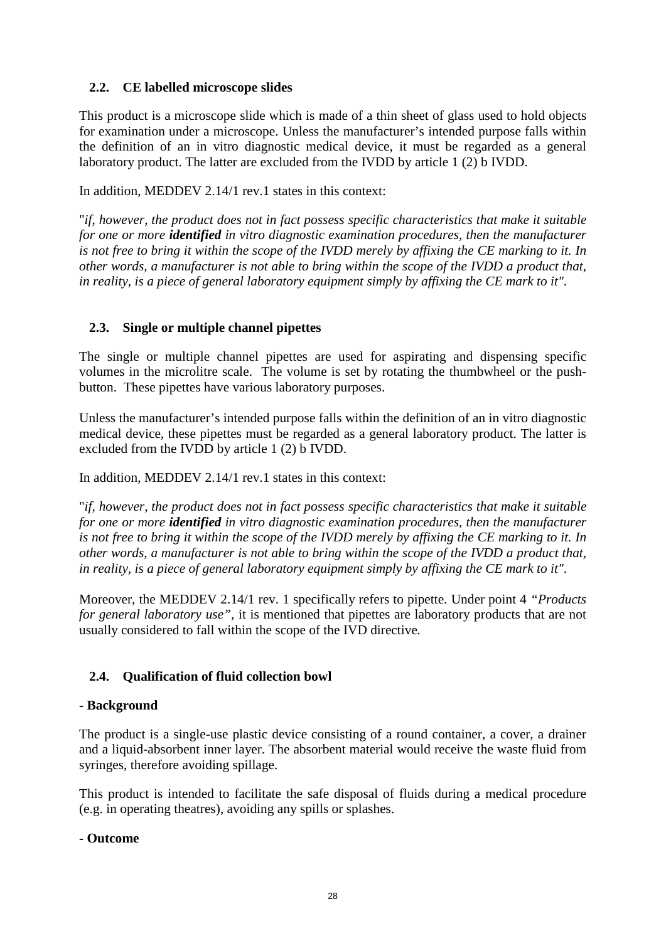# <span id="page-27-0"></span>**2.2. CE labelled microscope slides**

This product is a microscope slide which is made of a thin sheet of glass used to hold objects for examination under a microscope. Unless the manufacturer's intended purpose falls within the definition of an in vitro diagnostic medical device, it must be regarded as a general laboratory product. The latter are excluded from the IVDD by article 1 (2) b IVDD.

In addition, MEDDEV 2.14/1 rev.1 states in this context:

"*if, however, the product does not in fact possess specific characteristics that make it suitable for one or more identified in vitro diagnostic examination procedures, then the manufacturer is not free to bring it within the scope of the IVDD merely by affixing the CE marking to it. In other words, a manufacturer is not able to bring within the scope of the IVDD a product that, in reality, is a piece of general laboratory equipment simply by affixing the CE mark to it".*

# <span id="page-27-1"></span>**2.3. Single or multiple channel pipettes**

The single or multiple channel pipettes are used for aspirating and dispensing specific volumes in the microlitre scale. The volume is set by rotating the thumbwheel or the pushbutton. These pipettes have various laboratory purposes.

Unless the manufacturer's intended purpose falls within the definition of an in vitro diagnostic medical device, these pipettes must be regarded as a general laboratory product. The latter is excluded from the IVDD by article 1 (2) b IVDD.

In addition, MEDDEV 2.14/1 rev.1 states in this context:

"*if, however, the product does not in fact possess specific characteristics that make it suitable for one or more identified in vitro diagnostic examination procedures, then the manufacturer is not free to bring it within the scope of the IVDD merely by affixing the CE marking to it. In other words, a manufacturer is not able to bring within the scope of the IVDD a product that, in reality, is a piece of general laboratory equipment simply by affixing the CE mark to it".*

Moreover, the MEDDEV 2.14/1 rev. 1 specifically refers to pipette. Under point 4 *"Products for general laboratory use",* it is mentioned that pipettes are laboratory products that are not usually considered to fall within the scope of the IVD directive*.*

# <span id="page-27-2"></span>**2.4. Qualification of fluid collection bowl**

### **- Background**

The product is a single-use plastic device consisting of a round container, a cover, a drainer and a liquid-absorbent inner layer. The absorbent material would receive the waste fluid from syringes, therefore avoiding spillage.

This product is intended to facilitate the safe disposal of fluids during a medical procedure (e.g. in operating theatres), avoiding any spills or splashes.

### **- Outcome**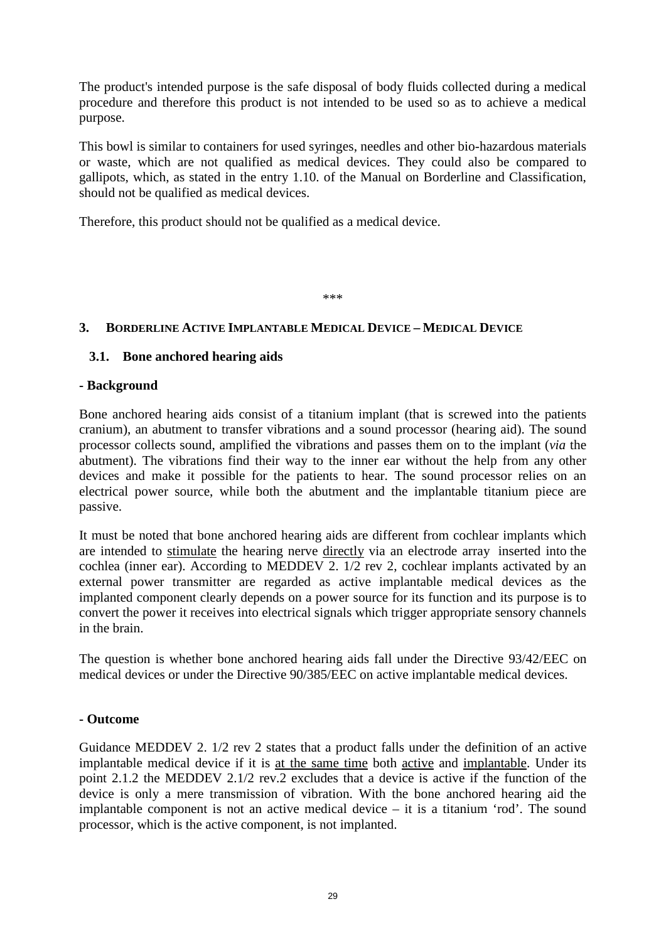The product's intended purpose is the safe disposal of body fluids collected during a medical procedure and therefore this product is not intended to be used so as to achieve a medical purpose.

This bowl is similar to containers for used syringes, needles and other bio-hazardous materials or waste, which are not qualified as medical devices. They could also be compared to gallipots, which, as stated in the entry 1.10. of the Manual on Borderline and Classification, should not be qualified as medical devices.

Therefore, this product should not be qualified as a medical device.

\*\*\*

# <span id="page-28-0"></span>**3. BORDERLINE ACTIVE IMPLANTABLE MEDICAL DEVICE – MEDICAL DEVICE**

# <span id="page-28-1"></span>**3.1. Bone anchored hearing aids**

### **- Background**

Bone anchored hearing aids consist of a titanium implant (that is screwed into the patients cranium), an abutment to transfer vibrations and a sound processor (hearing aid). The sound processor collects sound, amplified the vibrations and passes them on to the implant (*via* the abutment). The vibrations find their way to the inner ear without the help from any other devices and make it possible for the patients to hear. The sound processor relies on an electrical power source, while both the abutment and the implantable titanium piece are passive.

It must be noted that bone anchored hearing aids are different from cochlear implants which are intended to stimulate the hearing nerve directly via an electrode array inserted into the cochlea (inner ear). According to [MEDDEV 2. 1/2 rev 2,](http://ec.europa.eu/enterprise/medical_devices/meddev/2_1-2___04-1994.pdf) cochlear implants activated by an external power transmitter are regarded as active implantable medical devices as the implanted component clearly depends on a power source for its function and its purpose is to convert the power it receives into electrical signals which trigger appropriate sensory channels in the brain.

The question is whether bone anchored hearing aids fall under the Directive 93/42/EEC on medical devices or under the Directive 90/385/EEC on active implantable medical devices.

### **- Outcome**

Guidance MEDDEV 2. 1/2 rev 2 states that a product falls under the definition of an active implantable medical device if it is at the same time both active and implantable. Under its point 2.1.2 the MEDDEV 2.1/2 rev.2 excludes that a device is active if the function of the device is only a mere transmission of vibration. With the bone anchored hearing aid the implantable component is not an active medical device – it is a titanium 'rod'. The sound processor, which is the active component, is not implanted.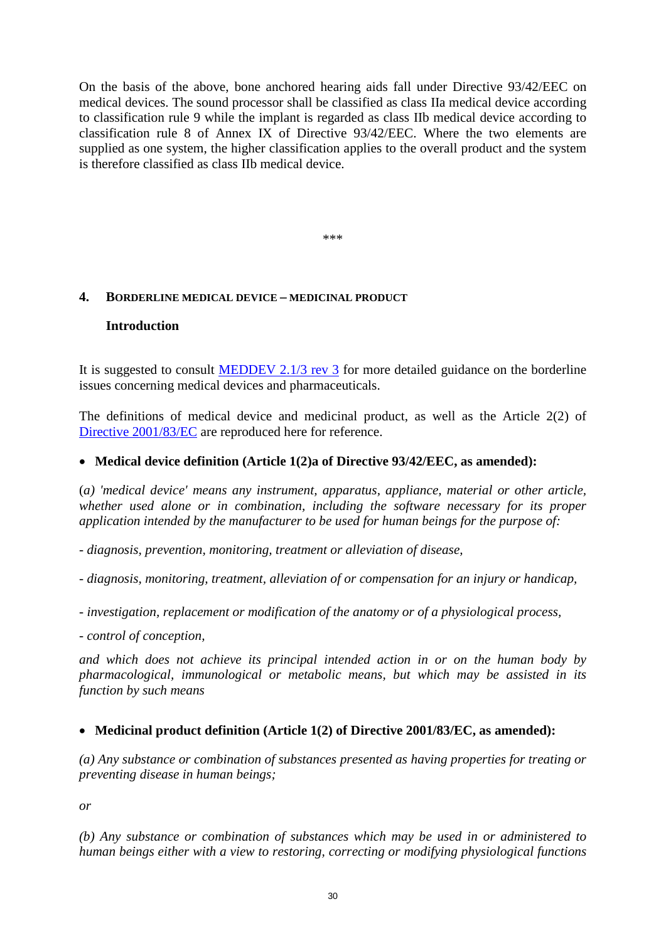On the basis of the above, bone anchored hearing aids fall under Directive 93/42/EEC on medical devices. The sound processor shall be classified as class IIa medical device according to classification rule 9 while the implant is regarded as class IIb medical device according to classification rule 8 of Annex IX of Directive 93/42/EEC. Where the two elements are supplied as one system, the higher classification applies to the overall product and the system is therefore classified as class IIb medical device.

\*\*\*

# <span id="page-29-1"></span><span id="page-29-0"></span>**4. BORDERLINE MEDICAL DEVICE – MEDICINAL PRODUCT**

### **Introduction**

It is suggested to consult  $\overline{MEDDEV}$  2.1/3 rev 3 for more detailed guidance on the borderline issues concerning medical devices and pharmaceuticals.

The definitions of medical device and medicinal product, as well as the Article 2(2) of [Directive 2001/83/EC](http://eur-lex.europa.eu/LexUriServ/LexUriServ.do?uri=CONSLEG:2001L0083:20091005:EN:PDF) are reproduced here for reference.

# • **Medical device definition (Article 1(2)a of Directive 93/42/EEC, as amended):**

(*a) 'medical device' means any instrument, apparatus, appliance, material or other article, whether used alone or in combination, including the software necessary for its proper application intended by the manufacturer to be used for human beings for the purpose of:* 

*- diagnosis, prevention, monitoring, treatment or alleviation of disease,* 

*- diagnosis, monitoring, treatment, alleviation of or compensation for an injury or handicap,* 

*- investigation, replacement or modification of the anatomy or of a physiological process,* 

*- control of conception,* 

*and which does not achieve its principal intended action in or on the human body by pharmacological, immunological or metabolic means, but which may be assisted in its function by such means*

# • **Medicinal product definition (Article 1(2) of Directive 2001/83/EC, as amended):**

*(a) Any substance or combination of substances presented as having properties for treating or preventing disease in human beings;*

*or*

*(b) Any substance or combination of substances which may be used in or administered to human beings either with a view to restoring, correcting or modifying physiological functions*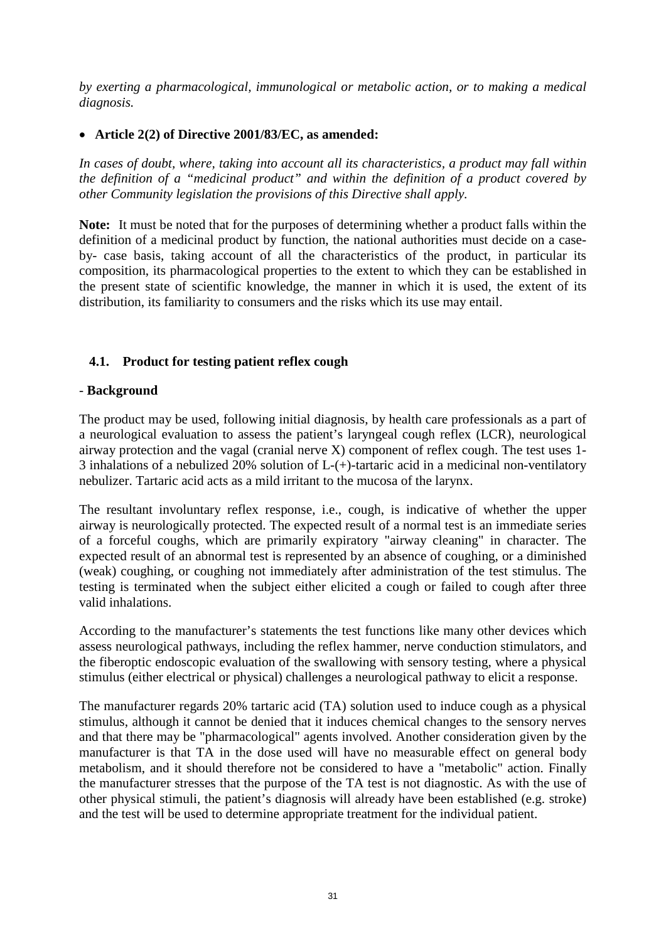*by exerting a pharmacological, immunological or metabolic action, or to making a medical diagnosis.*

# • **Article 2(2) of Directive 2001/83/EC, as amended:**

*In cases of doubt, where, taking into account all its characteristics, a product may fall within the definition of a "medicinal product" and within the definition of a product covered by other Community legislation the provisions of this Directive shall apply.*

**Note:** It must be noted that for the purposes of determining whether a product falls within the definition of a medicinal product by function, the national authorities must decide on a caseby- case basis, taking account of all the characteristics of the product, in particular its composition, its pharmacological properties to the extent to which they can be established in the present state of scientific knowledge, the manner in which it is used, the extent of its distribution, its familiarity to consumers and the risks which its use may entail.

# <span id="page-30-0"></span>**4.1. Product for testing patient reflex cough**

### - **Background**

The product may be used, following initial diagnosis, by health care professionals as a part of a neurological evaluation to assess the patient's laryngeal cough reflex (LCR), neurological airway protection and the vagal (cranial nerve X) component of reflex cough. The test uses 1- 3 inhalations of a nebulized 20% solution of L-(+)-tartaric acid in a medicinal non-ventilatory nebulizer. Tartaric acid acts as a mild irritant to the mucosa of the larynx.

The resultant involuntary reflex response, i.e., cough, is indicative of whether the upper airway is neurologically protected. The expected result of a normal test is an immediate series of a forceful coughs, which are primarily expiratory "airway cleaning" in character. The expected result of an abnormal test is represented by an absence of coughing, or a diminished (weak) coughing, or coughing not immediately after administration of the test stimulus. The testing is terminated when the subject either elicited a cough or failed to cough after three valid inhalations.

According to the manufacturer's statements the test functions like many other devices which assess neurological pathways, including the reflex hammer, nerve conduction stimulators, and the fiberoptic endoscopic evaluation of the swallowing with sensory testing, where a physical stimulus (either electrical or physical) challenges a neurological pathway to elicit a response.

The manufacturer regards 20% tartaric acid (TA) solution used to induce cough as a physical stimulus, although it cannot be denied that it induces chemical changes to the sensory nerves and that there may be "pharmacological" agents involved. Another consideration given by the manufacturer is that TA in the dose used will have no measurable effect on general body metabolism, and it should therefore not be considered to have a "metabolic" action. Finally the manufacturer stresses that the purpose of the TA test is not diagnostic. As with the use of other physical stimuli, the patient's diagnosis will already have been established (e.g. stroke) and the test will be used to determine appropriate treatment for the individual patient.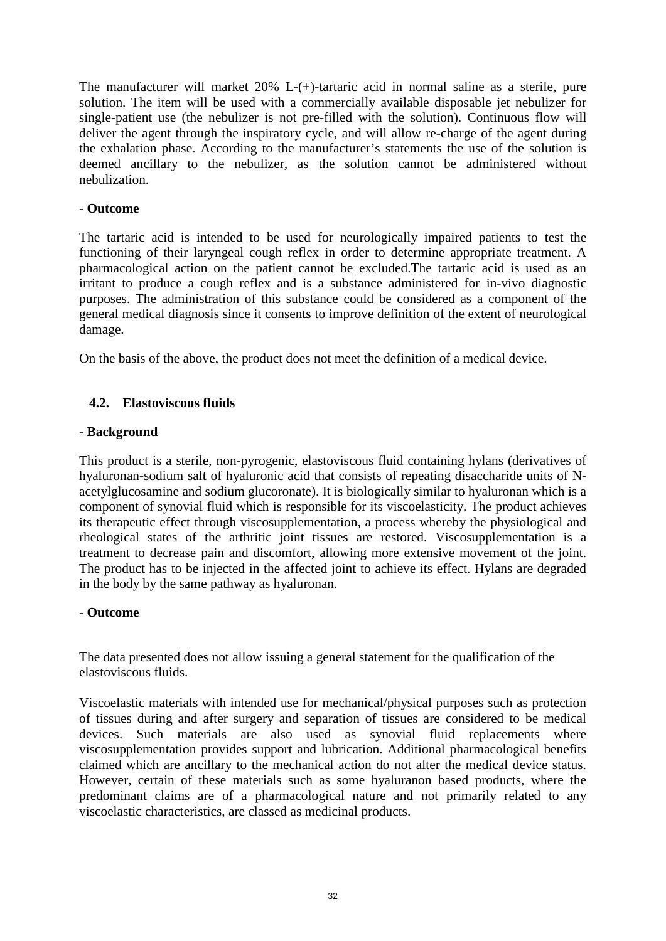The manufacturer will market 20% L-(+)-tartaric acid in normal saline as a sterile, pure solution. The item will be used with a commercially available disposable jet nebulizer for single-patient use (the nebulizer is not pre-filled with the solution). Continuous flow will deliver the agent through the inspiratory cycle, and will allow re-charge of the agent during the exhalation phase. According to the manufacturer's statements the use of the solution is deemed ancillary to the nebulizer, as the solution cannot be administered without nebulization.

# - **Outcome**

The tartaric acid is intended to be used for neurologically impaired patients to test the functioning of their laryngeal cough reflex in order to determine appropriate treatment. A pharmacological action on the patient cannot be excluded.The tartaric acid is used as an irritant to produce a cough reflex and is a substance administered for in-vivo diagnostic purposes. The administration of this substance could be considered as a component of the general medical diagnosis since it consents to improve definition of the extent of neurological damage.

On the basis of the above, the product does not meet the definition of a medical device.

# <span id="page-31-0"></span>**4.2. Elastoviscous fluids**

# - **Background**

This product is a sterile, non-pyrogenic, elastoviscous fluid containing hylans (derivatives of hyaluronan-sodium salt of hyaluronic acid that consists of repeating disaccharide units of Nacetylglucosamine and sodium glucoronate). It is biologically similar to hyaluronan which is a component of synovial fluid which is responsible for its viscoelasticity. The product achieves its therapeutic effect through viscosupplementation, a process whereby the physiological and rheological states of the arthritic joint tissues are restored. Viscosupplementation is a treatment to decrease pain and discomfort, allowing more extensive movement of the joint. The product has to be injected in the affected joint to achieve its effect. Hylans are degraded in the body by the same pathway as hyaluronan.

### - **Outcome**

The data presented does not allow issuing a general statement for the qualification of the elastoviscous fluids.

Viscoelastic materials with intended use for mechanical/physical purposes such as protection of tissues during and after surgery and separation of tissues are considered to be medical devices. Such materials are also used as synovial fluid replacements where viscosupplementation provides support and lubrication. Additional pharmacological benefits claimed which are ancillary to the mechanical action do not alter the medical device status. However, certain of these materials such as some hyaluranon based products, where the predominant claims are of a pharmacological nature and not primarily related to any viscoelastic characteristics, are classed as medicinal products.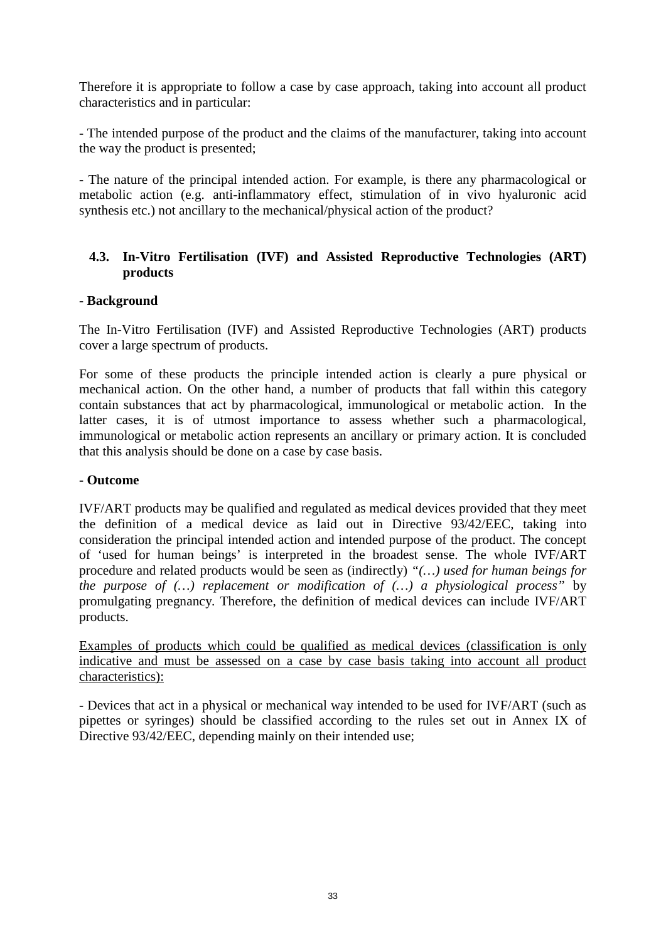Therefore it is appropriate to follow a case by case approach, taking into account all product characteristics and in particular:

- The intended purpose of the product and the claims of the manufacturer, taking into account the way the product is presented;

- The nature of the principal intended action. For example, is there any pharmacological or metabolic action (e.g. anti-inflammatory effect, stimulation of in vivo hyaluronic acid synthesis etc.) not ancillary to the mechanical/physical action of the product?

# <span id="page-32-0"></span>**4.3. In-Vitro Fertilisation (IVF) and Assisted Reproductive Technologies (ART) products**

# - **Background**

The In-Vitro Fertilisation (IVF) and Assisted Reproductive Technologies (ART) products cover a large spectrum of products.

For some of these products the principle intended action is clearly a pure physical or mechanical action. On the other hand, a number of products that fall within this category contain substances that act by pharmacological, immunological or metabolic action. In the latter cases, it is of utmost importance to assess whether such a pharmacological, immunological or metabolic action represents an ancillary or primary action. It is concluded that this analysis should be done on a case by case basis.

### - **Outcome**

IVF/ART products may be qualified and regulated as medical devices provided that they meet the definition of a medical device as laid out in Directive 93/42/EEC, taking into consideration the principal intended action and intended purpose of the product. The concept of 'used for human beings' is interpreted in the broadest sense. The whole IVF/ART procedure and related products would be seen as (indirectly) *"(…) used for human beings for the purpose of (…) replacement or modification of (…) a physiological process"* by promulgating pregnancy*.* Therefore, the definition of medical devices can include IVF/ART products.

Examples of products which could be qualified as medical devices (classification is only indicative and must be assessed on a case by case basis taking into account all product characteristics):

- Devices that act in a physical or mechanical way intended to be used for IVF/ART (such as pipettes or syringes) should be classified according to the rules set out in Annex IX of Directive 93/42/EEC, depending mainly on their intended use;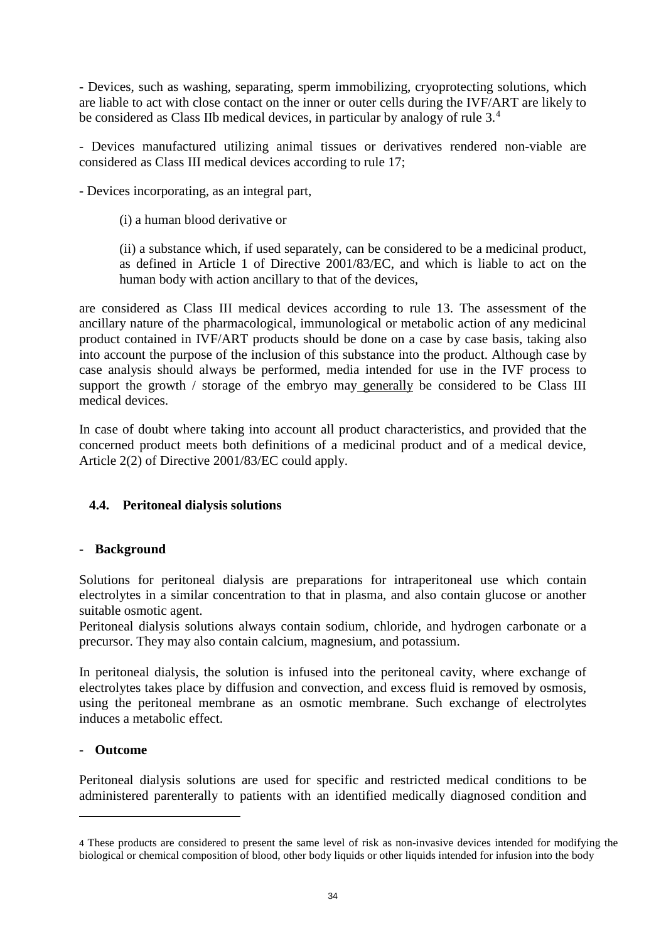- Devices, such as washing, separating, sperm immobilizing, cryoprotecting solutions, which are liable to act with close contact on the inner or outer cells during the IVF/ART are likely to be considered as Class IIb medical devices, in particular by analogy of rule 3.[4](#page-33-1)

- Devices manufactured utilizing animal tissues or derivatives rendered non-viable are considered as Class III medical devices according to rule 17;

- Devices incorporating, as an integral part,

(i) a human blood derivative or

(ii) a substance which, if used separately, can be considered to be a medicinal product, as defined in Article 1 of Directive 2001/83/EC, and which is liable to act on the human body with action ancillary to that of the devices,

are considered as Class III medical devices according to rule 13. The assessment of the ancillary nature of the pharmacological, immunological or metabolic action of any medicinal product contained in IVF/ART products should be done on a case by case basis, taking also into account the purpose of the inclusion of this substance into the product. Although case by case analysis should always be performed, media intended for use in the IVF process to support the growth / storage of the embryo may generally be considered to be Class III medical devices.

In case of doubt where taking into account all product characteristics, and provided that the concerned product meets both definitions of a medicinal product and of a medical device, Article 2(2) of Directive 2001/83/EC could apply.

# <span id="page-33-0"></span>**4.4. Peritoneal dialysis solutions**

# - **Background**

Solutions for peritoneal dialysis are preparations for intraperitoneal use which contain electrolytes in a similar concentration to that in plasma, and also contain glucose or another suitable osmotic agent.

Peritoneal dialysis solutions always contain sodium, chloride, and hydrogen carbonate or a precursor. They may also contain calcium, magnesium, and potassium.

In peritoneal dialysis, the solution is infused into the peritoneal cavity, where exchange of electrolytes takes place by diffusion and convection, and excess fluid is removed by osmosis, using the peritoneal membrane as an osmotic membrane. Such exchange of electrolytes induces a metabolic effect.

### - **Outcome**

 $\overline{a}$ 

Peritoneal dialysis solutions are used for specific and restricted medical conditions to be administered parenterally to patients with an identified medically diagnosed condition and

<span id="page-33-1"></span><sup>4</sup> These products are considered to present the same level of risk as non-invasive devices intended for modifying the biological or chemical composition of blood, other body liquids or other liquids intended for infusion into the body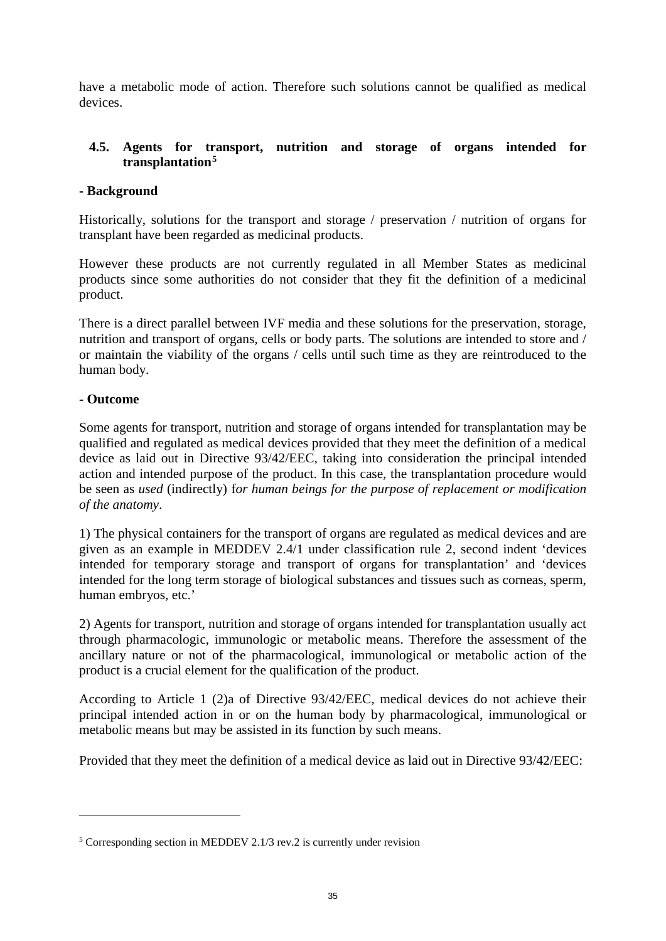have a metabolic mode of action. Therefore such solutions cannot be qualified as medical devices.

# <span id="page-34-0"></span>**4.5. Agents for transport, nutrition and storage of organs intended for transplantation[5](#page-34-1)**

# **- Background**

Historically, solutions for the transport and storage / preservation / nutrition of organs for transplant have been regarded as medicinal products.

However these products are not currently regulated in all Member States as medicinal products since some authorities do not consider that they fit the definition of a medicinal product.

There is a direct parallel between IVF media and these solutions for the preservation, storage, nutrition and transport of organs, cells or body parts. The solutions are intended to store and / or maintain the viability of the organs / cells until such time as they are reintroduced to the human body.

# **- Outcome**

 $\overline{a}$ 

Some agents for transport, nutrition and storage of organs intended for transplantation may be qualified and regulated as medical devices provided that they meet the definition of a medical device as laid out in Directive 93/42/EEC, taking into consideration the principal intended action and intended purpose of the product. In this case, the transplantation procedure would be seen as *used* (indirectly) f*or human beings for the purpose of replacement or modification of the anatomy*.

1) The physical containers for the transport of organs are regulated as medical devices and are given as an example in MEDDEV 2.4/1 under classification rule 2, second indent 'devices intended for temporary storage and transport of organs for transplantation' and 'devices intended for the long term storage of biological substances and tissues such as corneas, sperm, human embryos, etc.'

2) Agents for transport, nutrition and storage of organs intended for transplantation usually act through pharmacologic, immunologic or metabolic means. Therefore the assessment of the ancillary nature or not of the pharmacological, immunological or metabolic action of the product is a crucial element for the qualification of the product.

According to Article 1 (2)a of Directive 93/42/EEC, medical devices do not achieve their principal intended action in or on the human body by pharmacological, immunological or metabolic means but may be assisted in its function by such means.

Provided that they meet the definition of a medical device as laid out in Directive 93/42/EEC:

<span id="page-34-1"></span><sup>5</sup> Corresponding section in MEDDEV 2.1/3 rev.2 is currently under revision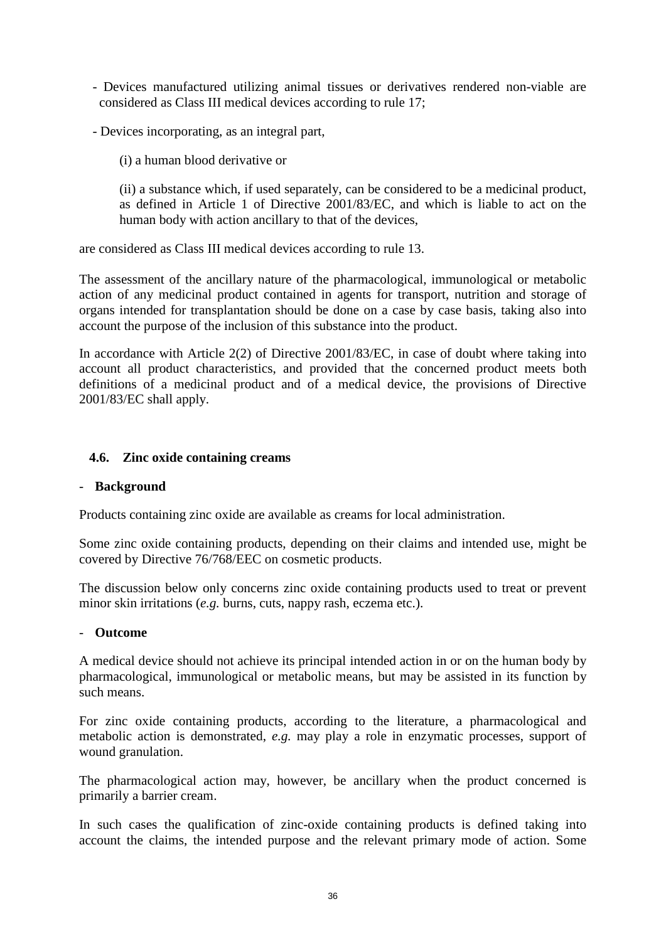- Devices manufactured utilizing animal tissues or derivatives rendered non-viable are considered as Class III medical devices according to rule 17;
- Devices incorporating, as an integral part,

(i) a human blood derivative or

(ii) a substance which, if used separately, can be considered to be a medicinal product, as defined in Article 1 of Directive 2001/83/EC, and which is liable to act on the human body with action ancillary to that of the devices,

are considered as Class III medical devices according to rule 13.

The assessment of the ancillary nature of the pharmacological, immunological or metabolic action of any medicinal product contained in agents for transport, nutrition and storage of organs intended for transplantation should be done on a case by case basis, taking also into account the purpose of the inclusion of this substance into the product.

In accordance with Article 2(2) of Directive 2001/83/EC, in case of doubt where taking into account all product characteristics, and provided that the concerned product meets both definitions of a medicinal product and of a medical device, the provisions of Directive 2001/83/EC shall apply.

# <span id="page-35-0"></span>**4.6. Zinc oxide containing creams**

### - **Background**

Products containing zinc oxide are available as creams for local administration.

Some zinc oxide containing products, depending on their claims and intended use, might be covered by Directive 76/768/EEC on cosmetic products.

The discussion below only concerns zinc oxide containing products used to treat or prevent minor skin irritations (*e.g.* burns, cuts, nappy rash, eczema etc.).

### - **Outcome**

A medical device should not achieve its principal intended action in or on the human body by pharmacological, immunological or metabolic means, but may be assisted in its function by such means.

For zinc oxide containing products, according to the literature, a pharmacological and metabolic action is demonstrated, *e.g.* may play a role in enzymatic processes, support of wound granulation.

The pharmacological action may, however, be ancillary when the product concerned is primarily a barrier cream.

In such cases the qualification of zinc-oxide containing products is defined taking into account the claims, the intended purpose and the relevant primary mode of action. Some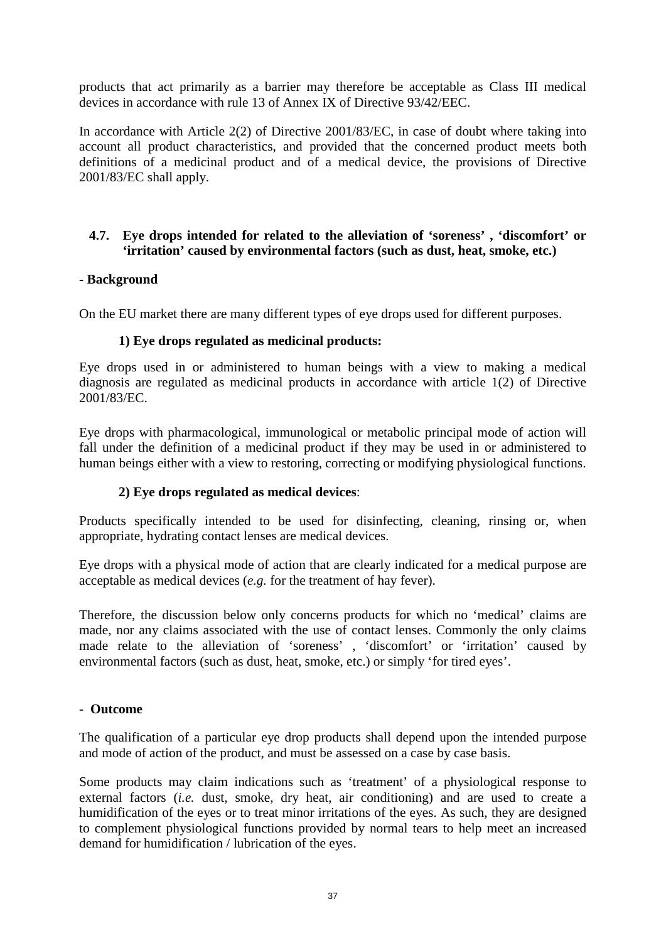products that act primarily as a barrier may therefore be acceptable as Class III medical devices in accordance with rule 13 of Annex IX of Directive 93/42/EEC.

In accordance with Article 2(2) of Directive 2001/83/EC, in case of doubt where taking into account all product characteristics, and provided that the concerned product meets both definitions of a medicinal product and of a medical device, the provisions of Directive 2001/83/EC shall apply.

# **4.7. Eye drops intended for related to the alleviation of 'soreness' , 'discomfort' or 'irritation' caused by environmental factors (such as dust, heat, smoke, etc.)**

## **- Background**

On the EU market there are many different types of eye drops used for different purposes.

## **1) Eye drops regulated as medicinal products:**

Eye drops used in or administered to human beings with a view to making a medical diagnosis are regulated as medicinal products in accordance with article 1(2) of Directive 2001/83/EC.

Eye drops with pharmacological, immunological or metabolic principal mode of action will fall under the definition of a medicinal product if they may be used in or administered to human beings either with a view to restoring, correcting or modifying physiological functions.

#### **2) Eye drops regulated as medical devices**:

Products specifically intended to be used for disinfecting, cleaning, rinsing or, when appropriate, hydrating contact lenses are medical devices.

Eye drops with a physical mode of action that are clearly indicated for a medical purpose are acceptable as medical devices (*e.g.* for the treatment of hay fever).

Therefore, the discussion below only concerns products for which no 'medical' claims are made, nor any claims associated with the use of contact lenses. Commonly the only claims made relate to the alleviation of 'soreness' , 'discomfort' or 'irritation' caused by environmental factors (such as dust, heat, smoke, etc.) or simply 'for tired eyes'.

#### - **Outcome**

The qualification of a particular eye drop products shall depend upon the intended purpose and mode of action of the product, and must be assessed on a case by case basis.

Some products may claim indications such as 'treatment' of a physiological response to external factors (*i.e.* dust, smoke, dry heat, air conditioning) and are used to create a humidification of the eyes or to treat minor irritations of the eyes. As such, they are designed to complement physiological functions provided by normal tears to help meet an increased demand for humidification / lubrication of the eyes.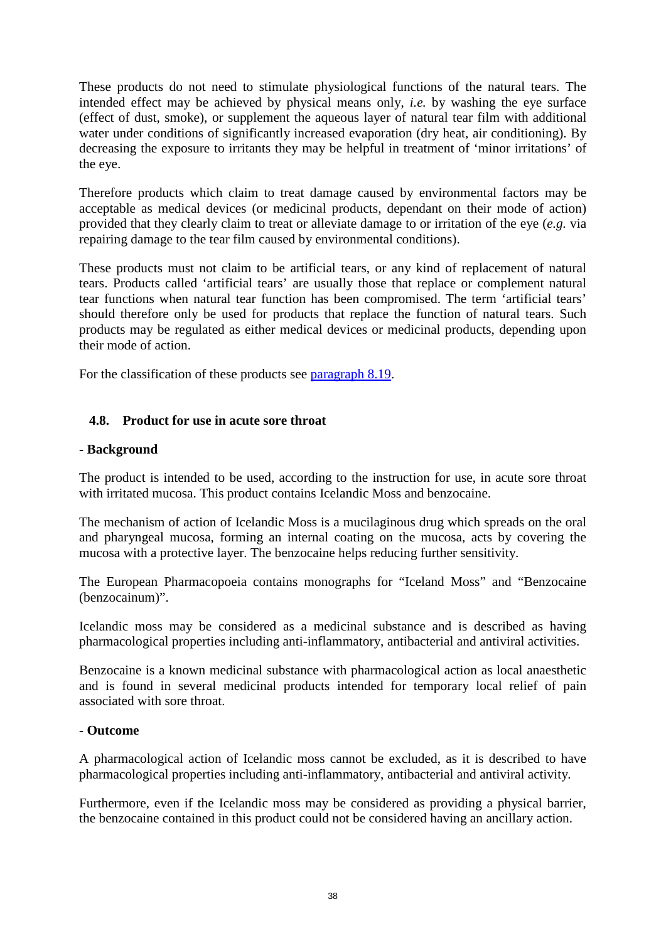These products do not need to stimulate physiological functions of the natural tears. The intended effect may be achieved by physical means only, *i.e.* by washing the eye surface (effect of dust, smoke), or supplement the aqueous layer of natural tear film with additional water under conditions of significantly increased evaporation (dry heat, air conditioning). By decreasing the exposure to irritants they may be helpful in treatment of 'minor irritations' of the eye.

Therefore products which claim to treat damage caused by environmental factors may be acceptable as medical devices (or medicinal products, dependant on their mode of action) provided that they clearly claim to treat or alleviate damage to or irritation of the eye (*e.g.* via repairing damage to the tear film caused by environmental conditions).

These products must not claim to be artificial tears, or any kind of replacement of natural tears. Products called 'artificial tears' are usually those that replace or complement natural tear functions when natural tear function has been compromised. The term 'artificial tears' should therefore only be used for products that replace the function of natural tears. Such products may be regulated as either medical devices or medicinal products, depending upon their mode of action.

For the classification of these products see [paragraph 8.19.](#page-66-0)

# **4.8. Product for use in acute sore throat**

#### **- Background**

The product is intended to be used, according to the instruction for use, in acute sore throat with irritated mucosa. This product contains Icelandic Moss and benzocaine.

The mechanism of action of Icelandic Moss is a mucilaginous drug which spreads on the oral and pharyngeal mucosa, forming an internal coating on the mucosa, acts by covering the mucosa with a protective layer. The benzocaine helps reducing further sensitivity.

The European Pharmacopoeia contains monographs for "Iceland Moss" and "Benzocaine (benzocainum)".

Icelandic moss may be considered as a medicinal substance and is described as having pharmacological properties including anti-inflammatory, antibacterial and antiviral activities.

Benzocaine is a known medicinal substance with pharmacological action as local anaesthetic and is found in several medicinal products intended for temporary local relief of pain associated with sore throat.

#### **- Outcome**

A pharmacological action of Icelandic moss cannot be excluded, as it is described to have pharmacological properties including anti-inflammatory, antibacterial and antiviral activity*.* 

Furthermore, even if the Icelandic moss may be considered as providing a physical barrier, the benzocaine contained in this product could not be considered having an ancillary action.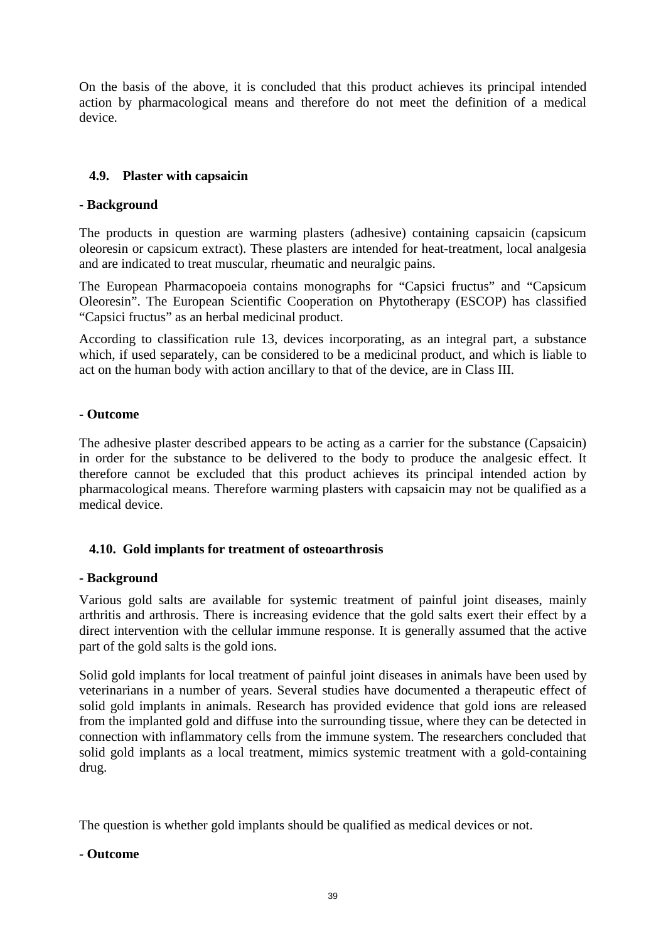On the basis of the above, it is concluded that this product achieves its principal intended action by pharmacological means and therefore do not meet the definition of a medical device.

# **4.9. Plaster with capsaicin**

# **- Background**

The products in question are warming plasters (adhesive) containing capsaicin (capsicum oleoresin or capsicum extract). These plasters are intended for heat-treatment, local analgesia and are indicated to treat muscular, rheumatic and neuralgic pains.

The European Pharmacopoeia contains monographs for "Capsici fructus" and "Capsicum Oleoresin". The European Scientific Cooperation on Phytotherapy (ESCOP) has classified "Capsici fructus" as an herbal medicinal product.

According to classification rule 13, devices incorporating, as an integral part, a substance which, if used separately, can be considered to be a medicinal product, and which is liable to act on the human body with action ancillary to that of the device, are in Class III.

## **- Outcome**

The adhesive plaster described appears to be acting as a carrier for the substance (Capsaicin) in order for the substance to be delivered to the body to produce the analgesic effect. It therefore cannot be excluded that this product achieves its principal intended action by pharmacological means. Therefore warming plasters with capsaicin may not be qualified as a medical device.

# **4.10. Gold implants for treatment of osteoarthrosis**

#### **- Background**

Various gold salts are available for systemic treatment of painful joint diseases, mainly arthritis and arthrosis. There is increasing evidence that the gold salts exert their effect by a direct intervention with the cellular immune response. It is generally assumed that the active part of the gold salts is the gold ions.

Solid gold implants for local treatment of painful joint diseases in animals have been used by veterinarians in a number of years. Several studies have documented a therapeutic effect of solid gold implants in animals. Research has provided evidence that gold ions are released from the implanted gold and diffuse into the surrounding tissue, where they can be detected in connection with inflammatory cells from the immune system. The researchers concluded that solid gold implants as a local treatment, mimics systemic treatment with a gold-containing drug.

The question is whether gold implants should be qualified as medical devices or not.

# - **Outcome**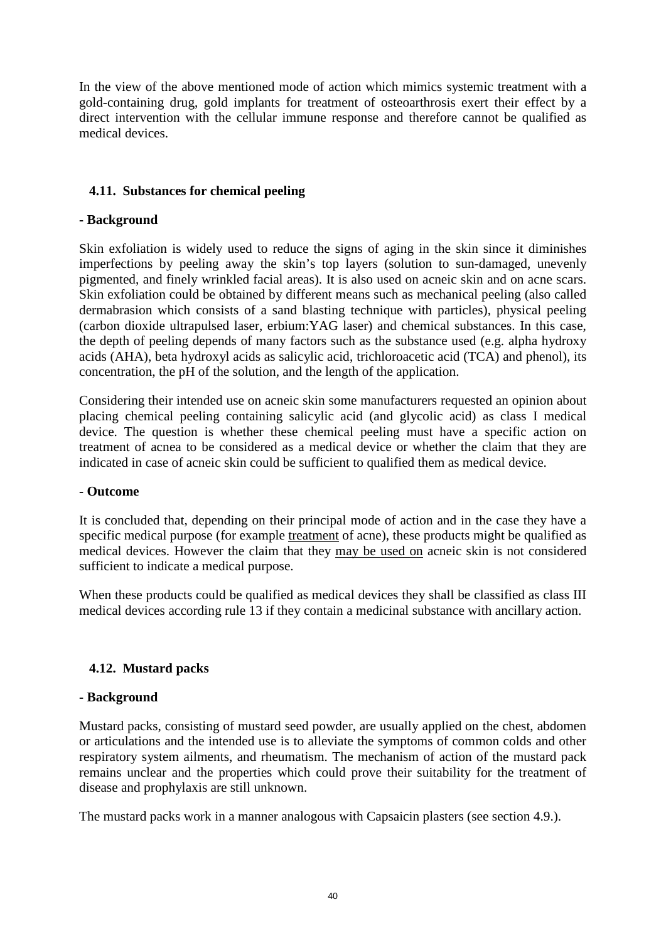In the view of the above mentioned mode of action which mimics systemic treatment with a gold-containing drug, gold implants for treatment of osteoarthrosis exert their effect by a direct intervention with the cellular immune response and therefore cannot be qualified as medical devices.

# **4.11. Substances for chemical peeling**

# **- Background**

Skin exfoliation is widely used to reduce the signs of aging in the skin since it diminishes imperfections by peeling away the skin's top layers (solution to sun-damaged, unevenly pigmented, and finely wrinkled facial areas). It is also used on acneic skin and on acne scars. Skin exfoliation could be obtained by different means such as mechanical peeling (also called dermabrasion which consists of a sand blasting technique with particles), physical peeling (carbon dioxide ultrapulsed laser, erbium:YAG laser) and chemical substances. In this case, the depth of peeling depends of many factors such as the substance used (e.g. alpha hydroxy acids (AHA), beta hydroxyl acids as salicylic acid, trichloroacetic acid (TCA) and phenol), its concentration, the pH of the solution, and the length of the application.

Considering their intended use on acneic skin some manufacturers requested an opinion about placing chemical peeling containing salicylic acid (and glycolic acid) as class I medical device. The question is whether these chemical peeling must have a specific action on treatment of acnea to be considered as a medical device or whether the claim that they are indicated in case of acneic skin could be sufficient to qualified them as medical device.

#### **- Outcome**

It is concluded that, depending on their principal mode of action and in the case they have a specific medical purpose (for example treatment of acne), these products might be qualified as medical devices. However the claim that they may be used on acneic skin is not considered sufficient to indicate a medical purpose.

When these products could be qualified as medical devices they shall be classified as class III medical devices according rule 13 if they contain a medicinal substance with ancillary action.

# **4.12. Mustard packs**

#### **- Background**

Mustard packs, consisting of mustard seed powder, are usually applied on the chest, abdomen or articulations and the intended use is to alleviate the symptoms of common colds and other respiratory system ailments, and rheumatism. The mechanism of action of the mustard pack remains unclear and the properties which could prove their suitability for the treatment of disease and prophylaxis are still unknown.

The mustard packs work in a manner analogous with Capsaicin plasters (see section 4.9.).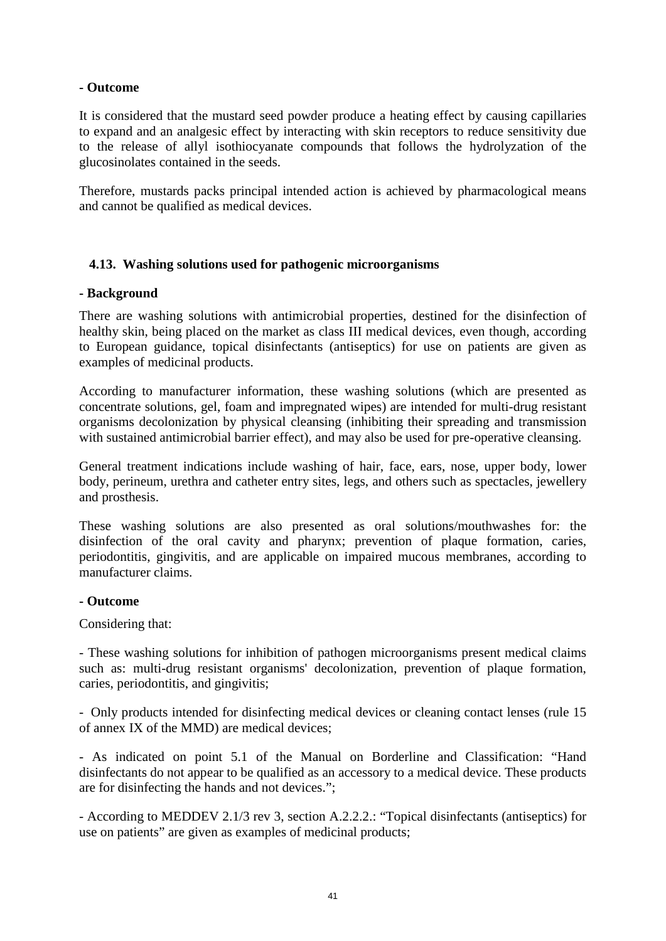## **- Outcome**

It is considered that the mustard seed powder produce a heating effect by causing capillaries to expand and an analgesic effect by interacting with skin receptors to reduce sensitivity due to the release of allyl isothiocyanate compounds that follows the hydrolyzation of the glucosinolates contained in the seeds.

Therefore, mustards packs principal intended action is achieved by pharmacological means and cannot be qualified as medical devices.

## **4.13. Washing solutions used for pathogenic microorganisms**

#### **- Background**

There are washing solutions with antimicrobial properties, destined for the disinfection of healthy skin, being placed on the market as class III medical devices, even though, according to European guidance, topical disinfectants (antiseptics) for use on patients are given as examples of medicinal products.

According to manufacturer information, these washing solutions (which are presented as concentrate solutions, gel, foam and impregnated wipes) are intended for multi-drug resistant organisms decolonization by physical cleansing (inhibiting their spreading and transmission with sustained antimicrobial barrier effect), and may also be used for pre-operative cleansing.

General treatment indications include washing of hair, face, ears, nose, upper body, lower body, perineum, urethra and catheter entry sites, legs, and others such as spectacles, jewellery and prosthesis.

These washing solutions are also presented as oral solutions/mouthwashes for: the disinfection of the oral cavity and pharynx; prevention of plaque formation, caries, periodontitis, gingivitis, and are applicable on impaired mucous membranes, according to manufacturer claims.

#### **- Outcome**

Considering that:

- These washing solutions for inhibition of pathogen microorganisms present medical claims such as: multi-drug resistant organisms' decolonization, prevention of plaque formation, caries, periodontitis, and gingivitis;

- Only products intended for disinfecting medical devices or cleaning contact lenses (rule 15 of annex IX of the MMD) are medical devices;

- As indicated on point 5.1 of the Manual on Borderline and Classification: "Hand disinfectants do not appear to be qualified as an accessory to a medical device. These products are for disinfecting the hands and not devices.";

- According to MEDDEV 2.1/3 rev 3, section A.2.2.2.: "Topical disinfectants (antiseptics) for use on patients" are given as examples of medicinal products;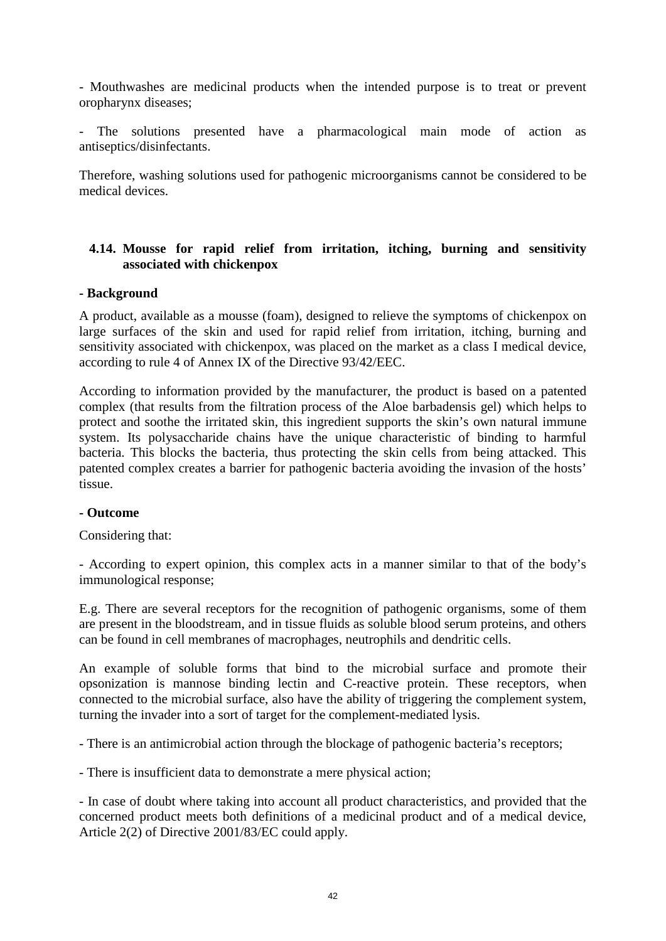- Mouthwashes are medicinal products when the intended purpose is to treat or prevent oropharynx diseases;

The solutions presented have a pharmacological main mode of action as antiseptics/disinfectants.

Therefore, washing solutions used for pathogenic microorganisms cannot be considered to be medical devices.

# **4.14. Mousse for rapid relief from irritation, itching, burning and sensitivity associated with chickenpox**

#### **- Background**

A product, available as a mousse (foam), designed to relieve the symptoms of chickenpox on large surfaces of the skin and used for rapid relief from irritation, itching, burning and sensitivity associated with chickenpox, was placed on the market as a class I medical device, according to rule 4 of Annex IX of the Directive 93/42/EEC.

According to information provided by the manufacturer, the product is based on a patented complex (that results from the filtration process of the Aloe barbadensis gel) which helps to protect and soothe the irritated skin, this ingredient supports the skin's own natural immune system. Its polysaccharide chains have the unique characteristic of binding to harmful bacteria. This blocks the bacteria, thus protecting the skin cells from being attacked. This patented complex creates a barrier for pathogenic bacteria avoiding the invasion of the hosts' tissue.

#### **- Outcome**

Considering that:

- According to expert opinion, this complex acts in a manner similar to that of the body's immunological response;

E.g. There are several receptors for the recognition of pathogenic organisms, some of them are present in the bloodstream, and in tissue fluids as soluble blood serum proteins, and others can be found in cell membranes of macrophages, neutrophils and dendritic cells.

An example of soluble forms that bind to the microbial surface and promote their opsonization is mannose binding lectin and C-reactive protein. These receptors, when connected to the microbial surface, also have the ability of triggering the complement system, turning the invader into a sort of target for the complement-mediated lysis.

- There is an antimicrobial action through the blockage of pathogenic bacteria's receptors;

- There is insufficient data to demonstrate a mere physical action;

- In case of doubt where taking into account all product characteristics, and provided that the concerned product meets both definitions of a medicinal product and of a medical device, Article 2(2) of Directive 2001/83/EC could apply.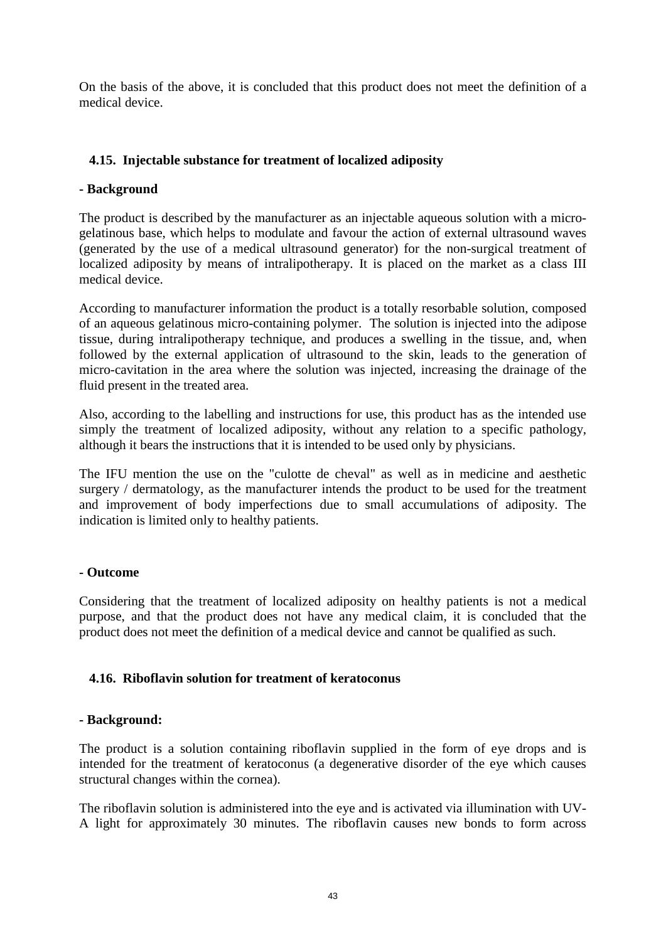On the basis of the above, it is concluded that this product does not meet the definition of a medical device.

# **4.15. Injectable substance for treatment of localized adiposity**

# **- Background**

The product is described by the manufacturer as an injectable aqueous solution with a microgelatinous base, which helps to modulate and favour the action of external ultrasound waves (generated by the use of a medical ultrasound generator) for the non-surgical treatment of localized adiposity by means of intralipotherapy. It is placed on the market as a class III medical device.

According to manufacturer information the product is a totally resorbable solution, composed of an aqueous gelatinous micro-containing polymer. The solution is injected into the adipose tissue, during intralipotherapy technique, and produces a swelling in the tissue, and, when followed by the external application of ultrasound to the skin, leads to the generation of micro-cavitation in the area where the solution was injected, increasing the drainage of the fluid present in the treated area.

Also, according to the labelling and instructions for use, this product has as the intended use simply the treatment of localized adiposity, without any relation to a specific pathology, although it bears the instructions that it is intended to be used only by physicians.

The IFU mention the use on the "culotte de cheval" as well as in medicine and aesthetic surgery / dermatology, as the manufacturer intends the product to be used for the treatment and improvement of body imperfections due to small accumulations of adiposity. The indication is limited only to healthy patients.

# **- Outcome**

Considering that the treatment of localized adiposity on healthy patients is not a medical purpose, and that the product does not have any medical claim, it is concluded that the product does not meet the definition of a medical device and cannot be qualified as such.

# **4.16. Riboflavin solution for treatment of keratoconus**

# **- Background:**

The product is a solution containing riboflavin supplied in the form of eye drops and is intended for the treatment of keratoconus (a degenerative disorder of the eye which causes structural changes within the cornea).

The riboflavin solution is administered into the eye and is activated via illumination with UV-A light for approximately 30 minutes. The riboflavin causes new bonds to form across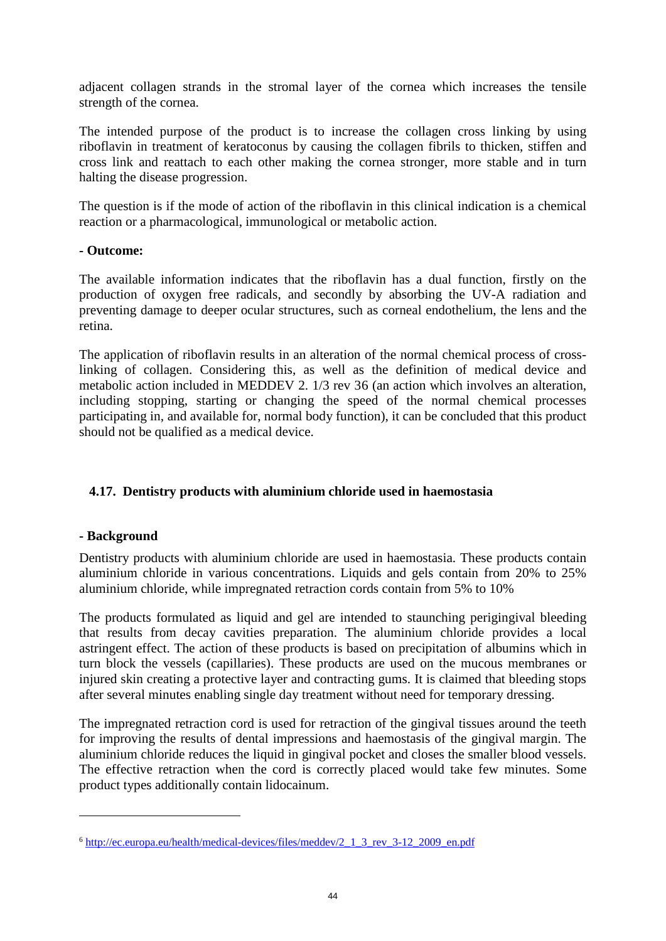adjacent collagen strands in the stromal layer of the cornea which increases the tensile strength of the cornea.

The intended purpose of the product is to increase the collagen cross linking by using riboflavin in treatment of keratoconus by causing the collagen fibrils to thicken, stiffen and cross link and reattach to each other making the cornea stronger, more stable and in turn halting the disease progression.

The question is if the mode of action of the riboflavin in this clinical indication is a chemical reaction or a pharmacological, immunological or metabolic action.

## **- Outcome:**

The available information indicates that the riboflavin has a dual function, firstly on the production of oxygen free radicals, and secondly by absorbing the UV-A radiation and preventing damage to deeper ocular structures, such as corneal endothelium, the lens and the retina.

The application of riboflavin results in an alteration of the normal chemical process of crosslinking of collagen. Considering this, as well as the definition of medical device and metabolic action included in MEDDEV 2. 1/3 rev 3[6](#page-43-0) (an action which involves an alteration, including stopping, starting or changing the speed of the normal chemical processes participating in, and available for, normal body function), it can be concluded that this product should not be qualified as a medical device.

# **4.17. Dentistry products with aluminium chloride used in haemostasia**

# **- Background**

 $\overline{a}$ 

Dentistry products with aluminium chloride are used in haemostasia. These products contain aluminium chloride in various concentrations. Liquids and gels contain from 20% to 25% aluminium chloride, while impregnated retraction cords contain from 5% to 10%

The products formulated as liquid and gel are intended to staunching perigingival bleeding that results from decay cavities preparation. The aluminium chloride provides a local astringent effect. The action of these products is based on precipitation of albumins which in turn block the vessels (capillaries). These products are used on the mucous membranes or injured skin creating a protective layer and contracting gums. It is claimed that bleeding stops after several minutes enabling single day treatment without need for temporary dressing.

The impregnated retraction cord is used for retraction of the gingival tissues around the teeth for improving the results of dental impressions and haemostasis of the gingival margin. The aluminium chloride reduces the liquid in gingival pocket and closes the smaller blood vessels. The effective retraction when the cord is correctly placed would take few minutes. Some product types additionally contain lidocainum.

<span id="page-43-0"></span><sup>6</sup> [http://ec.europa.eu/health/medical-devices/files/meddev/2\\_1\\_3\\_rev\\_3-12\\_2009\\_en.pdf](http://ec.europa.eu/health/medical-devices/files/meddev/2_1_3_rev_3-12_2009_en.pdf)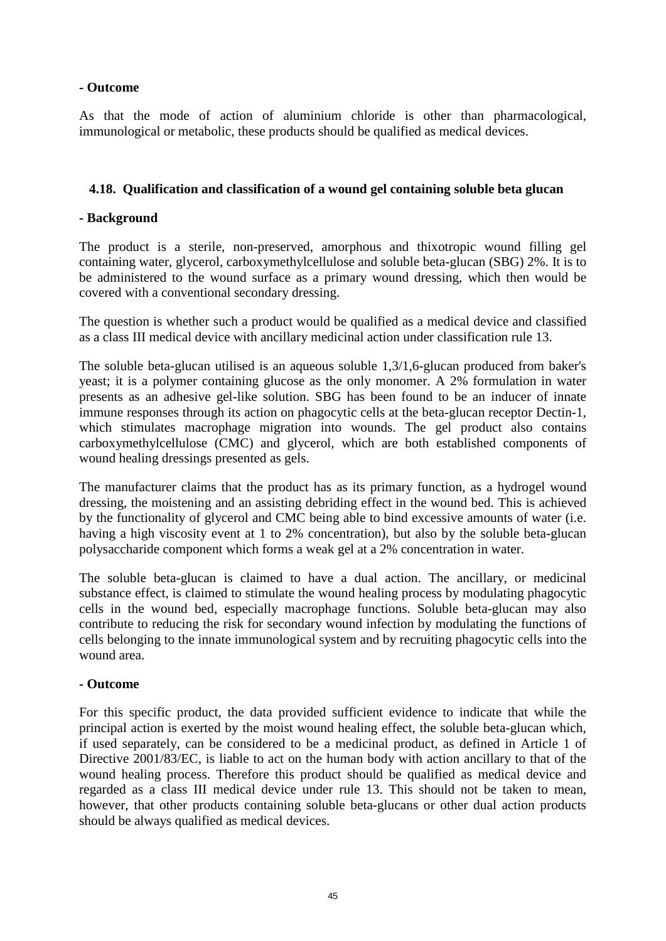# **- Outcome**

As that the mode of action of aluminium chloride is other than pharmacological, immunological or metabolic, these products should be qualified as medical devices.

## **4.18. Qualification and classification of a wound gel containing soluble beta glucan**

# **- Background**

The product is a sterile, non-preserved, amorphous and thixotropic wound filling gel containing water, glycerol, carboxymethylcellulose and soluble beta-glucan (SBG) 2%. It is to be administered to the wound surface as a primary wound dressing, which then would be covered with a conventional secondary dressing.

The question is whether such a product would be qualified as a medical device and classified as a class III medical device with ancillary medicinal action under classification rule 13.

The soluble beta-glucan utilised is an aqueous soluble 1,3/1,6-glucan produced from baker's yeast; it is a polymer containing glucose as the only monomer. A 2% formulation in water presents as an adhesive gel-like solution. SBG has been found to be an inducer of innate immune responses through its action on phagocytic cells at the beta-glucan receptor Dectin-1, which stimulates macrophage migration into wounds. The gel product also contains carboxymethylcellulose (CMC) and glycerol, which are both established components of wound healing dressings presented as gels.

The manufacturer claims that the product has as its primary function, as a hydrogel wound dressing, the moistening and an assisting debriding effect in the wound bed. This is achieved by the functionality of glycerol and CMC being able to bind excessive amounts of water (i.e. having a high viscosity event at 1 to 2% concentration), but also by the soluble beta-glucan polysaccharide component which forms a weak gel at a 2% concentration in water.

The soluble beta-glucan is claimed to have a dual action. The ancillary, or medicinal substance effect, is claimed to stimulate the wound healing process by modulating phagocytic cells in the wound bed, especially macrophage functions. Soluble beta-glucan may also contribute to reducing the risk for secondary wound infection by modulating the functions of cells belonging to the innate immunological system and by recruiting phagocytic cells into the wound area.

#### **- Outcome**

For this specific product, the data provided sufficient evidence to indicate that while the principal action is exerted by the moist wound healing effect, the soluble beta-glucan which, if used separately, can be considered to be a medicinal product, as defined in Article 1 of Directive 2001/83/EC, is liable to act on the human body with action ancillary to that of the wound healing process. Therefore this product should be qualified as medical device and regarded as a class III medical device under rule 13. This should not be taken to mean, however, that other products containing soluble beta-glucans or other dual action products should be always qualified as medical devices.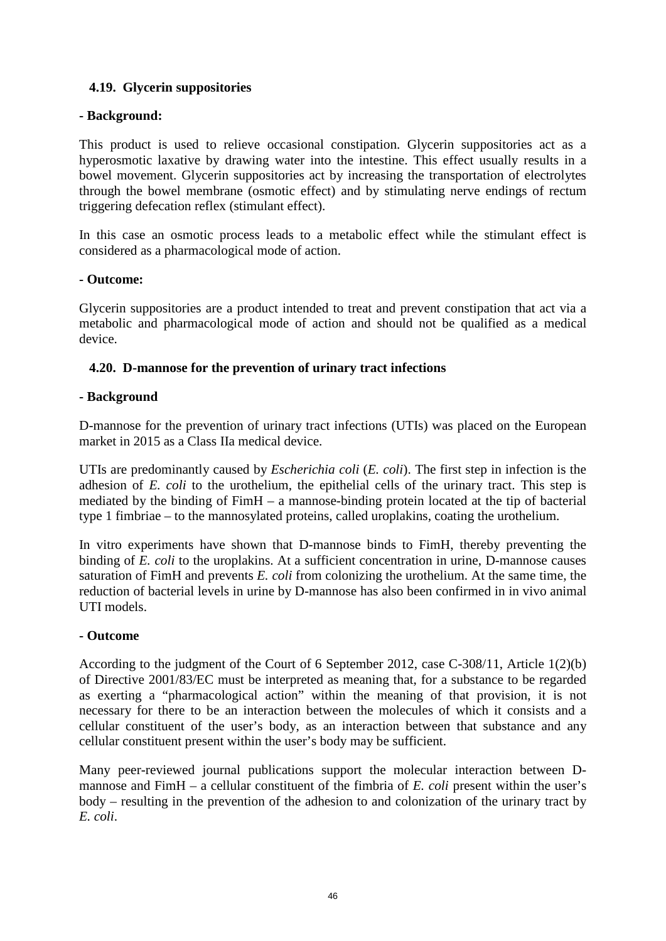# **4.19. Glycerin suppositories**

# **- Background:**

This product is used to relieve occasional constipation. Glycerin suppositories act as a hyperosmotic laxative by drawing water into the intestine. This effect usually results in a bowel movement. Glycerin suppositories act by increasing the transportation of electrolytes through the bowel membrane (osmotic effect) and by stimulating nerve endings of rectum triggering defecation reflex (stimulant effect).

In this case an osmotic process leads to a metabolic effect while the stimulant effect is considered as a pharmacological mode of action.

#### **- Outcome:**

Glycerin suppositories are a product intended to treat and prevent constipation that act via a metabolic and pharmacological mode of action and should not be qualified as a medical device.

# **4.20. D-mannose for the prevention of urinary tract infections**

## **- Background**

D-mannose for the prevention of urinary tract infections (UTIs) was placed on the European market in 2015 as a Class IIa medical device.

UTIs are predominantly caused by *Escherichia coli* (*E. coli*). The first step in infection is the adhesion of *E. coli* to the urothelium, the epithelial cells of the urinary tract. This step is mediated by the binding of FimH – a mannose-binding protein located at the tip of bacterial type 1 fimbriae – to the mannosylated proteins, called uroplakins, coating the urothelium.

In vitro experiments have shown that D-mannose binds to FimH, thereby preventing the binding of *E. coli* to the uroplakins. At a sufficient concentration in urine, D-mannose causes saturation of FimH and prevents *E. coli* from colonizing the urothelium. At the same time, the reduction of bacterial levels in urine by D-mannose has also been confirmed in in vivo animal UTI models.

# **- Outcome**

According to the judgment of the Court of 6 September 2012, case C-308/11, Article 1(2)(b) of Directive 2001/83/EC must be interpreted as meaning that, for a substance to be regarded as exerting a "pharmacological action" within the meaning of that provision, it is not necessary for there to be an interaction between the molecules of which it consists and a cellular constituent of the user's body, as an interaction between that substance and any cellular constituent present within the user's body may be sufficient.

Many peer-reviewed journal publications support the molecular interaction between Dmannose and FimH – a cellular constituent of the fimbria of *E. coli* present within the user's body – resulting in the prevention of the adhesion to and colonization of the urinary tract by *E. coli*.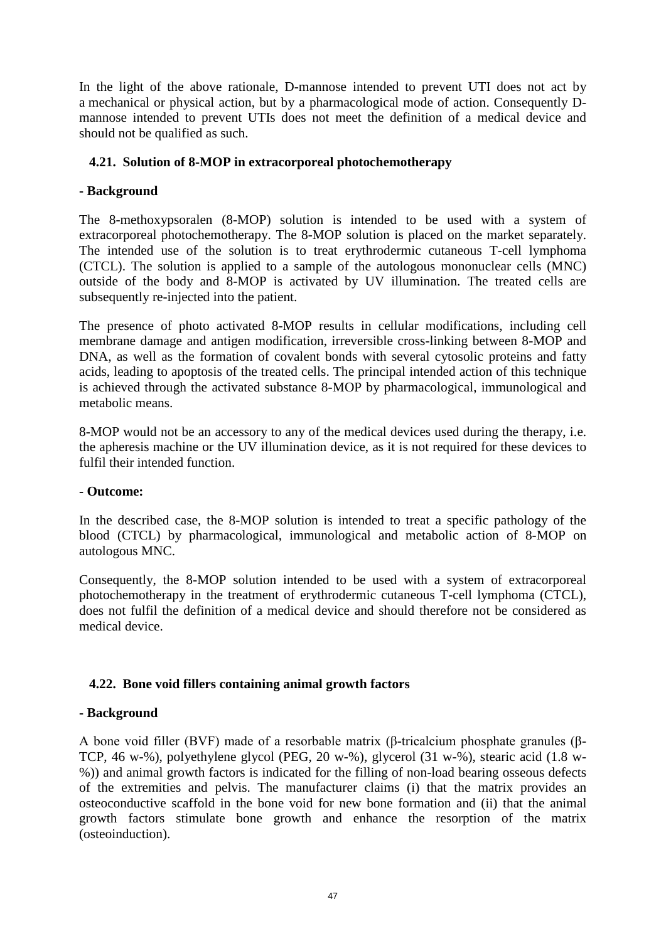In the light of the above rationale, D-mannose intended to prevent UTI does not act by a mechanical or physical action, but by a pharmacological mode of action. Consequently Dmannose intended to prevent UTIs does not meet the definition of a medical device and should not be qualified as such.

# **4.21. Solution of 8-MOP in extracorporeal photochemotherapy**

## **- Background**

The 8-methoxypsoralen (8-MOP) solution is intended to be used with a system of extracorporeal photochemotherapy. The 8-MOP solution is placed on the market separately. The intended use of the solution is to treat erythrodermic cutaneous T-cell lymphoma (CTCL). The solution is applied to a sample of the autologous mononuclear cells (MNC) outside of the body and 8-MOP is activated by UV illumination. The treated cells are subsequently re-injected into the patient.

The presence of photo activated 8-MOP results in cellular modifications, including cell membrane damage and antigen modification, irreversible cross-linking between 8-MOP and DNA, as well as the formation of covalent bonds with several cytosolic proteins and fatty acids, leading to apoptosis of the treated cells. The principal intended action of this technique is achieved through the activated substance 8-MOP by pharmacological, immunological and metabolic means.

8-MOP would not be an accessory to any of the medical devices used during the therapy, i.e. the apheresis machine or the UV illumination device, as it is not required for these devices to fulfil their intended function.

#### **- Outcome:**

In the described case, the 8-MOP solution is intended to treat a specific pathology of the blood (CTCL) by pharmacological, immunological and metabolic action of 8-MOP on autologous MNC.

Consequently, the 8-MOP solution intended to be used with a system of extracorporeal photochemotherapy in the treatment of erythrodermic cutaneous T-cell lymphoma (CTCL), does not fulfil the definition of a medical device and should therefore not be considered as medical device.

#### **4.22. Bone void fillers containing animal growth factors**

#### **- Background**

A bone void filler (BVF) made of a resorbable matrix (β-tricalcium phosphate granules (β-TCP, 46 w-%), polyethylene glycol (PEG, 20 w-%), glycerol (31 w-%), stearic acid (1.8 w- %)) and animal growth factors is indicated for the filling of non-load bearing osseous defects of the extremities and pelvis. The manufacturer claims (i) that the matrix provides an osteoconductive scaffold in the bone void for new bone formation and (ii) that the animal growth factors stimulate bone growth and enhance the resorption of the matrix (osteoinduction).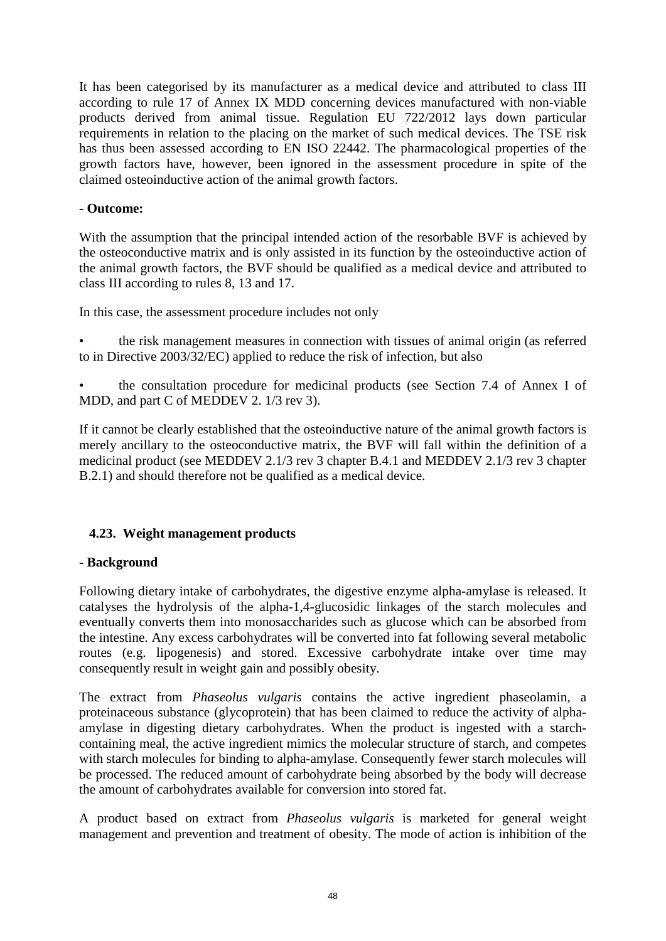It has been categorised by its manufacturer as a medical device and attributed to class III according to rule 17 of Annex IX MDD concerning devices manufactured with non-viable products derived from animal tissue. Regulation EU 722/2012 lays down particular requirements in relation to the placing on the market of such medical devices. The TSE risk has thus been assessed according to EN ISO 22442. The pharmacological properties of the growth factors have, however, been ignored in the assessment procedure in spite of the claimed osteoinductive action of the animal growth factors.

# **- Outcome:**

With the assumption that the principal intended action of the resorbable BVF is achieved by the osteoconductive matrix and is only assisted in its function by the osteoinductive action of the animal growth factors, the BVF should be qualified as a medical device and attributed to class III according to rules 8, 13 and 17.

In this case, the assessment procedure includes not only

- the risk management measures in connection with tissues of animal origin (as referred to in Directive 2003/32/EC) applied to reduce the risk of infection, but also
- the consultation procedure for medicinal products (see Section 7.4 of Annex I of MDD, and part C of MEDDEV 2. 1/3 rev 3).

If it cannot be clearly established that the osteoinductive nature of the animal growth factors is merely ancillary to the osteoconductive matrix, the BVF will fall within the definition of a medicinal product (see MEDDEV 2.1/3 rev 3 chapter B.4.1 and MEDDEV 2.1/3 rev 3 chapter B.2.1) and should therefore not be qualified as a medical device.

# **4.23. Weight management products**

# **- Background**

Following dietary intake of carbohydrates, the digestive enzyme alpha-amylase is released. It catalyses the hydrolysis of the alpha-1,4-glucosidic linkages of the starch molecules and eventually converts them into monosaccharides such as glucose which can be absorbed from the intestine. Any excess carbohydrates will be converted into fat following several metabolic routes (e.g. lipogenesis) and stored. Excessive carbohydrate intake over time may consequently result in weight gain and possibly obesity.

The extract from *Phaseolus vulgaris* contains the active ingredient phaseolamin, a proteinaceous substance (glycoprotein) that has been claimed to reduce the activity of alphaamylase in digesting dietary carbohydrates. When the product is ingested with a starchcontaining meal, the active ingredient mimics the molecular structure of starch, and competes with starch molecules for binding to alpha-amylase. Consequently fewer starch molecules will be processed. The reduced amount of carbohydrate being absorbed by the body will decrease the amount of carbohydrates available for conversion into stored fat.

A product based on extract from *Phaseolus vulgaris* is marketed for general weight management and prevention and treatment of obesity. The mode of action is inhibition of the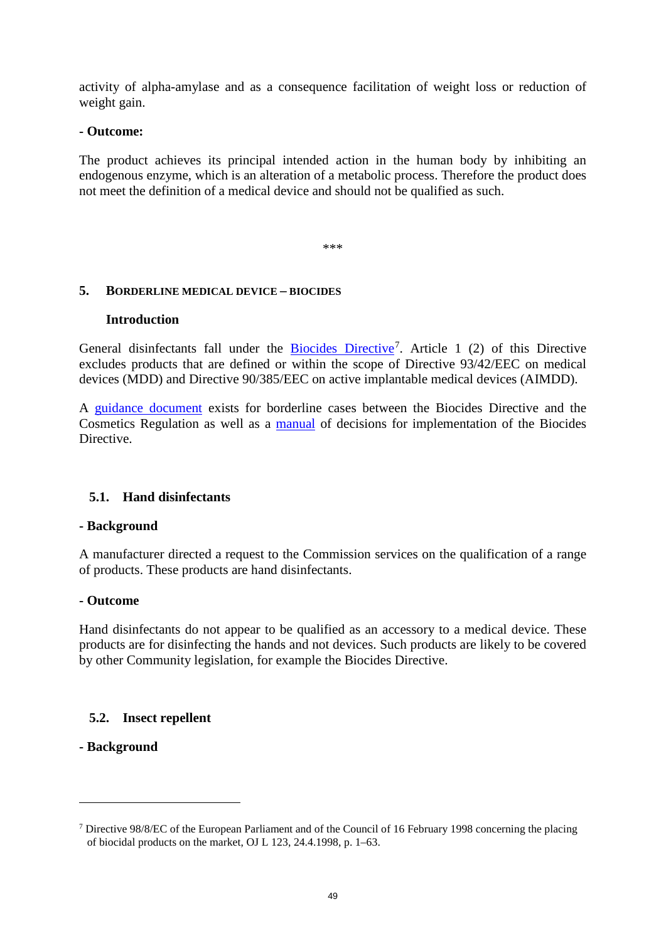activity of alpha-amylase and as a consequence facilitation of weight loss or reduction of weight gain.

#### **- Outcome:**

The product achieves its principal intended action in the human body by inhibiting an endogenous enzyme, which is an alteration of a metabolic process. Therefore the product does not meet the definition of a medical device and should not be qualified as such.

\*\*\*

## **5. BORDERLINE MEDICAL DEVICE – BIOCIDES**

#### **Introduction**

General disinfectants fall under the **[Biocides Directive](http://ec.europa.eu/environment/biocides/pdf/dir_98_8_biocides.pdf)**<sup>[7](#page-48-0)</sup>. Article 1 (2) of this Directive excludes products that are defined or within the scope of Directive 93/42/EEC on medical devices (MDD) and Directive 90/385/EEC on active implantable medical devices (AIMDD).

A [guidance document](http://ec.europa.eu/environment/biocides/pdf/cosmetic_products.pdf) exists for borderline cases between the Biocides Directive and the Cosmetics Regulation as well as a [manual](http://ec.europa.eu/environment/biocides/pdf/mod_040705.pdf) of decisions for implementation of the Biocides Directive.

# **5.1. Hand disinfectants**

#### **- Background**

A manufacturer directed a request to the Commission services on the qualification of a range of products. These products are hand disinfectants.

#### **- Outcome**

Hand disinfectants do not appear to be qualified as an accessory to a medical device. These products are for disinfecting the hands and not devices. Such products are likely to be covered by other Community legislation, for example the Biocides Directive.

# **5.2. Insect repellent**

# **- Background**

 $\overline{a}$ 

<span id="page-48-0"></span><sup>7</sup> Directive 98/8/EC of the European Parliament and of the Council of 16 February 1998 concerning the placing of biocidal products on the market, OJ L 123, 24.4.1998, p. 1–63.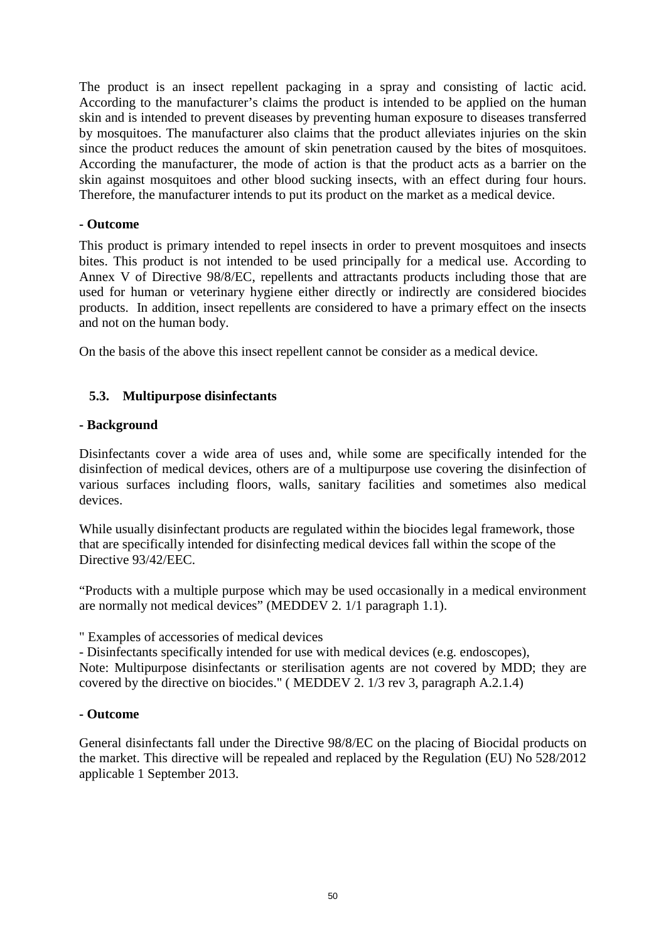The product is an insect repellent packaging in a spray and consisting of lactic acid. According to the manufacturer's claims the product is intended to be applied on the human skin and is intended to prevent diseases by preventing human exposure to diseases transferred by mosquitoes. The manufacturer also claims that the product alleviates injuries on the skin since the product reduces the amount of skin penetration caused by the bites of mosquitoes. According the manufacturer, the mode of action is that the product acts as a barrier on the skin against mosquitoes and other blood sucking insects, with an effect during four hours. Therefore, the manufacturer intends to put its product on the market as a medical device.

## **- Outcome**

This product is primary intended to repel insects in order to prevent mosquitoes and insects bites. This product is not intended to be used principally for a medical use. According to Annex V of Directive 98/8/EC, repellents and attractants products including those that are used for human or veterinary hygiene either directly or indirectly are considered biocides products. In addition, insect repellents are considered to have a primary effect on the insects and not on the human body.

On the basis of the above this insect repellent cannot be consider as a medical device.

# **5.3. Multipurpose disinfectants**

# **- Background**

Disinfectants cover a wide area of uses and, while some are specifically intended for the disinfection of medical devices, others are of a multipurpose use covering the disinfection of various surfaces including floors, walls, sanitary facilities and sometimes also medical devices.

While usually disinfectant products are regulated within the biocides legal framework, those that are specifically intended for disinfecting medical devices fall within the scope of the Directive 93/42/EEC.

"Products with a multiple purpose which may be used occasionally in a medical environment are normally not medical devices" (MEDDEV 2. 1/1 paragraph 1.1).

" Examples of accessories of medical devices

- Disinfectants specifically intended for use with medical devices (e.g. endoscopes),

Note: Multipurpose disinfectants or sterilisation agents are not covered by MDD; they are covered by the directive on biocides." ( MEDDEV 2. 1/3 rev 3, paragraph A.2.1.4)

#### **- Outcome**

General disinfectants fall under the Directive 98/8/EC on the placing of Biocidal products on the market. This directive will be repealed and replaced by the Regulation (EU) No 528/2012 applicable 1 September 2013.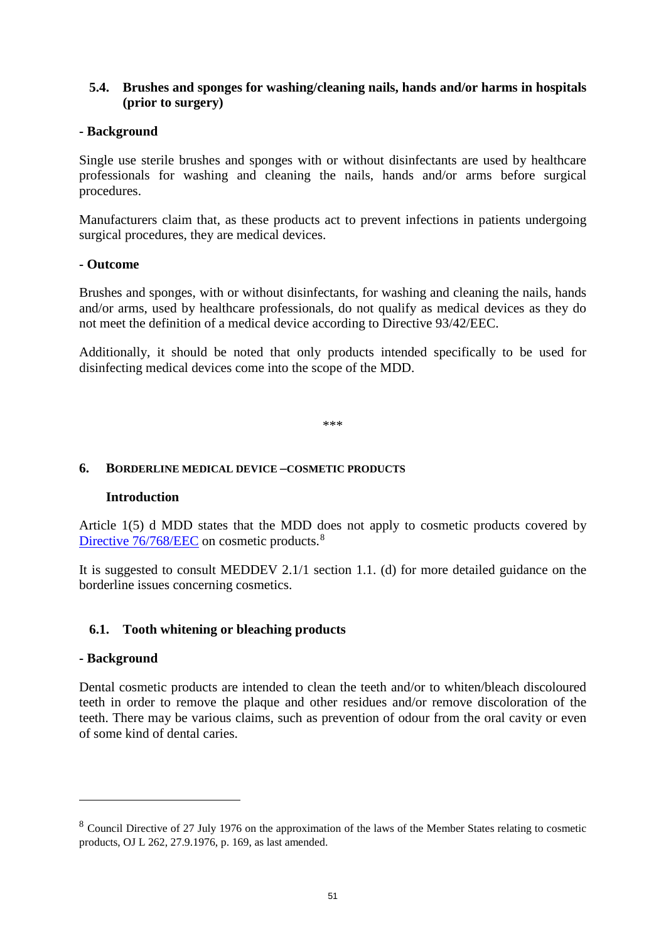# **5.4. Brushes and sponges for washing/cleaning nails, hands and/or harms in hospitals (prior to surgery)**

# **- Background**

Single use sterile brushes and sponges with or without disinfectants are used by healthcare professionals for washing and cleaning the nails, hands and/or arms before surgical procedures.

Manufacturers claim that, as these products act to prevent infections in patients undergoing surgical procedures, they are medical devices.

#### **- Outcome**

Brushes and sponges, with or without disinfectants, for washing and cleaning the nails, hands and/or arms, used by healthcare professionals, do not qualify as medical devices as they do not meet the definition of a medical device according to Directive 93/42/EEC.

Additionally, it should be noted that only products intended specifically to be used for disinfecting medical devices come into the scope of the MDD.

\*\*\*

## **6. BORDERLINE MEDICAL DEVICE –COSMETIC PRODUCTS**

#### **Introduction**

Article 1(5) d MDD states that the MDD does not apply to cosmetic products covered by [Directive 76/768/EEC](http://ec.europa.eu/consumers/sectors/cosmetics/regulatory-framework/index_en.htm) on cosmetic products.<sup>[8](#page-50-0)</sup>

It is suggested to consult MEDDEV 2.1/1 section 1.1. (d) for more detailed guidance on the borderline issues concerning cosmetics.

# **6.1. Tooth whitening or bleaching products**

#### **- Background**

 $\overline{a}$ 

Dental cosmetic products are intended to clean the teeth and/or to whiten/bleach discoloured teeth in order to remove the plaque and other residues and/or remove discoloration of the teeth. There may be various claims, such as prevention of odour from the oral cavity or even of some kind of dental caries.

<span id="page-50-0"></span><sup>8</sup> Council Directive of 27 July 1976 on the approximation of the laws of the Member States relating to cosmetic products, OJ L 262, 27.9.1976, p. 169, as last amended.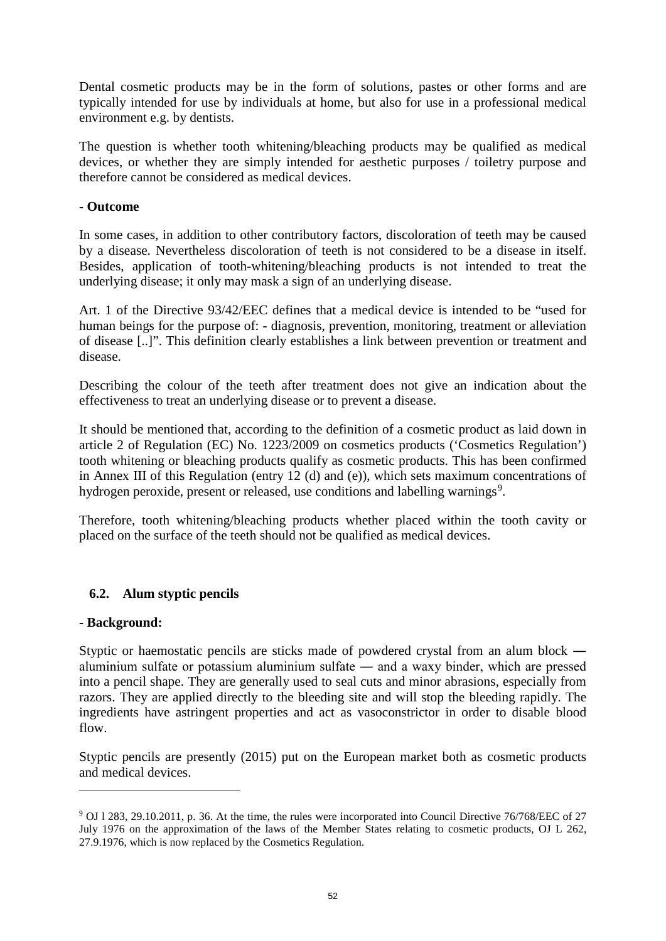Dental cosmetic products may be in the form of solutions, pastes or other forms and are typically intended for use by individuals at home, but also for use in a professional medical environment e.g. by dentists.

The question is whether tooth whitening/bleaching products may be qualified as medical devices, or whether they are simply intended for aesthetic purposes / toiletry purpose and therefore cannot be considered as medical devices.

## **- Outcome**

In some cases, in addition to other contributory factors, discoloration of teeth may be caused by a disease. Nevertheless discoloration of teeth is not considered to be a disease in itself. Besides, application of tooth-whitening/bleaching products is not intended to treat the underlying disease; it only may mask a sign of an underlying disease.

Art. 1 of the Directive 93/42/EEC defines that a medical device is intended to be "used for human beings for the purpose of: - diagnosis, prevention, monitoring, treatment or alleviation of disease [..]". This definition clearly establishes a link between prevention or treatment and disease.

Describing the colour of the teeth after treatment does not give an indication about the effectiveness to treat an underlying disease or to prevent a disease.

It should be mentioned that, according to the definition of a cosmetic product as laid down in article 2 of Regulation (EC) No. 1223/2009 on cosmetics products ('Cosmetics Regulation') tooth whitening or bleaching products qualify as cosmetic products. This has been confirmed in Annex III of this Regulation (entry 12 (d) and (e)), which sets maximum concentrations of hydrogen peroxide, present or released, use conditions and labelling warnings<sup>[9](#page-51-0)</sup>.

Therefore, tooth whitening/bleaching products whether placed within the tooth cavity or placed on the surface of the teeth should not be qualified as medical devices.

# **6.2. Alum styptic pencils**

# **- Background:**

 $\overline{a}$ 

Styptic or haemostatic pencils are sticks made of powdered crystal from an alum block ― aluminium sulfate or potassium aluminium sulfate ― and a waxy binder, which are pressed into a pencil shape. They are generally used to seal cuts and minor abrasions, especially from razors. They are applied directly to the bleeding site and will stop the bleeding rapidly. The ingredients have astringent properties and act as vasoconstrictor in order to disable blood flow.

Styptic pencils are presently (2015) put on the European market both as cosmetic products and medical devices.

<span id="page-51-0"></span><sup>9</sup> OJ l 283, 29.10.2011, p. 36. At the time, the rules were incorporated into Council Directive 76/768/EEC of 27 July 1976 on the approximation of the laws of the Member States relating to cosmetic products, OJ L 262, 27.9.1976, which is now replaced by the Cosmetics Regulation.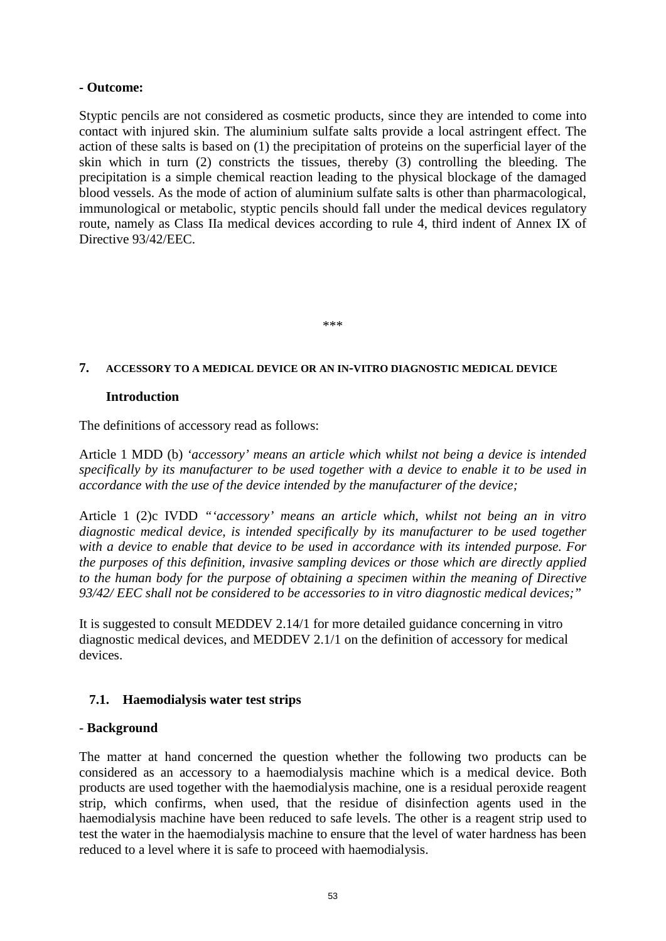## **- Outcome:**

Styptic pencils are not considered as cosmetic products, since they are intended to come into contact with injured skin. The aluminium sulfate salts provide a local astringent effect. The action of these salts is based on (1) the precipitation of proteins on the superficial layer of the skin which in turn (2) constricts the tissues, thereby (3) controlling the bleeding. The precipitation is a simple chemical reaction leading to the physical blockage of the damaged blood vessels. As the mode of action of aluminium sulfate salts is other than pharmacological, immunological or metabolic, styptic pencils should fall under the medical devices regulatory route, namely as Class IIa medical devices according to rule 4, third indent of Annex IX of Directive 93/42/EEC.

#### \*\*\*

#### **7. ACCESSORY TO A MEDICAL DEVICE OR AN IN-VITRO DIAGNOSTIC MEDICAL DEVICE**

#### **Introduction**

The definitions of accessory read as follows:

Article 1 MDD (b) *'accessory' means an article which whilst not being a device is intended specifically by its manufacturer to be used together with a device to enable it to be used in accordance with the use of the device intended by the manufacturer of the device;*

Article 1 (2)c IVDD *"'accessory' means an article which, whilst not being an in vitro diagnostic medical device, is intended specifically by its manufacturer to be used together with a device to enable that device to be used in accordance with its intended purpose. For the purposes of this definition, invasive sampling devices or those which are directly applied to the human body for the purpose of obtaining a specimen within the meaning of Directive 93/42/ EEC shall not be considered to be accessories to in vitro diagnostic medical devices;"*

It is suggested to consult MEDDEV 2.14/1 for more detailed guidance concerning in vitro diagnostic medical devices, and MEDDEV 2.1/1 on the definition of accessory for medical devices.

#### **7.1. Haemodialysis water test strips**

#### - **Background**

The matter at hand concerned the question whether the following two products can be considered as an accessory to a haemodialysis machine which is a medical device. Both products are used together with the haemodialysis machine, one is a residual peroxide reagent strip, which confirms, when used, that the residue of disinfection agents used in the haemodialysis machine have been reduced to safe levels. The other is a reagent strip used to test the water in the haemodialysis machine to ensure that the level of water hardness has been reduced to a level where it is safe to proceed with haemodialysis.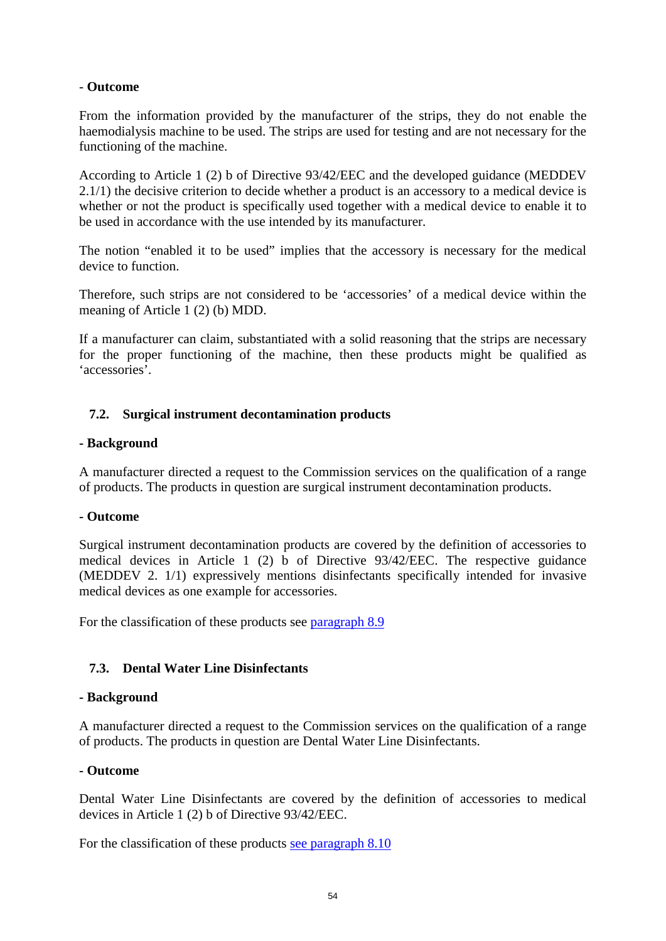# - **Outcome**

From the information provided by the manufacturer of the strips, they do not enable the haemodialysis machine to be used. The strips are used for testing and are not necessary for the functioning of the machine.

According to Article 1 (2) b of Directive 93/42/EEC and the developed guidance (MEDDEV 2.1/1) the decisive criterion to decide whether a product is an accessory to a medical device is whether or not the product is specifically used together with a medical device to enable it to be used in accordance with the use intended by its manufacturer.

The notion "enabled it to be used" implies that the accessory is necessary for the medical device to function.

Therefore, such strips are not considered to be 'accessories' of a medical device within the meaning of Article 1 (2) (b) MDD.

If a manufacturer can claim, substantiated with a solid reasoning that the strips are necessary for the proper functioning of the machine, then these products might be qualified as 'accessories'.

# **7.2. Surgical instrument decontamination products**

#### **- Background**

A manufacturer directed a request to the Commission services on the qualification of a range of products. The products in question are surgical instrument decontamination products.

#### **- Outcome**

Surgical instrument decontamination products are covered by the definition of accessories to medical devices in Article 1 (2) b of Directive 93/42/EEC. The respective guidance (MEDDEV 2. 1/1) expressively mentions disinfectants specifically intended for invasive medical devices as one example for accessories.

For the classification of these products see [paragraph 8.9](#page-61-0)

# **7.3. Dental Water Line Disinfectants**

#### **- Background**

A manufacturer directed a request to the Commission services on the qualification of a range of products. The products in question are Dental Water Line Disinfectants.

#### **- Outcome**

Dental Water Line Disinfectants are covered by the definition of accessories to medical devices in Article 1 (2) b of Directive 93/42/EEC.

For the classification of these products [see paragraph 8.10](#page-61-1)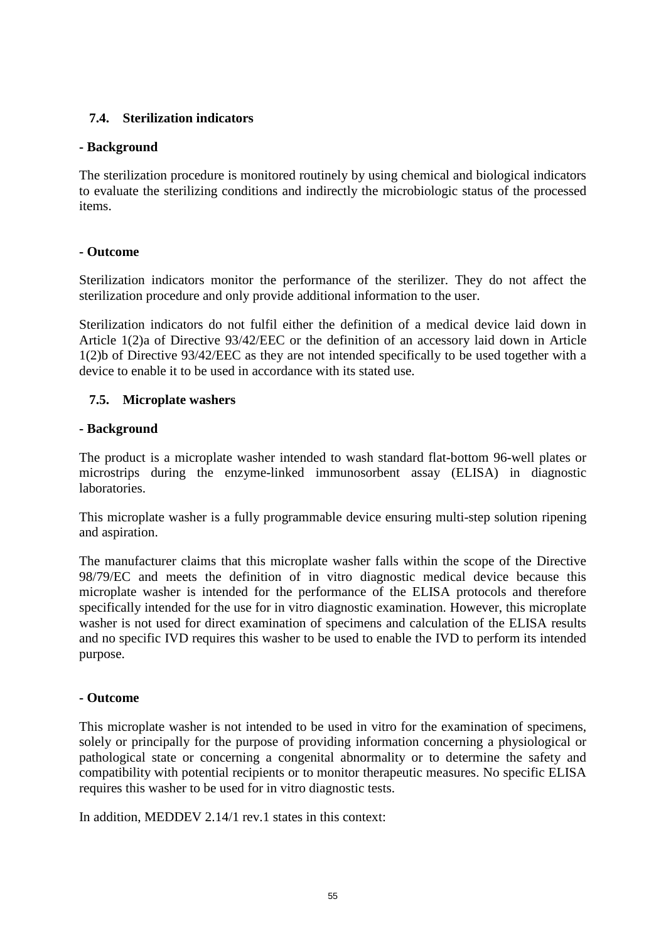# **7.4. Sterilization indicators**

## **- Background**

The sterilization procedure is monitored routinely by using chemical and biological indicators to evaluate the sterilizing conditions and indirectly the microbiologic status of the processed items.

#### **- Outcome**

Sterilization indicators monitor the performance of the sterilizer. They do not affect the sterilization procedure and only provide additional information to the user.

Sterilization indicators do not fulfil either the definition of a medical device laid down in Article 1(2)a of Directive 93/42/EEC or the definition of an accessory laid down in Article 1(2)b of Directive 93/42/EEC as they are not intended specifically to be used together with a device to enable it to be used in accordance with its stated use.

## **7.5. Microplate washers**

#### **- Background**

The product is a microplate washer intended to wash standard flat-bottom 96-well plates or microstrips during the enzyme-linked immunosorbent assay (ELISA) in diagnostic laboratories.

This microplate washer is a fully programmable device ensuring multi-step solution ripening and aspiration.

The manufacturer claims that this microplate washer falls within the scope of the Directive 98/79/EC and meets the definition of in vitro diagnostic medical device because this microplate washer is intended for the performance of the ELISA protocols and therefore specifically intended for the use for in vitro diagnostic examination. However, this microplate washer is not used for direct examination of specimens and calculation of the ELISA results and no specific IVD requires this washer to be used to enable the IVD to perform its intended purpose.

# **- Outcome**

This microplate washer is not intended to be used in vitro for the examination of specimens, solely or principally for the purpose of providing information concerning a physiological or pathological state or concerning a congenital abnormality or to determine the safety and compatibility with potential recipients or to monitor therapeutic measures. No specific ELISA requires this washer to be used for in vitro diagnostic tests.

In addition, MEDDEV 2.14/1 rev.1 states in this context: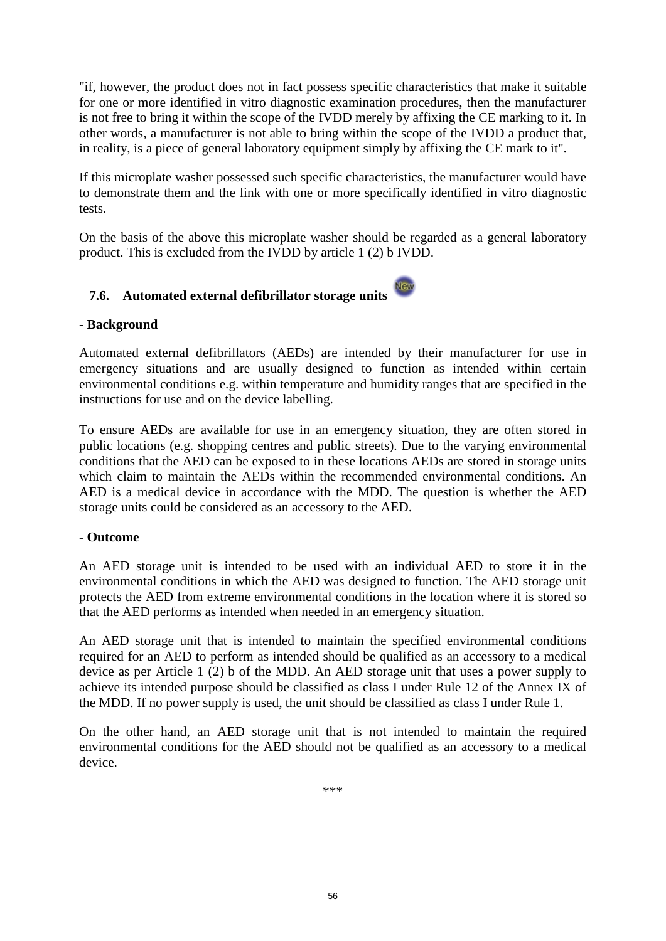"if, however, the product does not in fact possess specific characteristics that make it suitable for one or more identified in vitro diagnostic examination procedures, then the manufacturer is not free to bring it within the scope of the IVDD merely by affixing the CE marking to it. In other words, a manufacturer is not able to bring within the scope of the IVDD a product that, in reality, is a piece of general laboratory equipment simply by affixing the CE mark to it".

If this microplate washer possessed such specific characteristics, the manufacturer would have to demonstrate them and the link with one or more specifically identified in vitro diagnostic tests.

On the basis of the above this microplate washer should be regarded as a general laboratory product. This is excluded from the IVDD by article 1 (2) b IVDD.

# **7.6. Automated external defibrillator storage units**

# **- Background**

Automated external defibrillators (AEDs) are intended by their manufacturer for use in emergency situations and are usually designed to function as intended within certain environmental conditions e.g. within temperature and humidity ranges that are specified in the instructions for use and on the device labelling.

To ensure AEDs are available for use in an emergency situation, they are often stored in public locations (e.g. shopping centres and public streets). Due to the varying environmental conditions that the AED can be exposed to in these locations AEDs are stored in storage units which claim to maintain the AEDs within the recommended environmental conditions. An AED is a medical device in accordance with the MDD. The question is whether the AED storage units could be considered as an accessory to the AED.

# **- Outcome**

An AED storage unit is intended to be used with an individual AED to store it in the environmental conditions in which the AED was designed to function. The AED storage unit protects the AED from extreme environmental conditions in the location where it is stored so that the AED performs as intended when needed in an emergency situation.

An AED storage unit that is intended to maintain the specified environmental conditions required for an AED to perform as intended should be qualified as an accessory to a medical device as per Article 1 (2) b of the MDD. An AED storage unit that uses a power supply to achieve its intended purpose should be classified as class I under Rule 12 of the Annex IX of the MDD. If no power supply is used, the unit should be classified as class I under Rule 1.

On the other hand, an AED storage unit that is not intended to maintain the required environmental conditions for the AED should not be qualified as an accessory to a medical device.

\*\*\*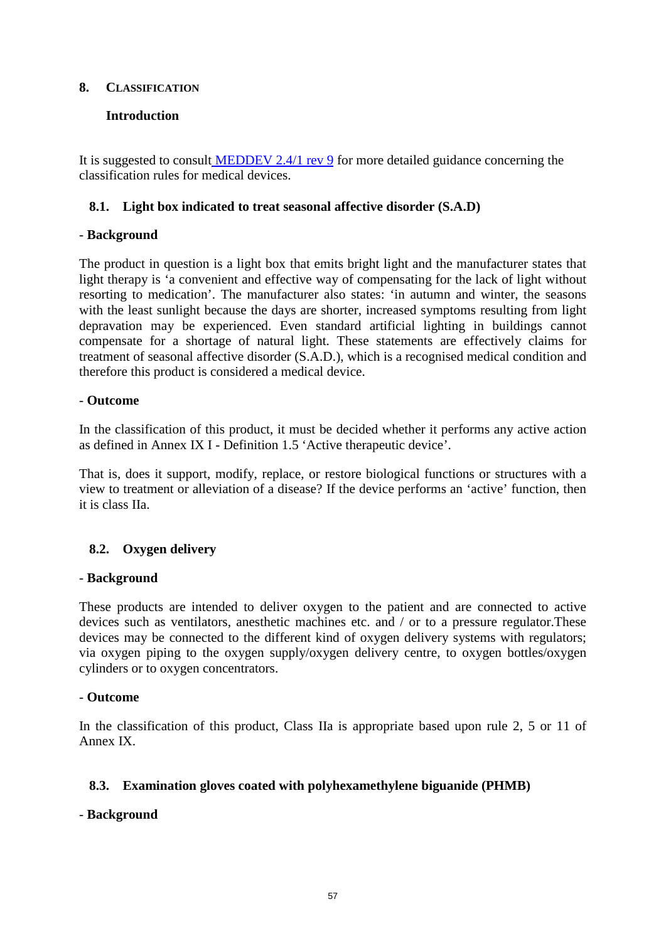# **8. CLASSIFICATION**

# **Introduction**

It is suggested to consult [MEDDEV 2.4/1 rev 9](http://ec.europa.eu/consumers/sectors/medical-devices/files/meddev/2_4_1_rev_9_classification_en.pdf) for more detailed guidance concerning the classification rules for medical devices.

# **8.1. Light box indicated to treat seasonal affective disorder (S.A.D)**

# - **Background**

The product in question is a light box that emits bright light and the manufacturer states that light therapy is 'a convenient and effective way of compensating for the lack of light without resorting to medication'. The manufacturer also states: 'in autumn and winter, the seasons with the least sunlight because the days are shorter, increased symptoms resulting from light depravation may be experienced. Even standard artificial lighting in buildings cannot compensate for a shortage of natural light. These statements are effectively claims for treatment of seasonal affective disorder (S.A.D.), which is a recognised medical condition and therefore this product is considered a medical device.

## - **Outcome**

In the classification of this product, it must be decided whether it performs any active action as defined in Annex IX I - Definition 1.5 'Active therapeutic device'.

That is, does it support, modify, replace, or restore biological functions or structures with a view to treatment or alleviation of a disease? If the device performs an 'active' function, then it is class IIa.

# **8.2. Oxygen delivery**

#### - **Background**

These products are intended to deliver oxygen to the patient and are connected to active devices such as ventilators, anesthetic machines etc. and / or to a pressure regulator.These devices may be connected to the different kind of oxygen delivery systems with regulators; via oxygen piping to the oxygen supply/oxygen delivery centre, to oxygen bottles/oxygen cylinders or to oxygen concentrators.

#### - **Outcome**

In the classification of this product, Class IIa is appropriate based upon rule 2, 5 or 11 of Annex IX.

# **8.3. Examination gloves coated with polyhexamethylene biguanide (PHMB)**

# - **Background**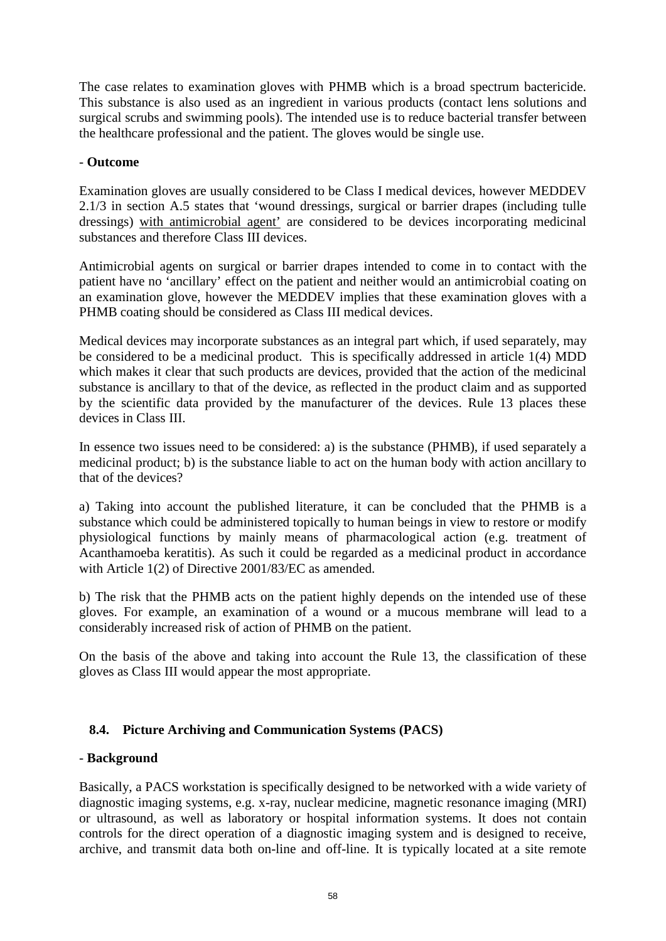The case relates to examination gloves with PHMB which is a broad spectrum bactericide. This substance is also used as an ingredient in various products (contact lens solutions and surgical scrubs and swimming pools). The intended use is to reduce bacterial transfer between the healthcare professional and the patient. The gloves would be single use.

# - **Outcome**

Examination gloves are usually considered to be Class I medical devices, however MEDDEV 2.1/3 in section A.5 states that 'wound dressings, surgical or barrier drapes (including tulle dressings) with antimicrobial agent' are considered to be devices incorporating medicinal substances and therefore Class III devices.

Antimicrobial agents on surgical or barrier drapes intended to come in to contact with the patient have no 'ancillary' effect on the patient and neither would an antimicrobial coating on an examination glove, however the MEDDEV implies that these examination gloves with a PHMB coating should be considered as Class III medical devices.

Medical devices may incorporate substances as an integral part which, if used separately, may be considered to be a medicinal product. This is specifically addressed in article 1(4) MDD which makes it clear that such products are devices, provided that the action of the medicinal substance is ancillary to that of the device, as reflected in the product claim and as supported by the scientific data provided by the manufacturer of the devices. Rule 13 places these devices in Class III.

In essence two issues need to be considered: a) is the substance (PHMB), if used separately a medicinal product; b) is the substance liable to act on the human body with action ancillary to that of the devices?

a) Taking into account the published literature, it can be concluded that the PHMB is a substance which could be administered topically to human beings in view to restore or modify physiological functions by mainly means of pharmacological action (e.g. treatment of Acanthamoeba keratitis). As such it could be regarded as a medicinal product in accordance with Article 1(2) of Directive 2001/83/EC as amended.

b) The risk that the PHMB acts on the patient highly depends on the intended use of these gloves. For example, an examination of a wound or a mucous membrane will lead to a considerably increased risk of action of PHMB on the patient.

On the basis of the above and taking into account the Rule 13, the classification of these gloves as Class III would appear the most appropriate.

# **8.4. Picture Archiving and Communication Systems (PACS)**

# - **Background**

Basically, a PACS workstation is specifically designed to be networked with a wide variety of diagnostic imaging systems, e.g. x-ray, nuclear medicine, magnetic resonance imaging (MRI) or ultrasound, as well as laboratory or hospital information systems. It does not contain controls for the direct operation of a diagnostic imaging system and is designed to receive, archive, and transmit data both on-line and off-line. It is typically located at a site remote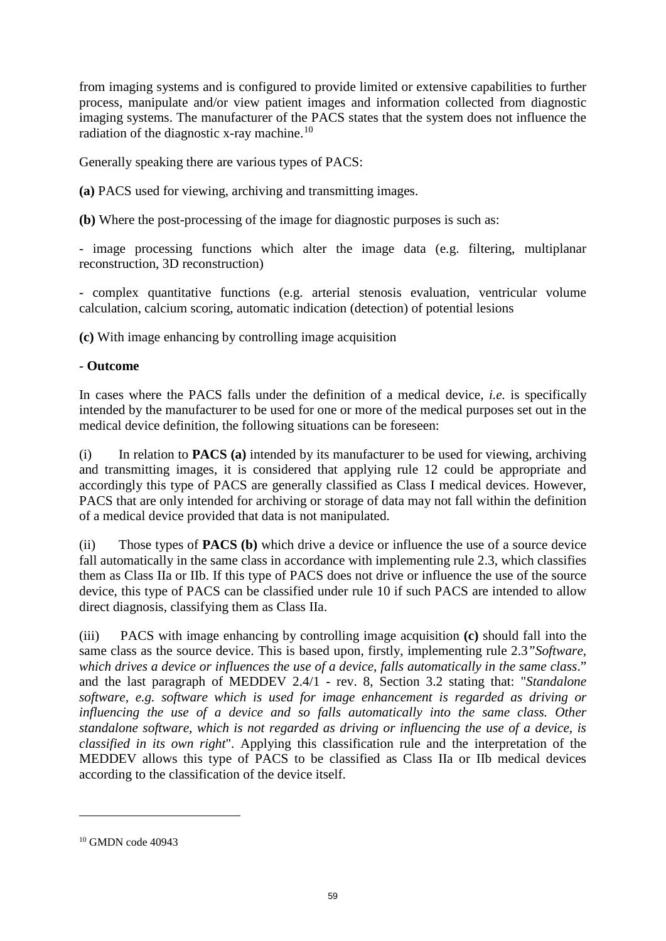from imaging systems and is configured to provide limited or extensive capabilities to further process, manipulate and/or view patient images and information collected from diagnostic imaging systems. The manufacturer of the PACS states that the system does not influence the radiation of the diagnostic x-ray machine.<sup>[10](#page-58-0)</sup>

Generally speaking there are various types of PACS:

**(a)** PACS used for viewing, archiving and transmitting images.

**(b)** Where the post-processing of the image for diagnostic purposes is such as:

- image processing functions which alter the image data (e.g. filtering, multiplanar reconstruction, 3D reconstruction)

- complex quantitative functions (e.g. arterial stenosis evaluation, ventricular volume calculation, calcium scoring, automatic indication (detection) of potential lesions

**(c)** With image enhancing by controlling image acquisition

# - **Outcome**

In cases where the PACS falls under the definition of a medical device, *i.e.* is specifically intended by the manufacturer to be used for one or more of the medical purposes set out in the medical device definition, the following situations can be foreseen:

(i) In relation to **PACS (a)** intended by its manufacturer to be used for viewing, archiving and transmitting images, it is considered that applying rule 12 could be appropriate and accordingly this type of PACS are generally classified as Class I medical devices. However, PACS that are only intended for archiving or storage of data may not fall within the definition of a medical device provided that data is not manipulated.

(ii) Those types of **PACS (b)** which drive a device or influence the use of a source device fall automatically in the same class in accordance with implementing rule 2.3, which classifies them as Class IIa or IIb. If this type of PACS does not drive or influence the use of the source device, this type of PACS can be classified under rule 10 if such PACS are intended to allow direct diagnosis, classifying them as Class IIa.

(iii) PACS with image enhancing by controlling image acquisition **(c)** should fall into the same class as the source device. This is based upon, firstly, implementing rule 2.3*"Software, which drives a device or influences the use of a device, falls automatically in the same class*." and the last paragraph of MEDDEV 2.4/1 - rev. 8, Section 3.2 stating that: "*Standalone software, e.g. software which is used for image enhancement is regarded as driving or influencing the use of a device and so falls automatically into the same class. Other standalone software, which is not regarded as driving or influencing the use of a device, is classified in its own right*". Applying this classification rule and the interpretation of the MEDDEV allows this type of PACS to be classified as Class IIa or IIb medical devices according to the classification of the device itself.

 $\overline{a}$ 

<span id="page-58-0"></span><sup>10</sup> GMDN code 40943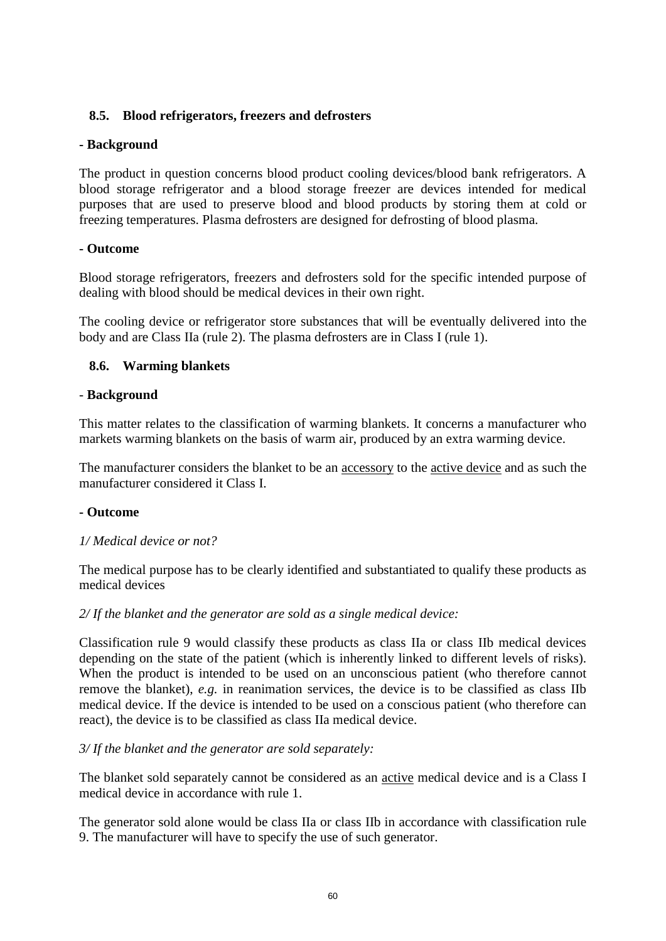# **8.5. Blood refrigerators, freezers and defrosters**

## **- Background**

The product in question concerns blood product cooling devices/blood bank refrigerators. A blood storage refrigerator and a blood storage freezer are devices intended for medical purposes that are used to preserve blood and blood products by storing them at cold or freezing temperatures. Plasma defrosters are designed for defrosting of blood plasma.

## **- Outcome**

Blood storage refrigerators, freezers and defrosters sold for the specific intended purpose of dealing with blood should be medical devices in their own right.

The cooling device or refrigerator store substances that will be eventually delivered into the body and are Class IIa (rule 2). The plasma defrosters are in Class I (rule 1).

## **8.6. Warming blankets**

## - **Background**

This matter relates to the classification of warming blankets. It concerns a manufacturer who markets warming blankets on the basis of warm air, produced by an extra warming device.

The manufacturer considers the blanket to be an <u>accessory</u> to the <u>active device</u> and as such the manufacturer considered it Class I.

#### **- Outcome**

#### *1/ Medical device or not?*

The medical purpose has to be clearly identified and substantiated to qualify these products as medical devices

# *2/ If the blanket and the generator are sold as a single medical device:*

Classification rule 9 would classify these products as class IIa or class IIb medical devices depending on the state of the patient (which is inherently linked to different levels of risks). When the product is intended to be used on an unconscious patient (who therefore cannot remove the blanket), *e.g.* in reanimation services, the device is to be classified as class IIb medical device. If the device is intended to be used on a conscious patient (who therefore can react), the device is to be classified as class IIa medical device.

#### *3/ If the blanket and the generator are sold separately:*

The blanket sold separately cannot be considered as an active medical device and is a Class I medical device in accordance with rule 1.

The generator sold alone would be class IIa or class IIb in accordance with classification rule 9. The manufacturer will have to specify the use of such generator.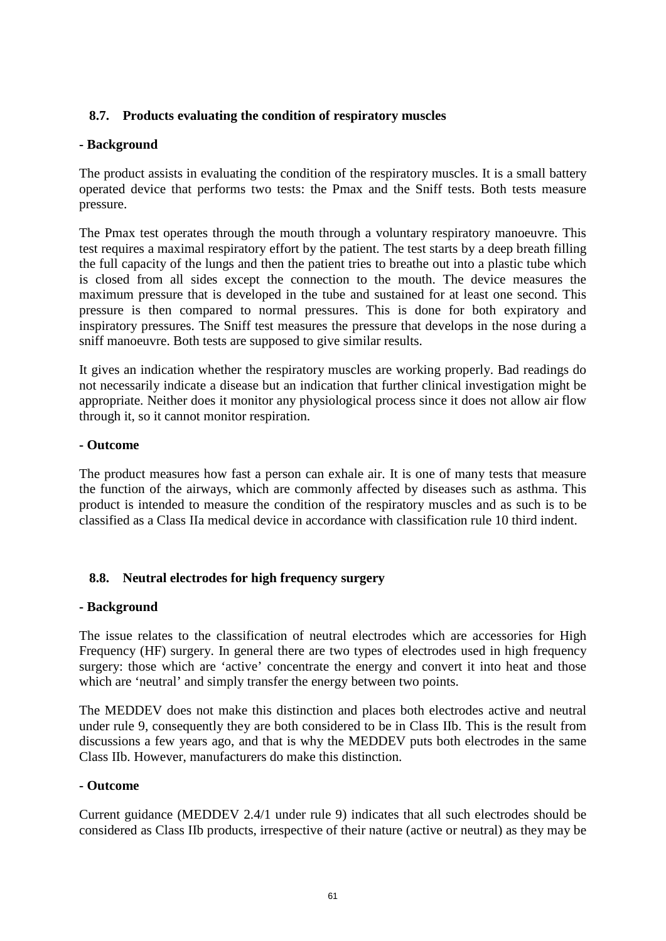# **8.7. Products evaluating the condition of respiratory muscles**

## **- Background**

The product assists in evaluating the condition of the respiratory muscles. It is a small battery operated device that performs two tests: the Pmax and the Sniff tests. Both tests measure pressure.

The Pmax test operates through the mouth through a voluntary respiratory manoeuvre. This test requires a maximal respiratory effort by the patient. The test starts by a deep breath filling the full capacity of the lungs and then the patient tries to breathe out into a plastic tube which is closed from all sides except the connection to the mouth. The device measures the maximum pressure that is developed in the tube and sustained for at least one second. This pressure is then compared to normal pressures. This is done for both expiratory and inspiratory pressures. The Sniff test measures the pressure that develops in the nose during a sniff manoeuvre. Both tests are supposed to give similar results.

It gives an indication whether the respiratory muscles are working properly. Bad readings do not necessarily indicate a disease but an indication that further clinical investigation might be appropriate. Neither does it monitor any physiological process since it does not allow air flow through it, so it cannot monitor respiration.

#### **- Outcome**

The product measures how fast a person can exhale air. It is one of many tests that measure the function of the airways, which are commonly affected by diseases such as asthma. This product is intended to measure the condition of the respiratory muscles and as such is to be classified as a Class IIa medical device in accordance with classification rule 10 third indent.

#### **8.8. Neutral electrodes for high frequency surgery**

#### **- Background**

The issue relates to the classification of neutral electrodes which are accessories for High Frequency (HF) surgery. In general there are two types of electrodes used in high frequency surgery: those which are 'active' concentrate the energy and convert it into heat and those which are 'neutral' and simply transfer the energy between two points.

The MEDDEV does not make this distinction and places both electrodes active and neutral under rule 9, consequently they are both considered to be in Class IIb. This is the result from discussions a few years ago, and that is why the MEDDEV puts both electrodes in the same Class IIb. However, manufacturers do make this distinction.

#### **- Outcome**

Current guidance (MEDDEV 2.4/1 under rule 9) indicates that all such electrodes should be considered as Class IIb products, irrespective of their nature (active or neutral) as they may be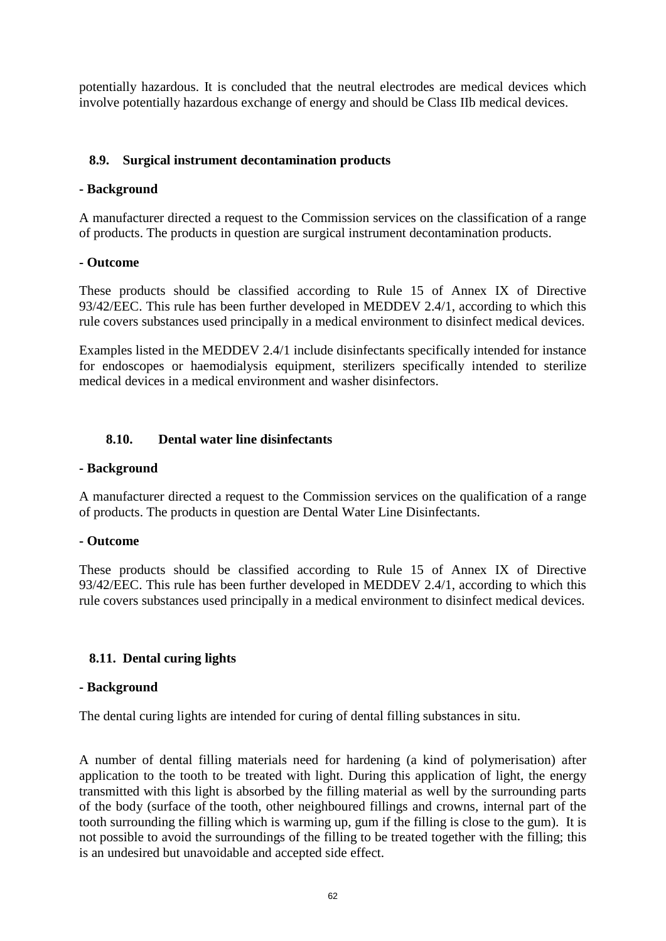potentially hazardous. It is concluded that the neutral electrodes are medical devices which involve potentially hazardous exchange of energy and should be Class IIb medical devices.

# <span id="page-61-0"></span>**8.9. Surgical instrument decontamination products**

## **- Background**

A manufacturer directed a request to the Commission services on the classification of a range of products. The products in question are surgical instrument decontamination products.

## **- Outcome**

These products should be classified according to Rule 15 of Annex IX of Directive 93/42/EEC. This rule has been further developed in MEDDEV 2.4/1, according to which this rule covers substances used principally in a medical environment to disinfect medical devices.

Examples listed in the MEDDEV 2.4/1 include disinfectants specifically intended for instance for endoscopes or haemodialysis equipment, sterilizers specifically intended to sterilize medical devices in a medical environment and washer disinfectors.

## <span id="page-61-1"></span>**8.10. Dental water line disinfectants**

#### **- Background**

A manufacturer directed a request to the Commission services on the qualification of a range of products. The products in question are Dental Water Line Disinfectants.

#### **- Outcome**

These products should be classified according to Rule 15 of Annex IX of Directive 93/42/EEC. This rule has been further developed in MEDDEV 2.4/1, according to which this rule covers substances used principally in a medical environment to disinfect medical devices.

# **8.11. Dental curing lights**

#### **- Background**

The dental curing lights are intended for curing of dental filling substances in situ.

A number of dental filling materials need for hardening (a kind of polymerisation) after application to the tooth to be treated with light. During this application of light, the energy transmitted with this light is absorbed by the filling material as well by the surrounding parts of the body (surface of the tooth, other neighboured fillings and crowns, internal part of the tooth surrounding the filling which is warming up, gum if the filling is close to the gum). It is not possible to avoid the surroundings of the filling to be treated together with the filling; this is an undesired but unavoidable and accepted side effect.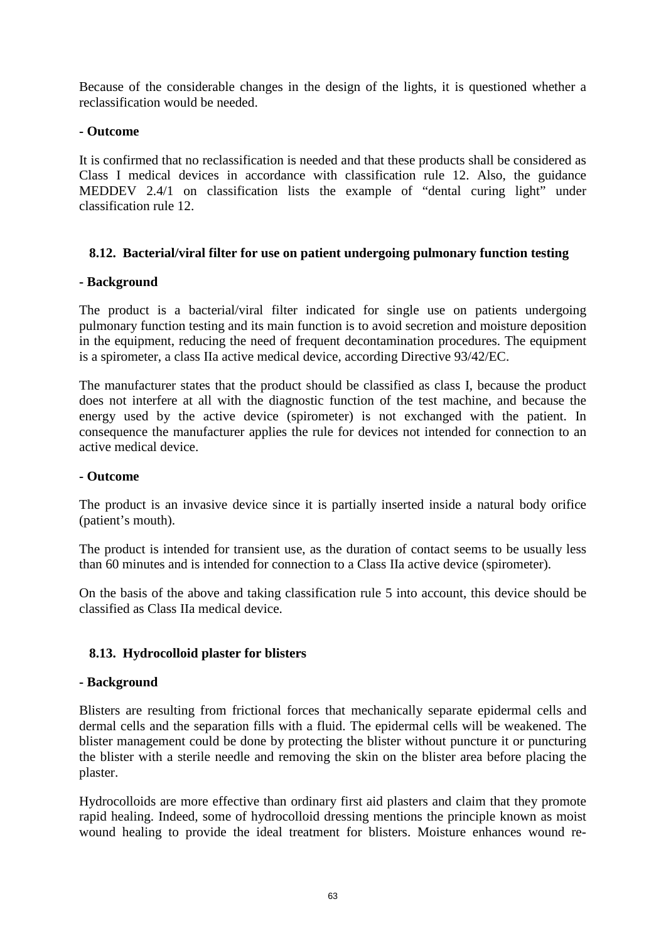Because of the considerable changes in the design of the lights, it is questioned whether a reclassification would be needed.

# **- Outcome**

It is confirmed that no reclassification is needed and that these products shall be considered as Class I medical devices in accordance with classification rule 12. Also, the guidance MEDDEV 2.4/1 on classification lists the example of "dental curing light" under classification rule 12.

# **8.12. Bacterial/viral filter for use on patient undergoing pulmonary function testing**

## **- Background**

The product is a bacterial/viral filter indicated for single use on patients undergoing pulmonary function testing and its main function is to avoid secretion and moisture deposition in the equipment, reducing the need of frequent decontamination procedures. The equipment is a spirometer, a class IIa active medical device, according Directive 93/42/EC.

The manufacturer states that the product should be classified as class I, because the product does not interfere at all with the diagnostic function of the test machine, and because the energy used by the active device (spirometer) is not exchanged with the patient. In consequence the manufacturer applies the rule for devices not intended for connection to an active medical device.

# **- Outcome**

The product is an invasive device since it is partially inserted inside a natural body orifice (patient's mouth).

The product is intended for transient use, as the duration of contact seems to be usually less than 60 minutes and is intended for connection to a Class IIa active device (spirometer).

On the basis of the above and taking classification rule 5 into account, this device should be classified as Class IIa medical device.

# **8.13. Hydrocolloid plaster for blisters**

#### **- Background**

Blisters are resulting from frictional forces that mechanically separate epidermal cells and dermal cells and the separation fills with a fluid. The epidermal cells will be weakened. The blister management could be done by protecting the blister without puncture it or puncturing the blister with a sterile needle and removing the skin on the blister area before placing the plaster.

Hydrocolloids are more effective than ordinary first aid plasters and claim that they promote rapid healing. Indeed, some of hydrocolloid dressing mentions the principle known as moist wound healing to provide the ideal treatment for blisters. Moisture enhances wound re-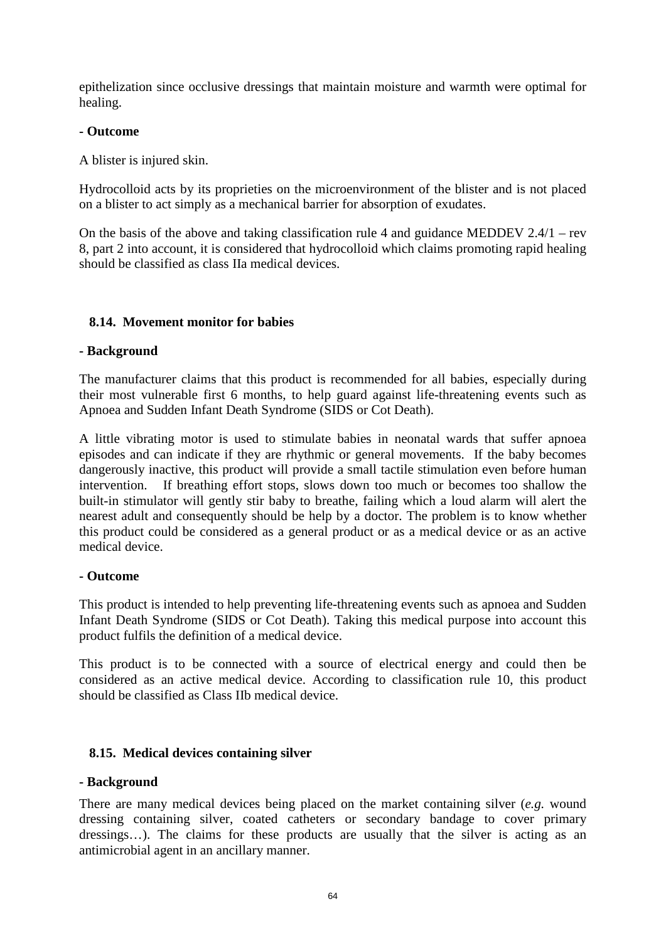epithelization since occlusive dressings that maintain moisture and warmth were optimal for healing.

## **- Outcome**

A blister is injured skin.

Hydrocolloid acts by its proprieties on the microenvironment of the blister and is not placed on a blister to act simply as a mechanical barrier for absorption of exudates.

On the basis of the above and taking classification rule 4 and guidance MEDDEV 2.4/1 – rev 8, part 2 into account, it is considered that hydrocolloid which claims promoting rapid healing should be classified as class IIa medical devices.

# **8.14. Movement monitor for babies**

## **- Background**

The manufacturer claims that this product is recommended for all babies, especially during their most vulnerable first 6 months, to help guard against life-threatening events such as Apnoea and Sudden Infant Death Syndrome (SIDS or Cot Death).

A little vibrating motor is used to [stimulate babies in neonatal wards](http://www.respisense.com/en/design.php##) that suffer apnoea episodes and can indicate if they are rhythmic or general movements. If the baby becomes dangerously inactive, this product will provide a small tactile stimulation even before human intervention. If breathing effort stops, slows down too much or becomes too shallow the built-in stimulator will gently stir baby to breathe, failing which a loud alarm will alert the nearest adult and consequently should be help by a doctor. The problem is to know whether this product could be considered as a general product or as a medical device or as an active medical device.

#### **- Outcome**

This product is intended to help preventing life-threatening events such as apnoea and Sudden Infant Death Syndrome (SIDS or Cot Death). Taking this medical purpose into account this product fulfils the definition of a medical device.

This product is to be connected with a source of electrical energy and could then be considered as an active medical device. According to classification rule 10, this product should be classified as Class IIb medical device.

#### **8.15. Medical devices containing silver**

#### **- Background**

There are many medical devices being placed on the market containing silver (*e.g.* wound dressing containing silver, coated catheters or secondary bandage to cover primary dressings…). The claims for these products are usually that the silver is acting as an antimicrobial agent in an ancillary manner.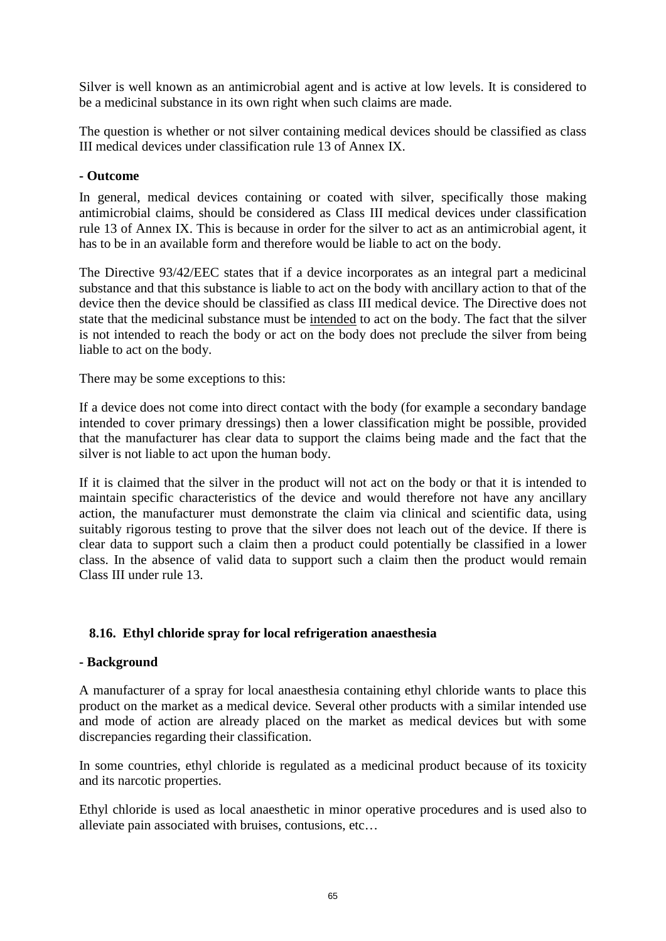Silver is well known as an antimicrobial agent and is active at low levels. It is considered to be a medicinal substance in its own right when such claims are made.

The question is whether or not silver containing medical devices should be classified as class III medical devices under classification rule 13 of Annex IX.

# **- Outcome**

In general, medical devices containing or coated with silver, specifically those making antimicrobial claims, should be considered as Class III medical devices under classification rule 13 of Annex IX. This is because in order for the silver to act as an antimicrobial agent, it has to be in an available form and therefore would be liable to act on the body.

The Directive 93/42/EEC states that if a device incorporates as an integral part a medicinal substance and that this substance is liable to act on the body with ancillary action to that of the device then the device should be classified as class III medical device. The Directive does not state that the medicinal substance must be intended to act on the body. The fact that the silver is not intended to reach the body or act on the body does not preclude the silver from being liable to act on the body.

There may be some exceptions to this:

If a device does not come into direct contact with the body (for example a secondary bandage intended to cover primary dressings) then a lower classification might be possible, provided that the manufacturer has clear data to support the claims being made and the fact that the silver is not liable to act upon the human body.

If it is claimed that the silver in the product will not act on the body or that it is intended to maintain specific characteristics of the device and would therefore not have any ancillary action, the manufacturer must demonstrate the claim via clinical and scientific data, using suitably rigorous testing to prove that the silver does not leach out of the device. If there is clear data to support such a claim then a product could potentially be classified in a lower class. In the absence of valid data to support such a claim then the product would remain Class III under rule 13.

# **8.16. Ethyl chloride spray for local refrigeration anaesthesia**

# **- Background**

A manufacturer of a spray for local anaesthesia containing ethyl chloride wants to place this product on the market as a medical device. Several other products with a similar intended use and mode of action are already placed on the market as medical devices but with some discrepancies regarding their classification.

In some countries, ethyl chloride is regulated as a medicinal product because of its toxicity and its narcotic properties.

Ethyl chloride is used as local anaesthetic in minor operative procedures and is used also to alleviate pain associated with bruises, contusions, etc…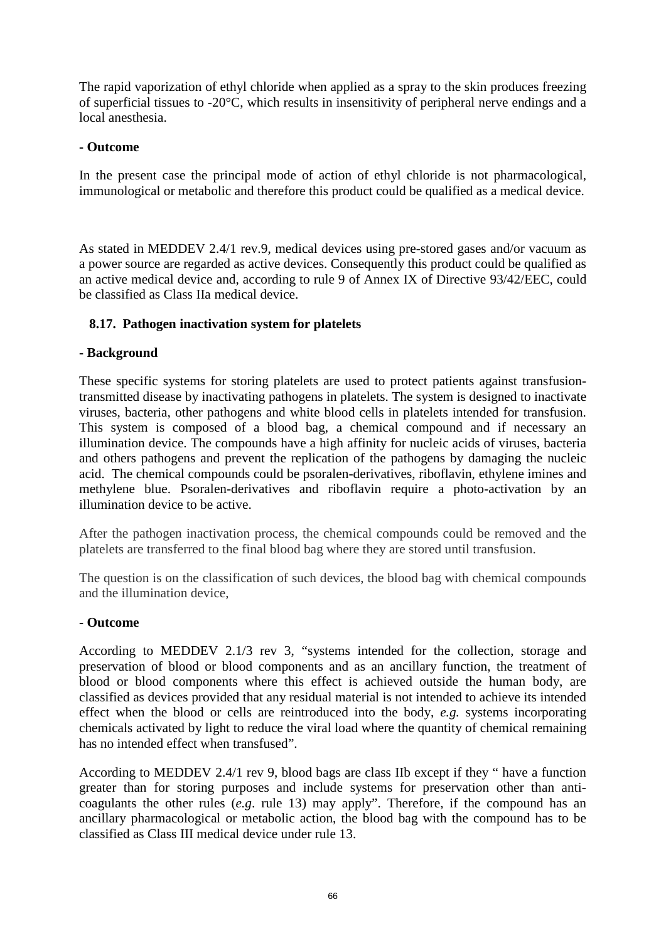The rapid vaporization of ethyl chloride when applied as a spray to the skin produces freezing of superficial tissues to -20°C, which results in insensitivity of peripheral nerve endings and a local anesthesia.

## **- Outcome**

In the present case the principal mode of action of ethyl chloride is not pharmacological, immunological or metabolic and therefore this product could be qualified as a medical device.

As stated in MEDDEV 2.4/1 rev.9, medical devices using pre-stored gases and/or vacuum as a power source are regarded as active devices. Consequently this product could be qualified as an active medical device and, according to rule 9 of Annex IX of Directive 93/42/EEC, could be classified as Class IIa medical device.

# **8.17. Pathogen inactivation system for platelets**

#### **- Background**

These specific systems for storing platelets are used to protect patients against transfusiontransmitted disease by inactivating pathogens in platelets. The system is designed to inactivate viruses, bacteria, other pathogens and white blood cells in platelets intended for transfusion. This system is composed of a blood bag, a chemical compound and if necessary an illumination device. The compounds have a high affinity for nucleic acids of viruses, bacteria and others pathogens and prevent the replication of the pathogens by damaging the nucleic acid. The chemical compounds could be psoralen-derivatives, riboflavin, ethylene imines and methylene blue. Psoralen-derivatives and riboflavin require a photo-activation by an illumination device to be active.

After the pathogen inactivation process, the chemical compounds could be removed and the platelets are transferred to the final blood bag where they are stored until transfusion.

The question is on the classification of such devices, the blood bag with chemical compounds and the illumination device,

#### **- Outcome**

According to MEDDEV 2.1/3 rev 3, "systems intended for the collection, storage and preservation of blood or blood components and as an ancillary function, the treatment of blood or blood components where this effect is achieved outside the human body, are classified as devices provided that any residual material is not intended to achieve its intended effect when the blood or cells are reintroduced into the body, *e.g.* systems incorporating chemicals activated by light to reduce the viral load where the quantity of chemical remaining has no intended effect when transfused".

According to MEDDEV 2.4/1 rev 9, blood bags are class IIb except if they " have a function greater than for storing purposes and include systems for preservation other than anticoagulants the other rules (*e.g*. rule 13) may apply". Therefore, if the compound has an ancillary pharmacological or metabolic action, the blood bag with the compound has to be classified as Class III medical device under rule 13.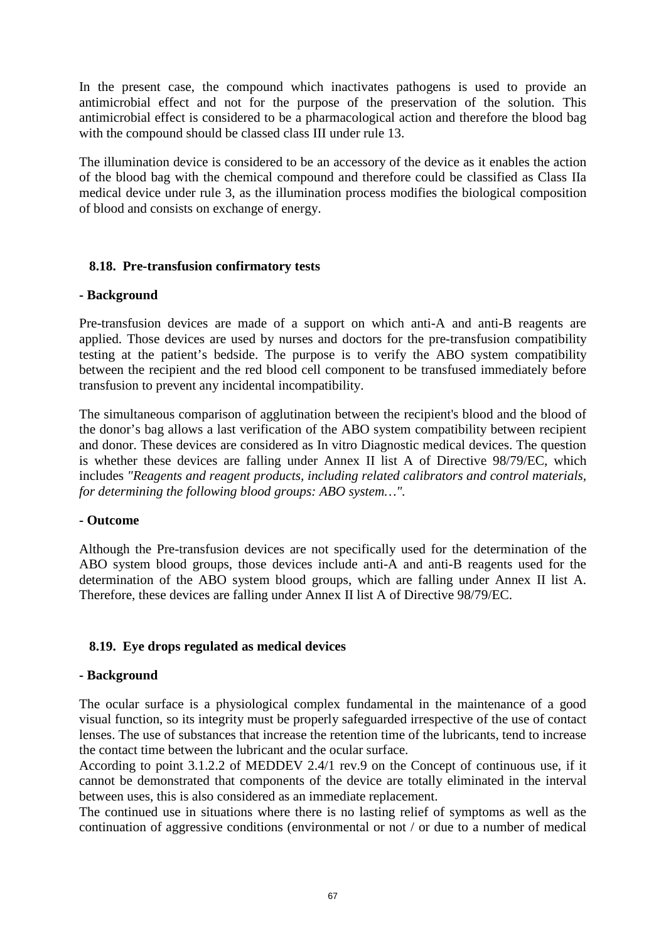In the present case, the compound which inactivates pathogens is used to provide an antimicrobial effect and not for the purpose of the preservation of the solution. This antimicrobial effect is considered to be a pharmacological action and therefore the blood bag with the compound should be classed class III under rule 13.

The illumination device is considered to be an accessory of the device as it enables the action of the blood bag with the chemical compound and therefore could be classified as Class IIa medical device under rule 3, as the illumination process modifies the biological composition of blood and consists on exchange of energy.

## **8.18. Pre-transfusion confirmatory tests**

#### **- Background**

Pre-transfusion devices are made of a support on which anti-A and anti-B reagents are applied. Those devices are used by nurses and doctors for the pre-transfusion compatibility testing at the patient's bedside. The purpose is to verify the ABO system compatibility between the recipient and the red blood cell component to be transfused immediately before transfusion to prevent any incidental incompatibility.

The simultaneous comparison of agglutination between the recipient's blood and the blood of the donor's bag allows a last verification of the ABO system compatibility between recipient and donor. These devices are considered as In vitro Diagnostic medical devices. The question is whether these devices are falling under Annex II list A of Directive 98/79/EC, which includes *"Reagents and reagent products, including related calibrators and control materials, for determining the following blood groups: ABO system…".*

#### **- Outcome**

Although the Pre-transfusion devices are not specifically used for the determination of the ABO system blood groups, those devices include anti-A and anti-B reagents used for the determination of the ABO system blood groups, which are falling under Annex II list A. Therefore, these devices are falling under Annex II list A of Directive 98/79/EC.

# <span id="page-66-0"></span>**8.19. Eye drops regulated as medical devices**

#### **- Background**

The ocular surface is a physiological complex fundamental in the maintenance of a good visual function, so its integrity must be properly safeguarded irrespective of the use of contact lenses. The use of substances that increase the retention time of the lubricants, tend to increase the contact time between the lubricant and the ocular surface.

According to point 3.1.2.2 of MEDDEV 2.4/1 rev.9 on the Concept of continuous use, if it cannot be demonstrated that components of the device are totally eliminated in the interval between uses, this is also considered as an immediate replacement.

The continued use in situations where there is no lasting relief of symptoms as well as the continuation of aggressive conditions (environmental or not / or due to a number of medical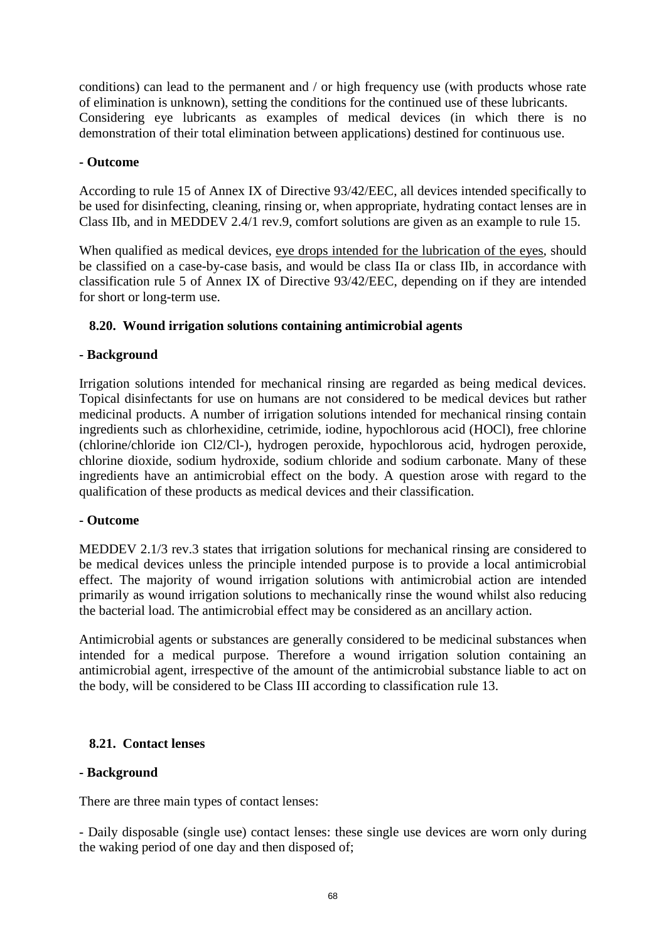conditions) can lead to the permanent and / or high frequency use (with products whose rate of elimination is unknown), setting the conditions for the continued use of these lubricants. Considering eye lubricants as examples of medical devices (in which there is no demonstration of their total elimination between applications) destined for continuous use.

#### **- Outcome**

According to rule 15 of Annex IX of Directive 93/42/EEC, all devices intended specifically to be used for disinfecting, cleaning, rinsing or, when appropriate, hydrating contact lenses are in Class IIb, and in MEDDEV 2.4/1 rev.9, comfort solutions are given as an example to rule 15.

When qualified as medical devices, eye drops intended for the lubrication of the eyes, should be classified on a case-by-case basis, and would be class IIa or class IIb, in accordance with classification rule 5 of Annex IX of Directive 93/42/EEC, depending on if they are intended for short or long-term use.

# **8.20. Wound irrigation solutions containing antimicrobial agents**

## **- Background**

Irrigation solutions intended for mechanical rinsing are regarded as being medical devices. Topical disinfectants for use on humans are not considered to be medical devices but rather medicinal products. A number of irrigation solutions intended for mechanical rinsing contain ingredients such as chlorhexidine, cetrimide, iodine, hypochlorous acid (HOCl), free chlorine (chlorine/chloride ion Cl2/Cl-), hydrogen peroxide, hypochlorous acid, hydrogen peroxide, chlorine dioxide, sodium hydroxide, sodium chloride and sodium carbonate. Many of these ingredients have an antimicrobial effect on the body. A question arose with regard to the qualification of these products as medical devices and their classification.

#### **- Outcome**

MEDDEV 2.1/3 rev.3 states that irrigation solutions for mechanical rinsing are considered to be medical devices unless the principle intended purpose is to provide a local antimicrobial effect. The majority of wound irrigation solutions with antimicrobial action are intended primarily as wound irrigation solutions to mechanically rinse the wound whilst also reducing the bacterial load. The antimicrobial effect may be considered as an ancillary action.

Antimicrobial agents or substances are generally considered to be medicinal substances when intended for a medical purpose. Therefore a wound irrigation solution containing an antimicrobial agent, irrespective of the amount of the antimicrobial substance liable to act on the body, will be considered to be Class III according to classification rule 13.

# **8.21. Contact lenses**

#### **- Background**

There are three main types of contact lenses:

- Daily disposable (single use) contact lenses: these single use devices are worn only during the waking period of one day and then disposed of;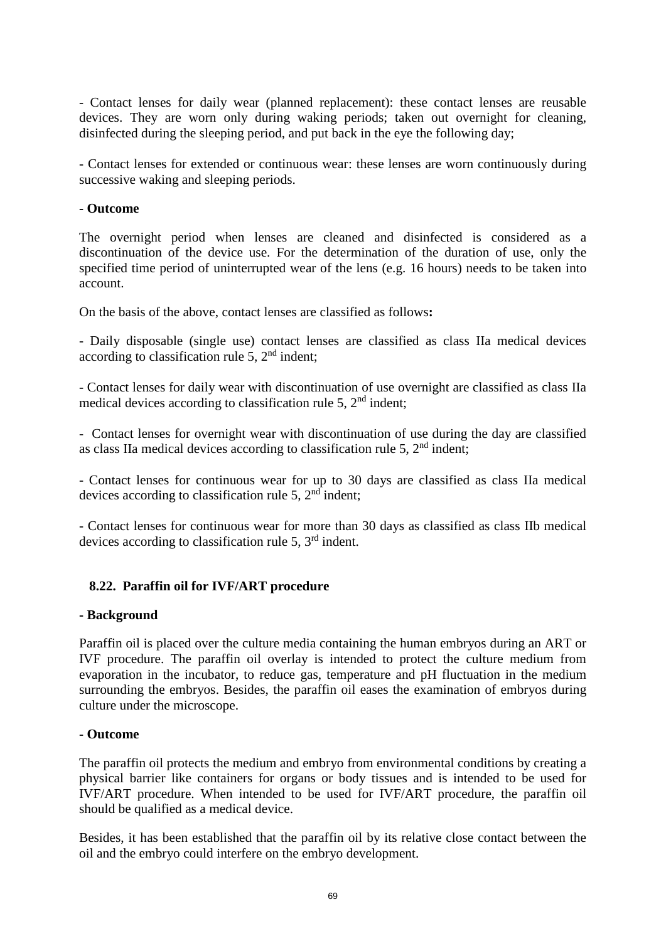- Contact lenses for daily wear (planned replacement): these contact lenses are reusable devices. They are worn only during waking periods; taken out overnight for cleaning, disinfected during the sleeping period, and put back in the eye the following day;

- Contact lenses for extended or continuous wear: these lenses are worn continuously during successive waking and sleeping periods.

#### **- Outcome**

The overnight period when lenses are cleaned and disinfected is considered as a discontinuation of the device use. For the determination of the duration of use, only the specified time period of uninterrupted wear of the lens (e.g. 16 hours) needs to be taken into account.

On the basis of the above, contact lenses are classified as follows**:**

- Daily disposable (single use) contact lenses are classified as class IIa medical devices according to classification rule 5,  $2<sup>nd</sup>$  indent;

- Contact lenses for daily wear with discontinuation of use overnight are classified as class IIa medical devices according to classification rule 5,  $2<sup>nd</sup>$  indent;

- Contact lenses for overnight wear with discontinuation of use during the day are classified as class IIa medical devices according to classification rule 5,  $2<sup>nd</sup>$  indent;

- Contact lenses for continuous wear for up to 30 days are classified as class IIa medical devices according to classification rule 5,  $2<sup>nd</sup>$  indent:

- Contact lenses for continuous wear for more than 30 days as classified as class IIb medical devices according to classification rule 5, 3rd indent.

#### **8.22. Paraffin oil for IVF/ART procedure**

#### **- Background**

Paraffin oil is placed over the culture media containing the human embryos during an ART or IVF procedure. The paraffin oil overlay is intended to protect the culture medium from evaporation in the incubator, to reduce gas, temperature and pH fluctuation in the medium surrounding the embryos. Besides, the paraffin oil eases the examination of embryos during culture under the microscope.

#### **- Outcome**

The paraffin oil protects the medium and embryo from environmental conditions by creating a physical barrier like containers for organs or body tissues and is intended to be used for IVF/ART procedure. When intended to be used for IVF/ART procedure, the paraffin oil should be qualified as a medical device.

Besides, it has been established that the paraffin oil by its relative close contact between the oil and the embryo could interfere on the embryo development.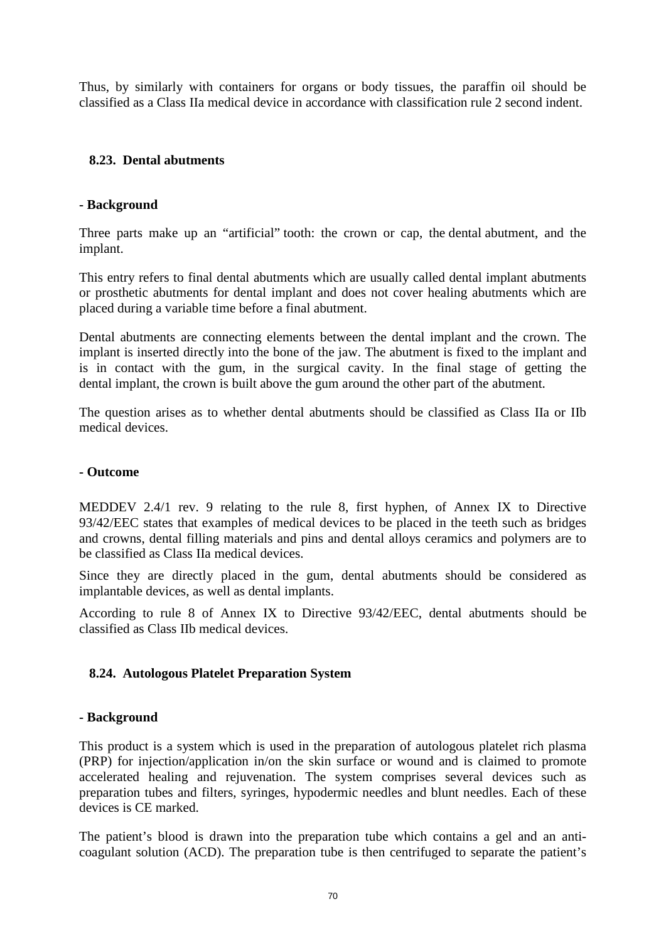Thus, by similarly with containers for organs or body tissues, the paraffin oil should be classified as a Class IIa medical device in accordance with classification rule 2 second indent.

# **8.23. Dental abutments**

## **- Background**

Three parts make up an "artificial" tooth: the crown or cap, the dental abutment, and the implant.

This entry refers to final dental abutments which are usually called dental implant abutments or prosthetic abutments for dental implant and does not cover healing abutments which are placed during a variable time before a final abutment.

Dental abutments are connecting elements between the dental implant and the crown. The implant is inserted directly into the bone of the jaw. The abutment is fixed to the implant and is in contact with the gum, in the surgical cavity. In the final stage of getting the dental implant, the crown is built above the gum around the other part of the abutment.

The question arises as to whether dental abutments should be classified as Class IIa or IIb medical devices.

#### **- Outcome**

MEDDEV 2.4/1 rev. 9 relating to the rule 8, first hyphen, of Annex IX to Directive 93/42/EEC states that examples of medical devices to be placed in the teeth such as bridges and crowns, dental filling materials and pins and dental alloys ceramics and polymers are to be classified as Class IIa medical devices.

Since they are directly placed in the gum, dental abutments should be considered as implantable devices, as well as dental implants.

According to rule 8 of Annex IX to Directive 93/42/EEC, dental abutments should be classified as Class IIb medical devices.

#### **8.24. Autologous Platelet Preparation System**

#### **- Background**

This product is a system which is used in the preparation of autologous platelet rich plasma (PRP) for injection/application in/on the skin surface or wound and is claimed to promote accelerated healing and rejuvenation. The system comprises several devices such as preparation tubes and filters, syringes, hypodermic needles and blunt needles. Each of these devices is CE marked.

The patient's blood is drawn into the preparation tube which contains a gel and an anticoagulant solution (ACD). The preparation tube is then centrifuged to separate the patient's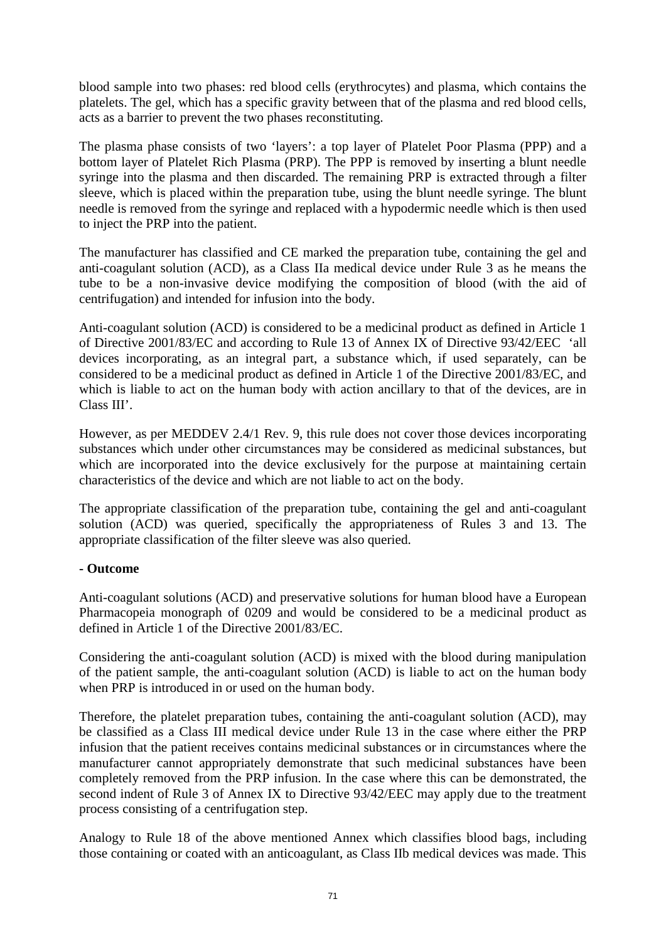blood sample into two phases: red blood cells (erythrocytes) and plasma, which contains the platelets. The gel, which has a specific gravity between that of the plasma and red blood cells, acts as a barrier to prevent the two phases reconstituting.

The plasma phase consists of two 'layers': a top layer of Platelet Poor Plasma (PPP) and a bottom layer of Platelet Rich Plasma (PRP). The PPP is removed by inserting a blunt needle syringe into the plasma and then discarded. The remaining PRP is extracted through a filter sleeve, which is placed within the preparation tube, using the blunt needle syringe. The blunt needle is removed from the syringe and replaced with a hypodermic needle which is then used to inject the PRP into the patient.

The manufacturer has classified and CE marked the preparation tube, containing the gel and anti-coagulant solution (ACD), as a Class IIa medical device under Rule 3 as he means the tube to be a non-invasive device modifying the composition of blood (with the aid of centrifugation) and intended for infusion into the body.

Anti-coagulant solution (ACD) is considered to be a medicinal product as defined in Article 1 of Directive 2001/83/EC and according to Rule 13 of Annex IX of Directive 93/42/EEC 'all devices incorporating, as an integral part, a substance which, if used separately, can be considered to be a medicinal product as defined in Article 1 of the Directive 2001/83/EC, and which is liable to act on the human body with action ancillary to that of the devices, are in Class III'.

However, as per MEDDEV 2.4/1 Rev. 9, this rule does not cover those devices incorporating substances which under other circumstances may be considered as medicinal substances, but which are incorporated into the device exclusively for the purpose at maintaining certain characteristics of the device and which are not liable to act on the body.

The appropriate classification of the preparation tube, containing the gel and anti-coagulant solution (ACD) was queried, specifically the appropriateness of Rules 3 and 13. The appropriate classification of the filter sleeve was also queried.

# **- Outcome**

Anti-coagulant solutions (ACD) and preservative solutions for human blood have a European Pharmacopeia monograph of 0209 and would be considered to be a medicinal product as defined in Article 1 of the Directive 2001/83/EC.

Considering the anti-coagulant solution (ACD) is mixed with the blood during manipulation of the patient sample, the anti-coagulant solution (ACD) is liable to act on the human body when PRP is introduced in or used on the human body.

Therefore, the platelet preparation tubes, containing the anti-coagulant solution (ACD), may be classified as a Class III medical device under Rule 13 in the case where either the PRP infusion that the patient receives contains medicinal substances or in circumstances where the manufacturer cannot appropriately demonstrate that such medicinal substances have been completely removed from the PRP infusion. In the case where this can be demonstrated, the second indent of Rule 3 of Annex IX to Directive 93/42/EEC may apply due to the treatment process consisting of a centrifugation step.

Analogy to Rule 18 of the above mentioned Annex which classifies blood bags, including those containing or coated with an anticoagulant, as Class IIb medical devices was made. This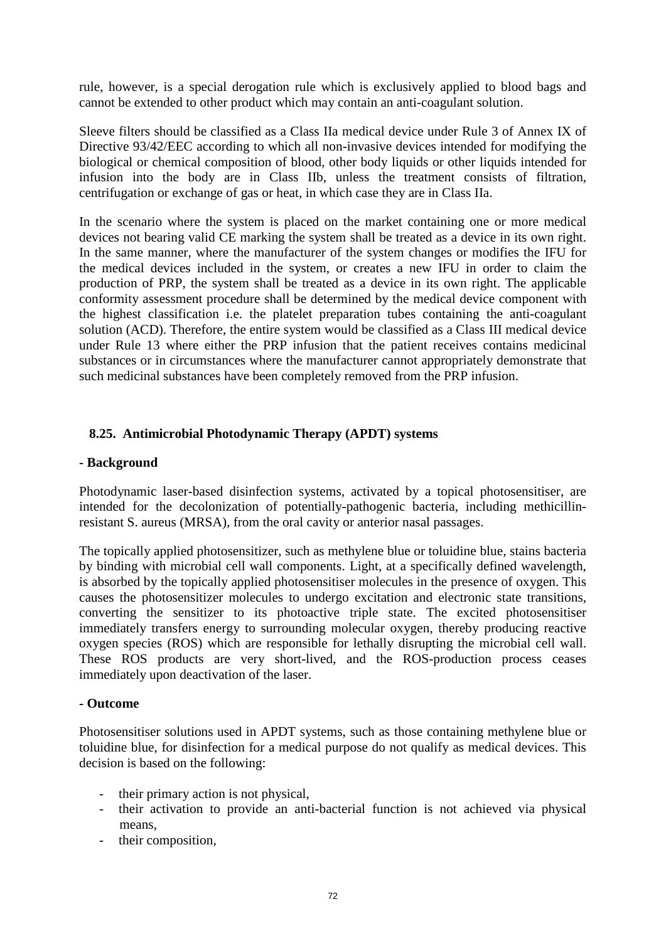rule, however, is a special derogation rule which is exclusively applied to blood bags and cannot be extended to other product which may contain an anti-coagulant solution.

Sleeve filters should be classified as a Class IIa medical device under Rule 3 of Annex IX of Directive 93/42/EEC according to which all non-invasive devices intended for modifying the biological or chemical composition of blood, other body liquids or other liquids intended for infusion into the body are in Class IIb, unless the treatment consists of filtration, centrifugation or exchange of gas or heat, in which case they are in Class IIa.

In the scenario where the system is placed on the market containing one or more medical devices not bearing valid CE marking the system shall be treated as a device in its own right. In the same manner, where the manufacturer of the system changes or modifies the IFU for the medical devices included in the system, or creates a new IFU in order to claim the production of PRP, the system shall be treated as a device in its own right. The applicable conformity assessment procedure shall be determined by the medical device component with the highest classification i.e. the platelet preparation tubes containing the anti-coagulant solution (ACD). Therefore, the entire system would be classified as a Class III medical device under Rule 13 where either the PRP infusion that the patient receives contains medicinal substances or in circumstances where the manufacturer cannot appropriately demonstrate that such medicinal substances have been completely removed from the PRP infusion.

## **8.25. Antimicrobial Photodynamic Therapy (APDT) systems**

#### **- Background**

Photodynamic laser-based disinfection systems, activated by a topical photosensitiser, are intended for the decolonization of potentially-pathogenic bacteria, including methicillinresistant S. aureus (MRSA), from the oral cavity or anterior nasal passages.

The topically applied photosensitizer, such as methylene blue or toluidine blue, stains bacteria by binding with microbial cell wall components. Light, at a specifically defined wavelength, is absorbed by the topically applied photosensitiser molecules in the presence of oxygen. This causes the photosensitizer molecules to undergo excitation and electronic state transitions, converting the sensitizer to its photoactive triple state. The excited photosensitiser immediately transfers energy to surrounding molecular oxygen, thereby producing reactive oxygen species (ROS) which are responsible for lethally disrupting the microbial cell wall. These ROS products are very short-lived, and the ROS-production process ceases immediately upon deactivation of the laser.

#### **- Outcome**

Photosensitiser solutions used in APDT systems, such as those containing methylene blue or toluidine blue, for disinfection for a medical purpose do not qualify as medical devices. This decision is based on the following:

- their primary action is not physical,
- their activation to provide an anti-bacterial function is not achieved via physical means,
- their composition,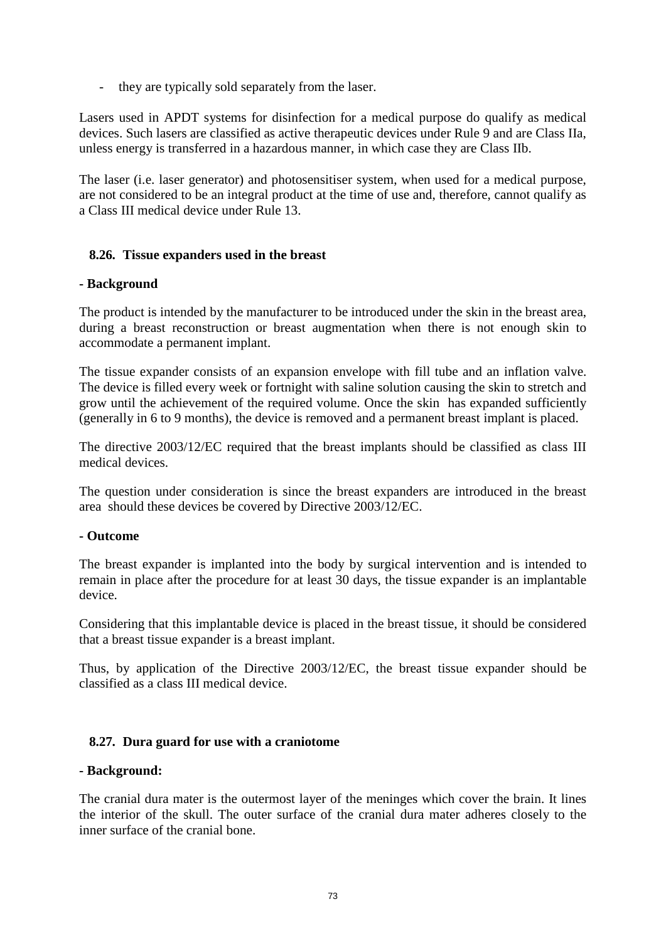- they are typically sold separately from the laser.

Lasers used in APDT systems for disinfection for a medical purpose do qualify as medical devices. Such lasers are classified as active therapeutic devices under Rule 9 and are Class IIa, unless energy is transferred in a hazardous manner, in which case they are Class IIb.

The laser (i.e. laser generator) and photosensitiser system, when used for a medical purpose, are not considered to be an integral product at the time of use and, therefore, cannot qualify as a Class III medical device under Rule 13.

#### <span id="page-72-1"></span>**8.26. Tissue expanders used in the breast**

#### **- Background**

The product is intended by the manufacturer to be introduced under the skin in the breast area, during a breast reconstruction or breast augmentation when there is not enough skin to accommodate a permanent implant.

The tissue expander consists of an expansion envelope with fill tube and an inflation valve. The device is filled every week or fortnight with saline solution causing the skin to stretch and grow until the achievement of the required volume. Once the skin has expanded sufficiently (generally in 6 to 9 months), the device is removed and a permanent breast implant is placed.

The directive 2003/12/EC required that the breast implants should be classified as class III medical devices.

The question under consideration is since the breast expanders are introduced in the breast area should these devices be covered by Directive 2003/12/EC.

#### **- Outcome**

The breast expander is implanted into the body by surgical intervention and is intended to remain in place after the procedure for at least 30 days, the tissue expander is an implantable device.

Considering that this implantable device is placed in the breast tissue, it should be considered that a breast tissue expander is a breast implant.

Thus, by application of the Directive 2003/12/EC, the breast tissue expander should be classified as a class III medical device.

#### <span id="page-72-0"></span>**8.27. Dura guard for use with a craniotome**

#### **- Background:**

The cranial dura mater is the outermost layer of the meninges which cover the brain. It lines the interior of the skull. The outer surface of the cranial dura mater adheres closely to the inner surface of the cranial bone.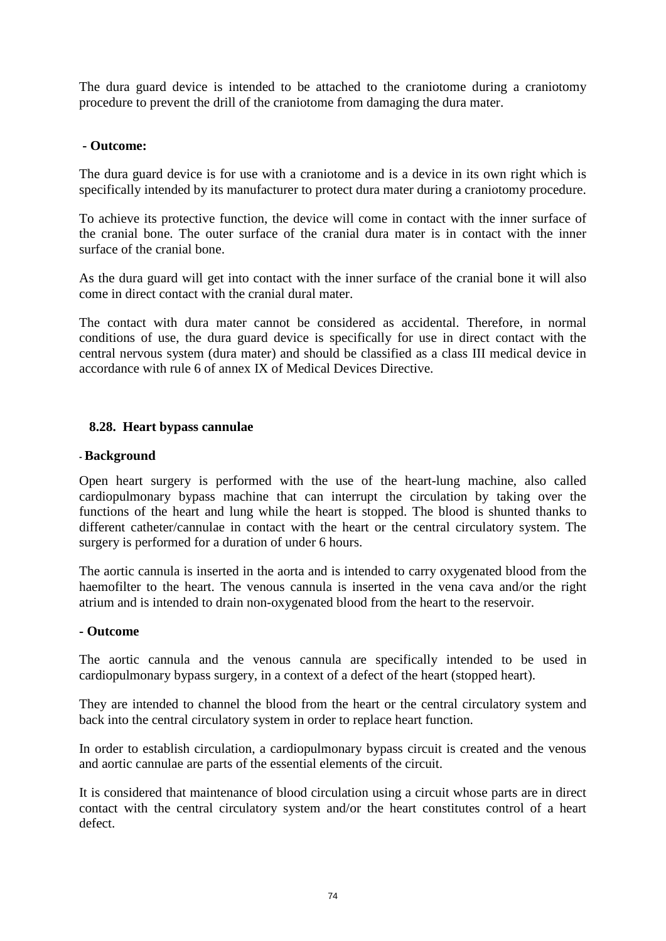The dura guard device is intended to be attached to the craniotome during a craniotomy procedure to prevent the drill of the craniotome from damaging the dura mater.

#### **- Outcome:**

The dura guard device is for use with a craniotome and is a device in its own right which is specifically intended by its manufacturer to protect dura mater during a craniotomy procedure.

To achieve its protective function, the device will come in contact with the inner surface of the cranial bone. The outer surface of the cranial dura mater is in contact with the inner surface of the cranial bone.

As the dura guard will get into contact with the inner surface of the cranial bone it will also come in direct contact with the cranial dural mater.

The contact with dura mater cannot be considered as accidental. Therefore, in normal conditions of use, the dura guard device is specifically for use in direct contact with the central nervous system (dura mater) and should be classified as a class III medical device in accordance with rule 6 of annex IX of Medical Devices Directive.

#### <span id="page-73-0"></span>**8.28. Heart bypass cannulae**

#### **- Background**

Open heart surgery is performed with the use of the heart-lung machine, also called cardiopulmonary bypass machine that can interrupt the circulation by taking over the functions of the heart and lung while the heart is stopped. The blood is shunted thanks to different catheter/cannulae in contact with the heart or the central circulatory system. The surgery is performed for a duration of under 6 hours.

The aortic cannula is inserted in the aorta and is intended to carry oxygenated blood from the haemofilter to the heart. The venous cannula is inserted in the vena cava and/or the right atrium and is intended to drain non-oxygenated blood from the heart to the reservoir.

#### **- Outcome**

The aortic cannula and the venous cannula are specifically intended to be used in cardiopulmonary bypass surgery, in a context of a defect of the heart (stopped heart).

They are intended to channel the blood from the heart or the central circulatory system and back into the central circulatory system in order to replace heart function.

In order to establish circulation, a cardiopulmonary bypass circuit is created and the venous and aortic cannulae are parts of the essential elements of the circuit.

It is considered that maintenance of blood circulation using a circuit whose parts are in direct contact with the central circulatory system and/or the heart constitutes control of a heart defect.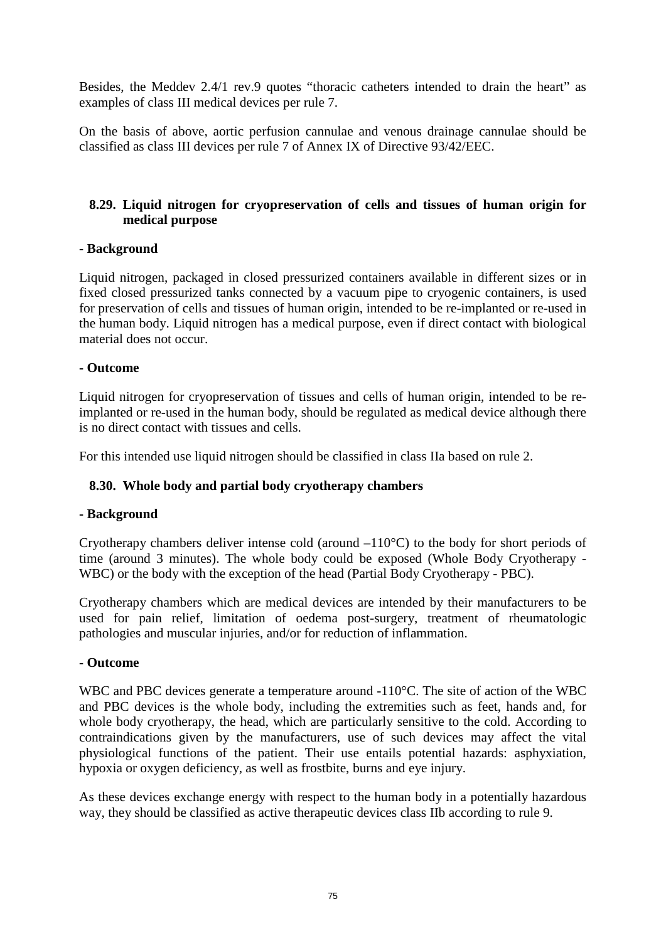Besides, the Meddev 2.4/1 rev.9 quotes "thoracic catheters intended to drain the heart" as examples of class III medical devices per rule 7.

On the basis of above, aortic perfusion cannulae and venous drainage cannulae should be classified as class III devices per rule 7 of Annex IX of Directive 93/42/EEC.

#### <span id="page-74-0"></span>**8.29. Liquid nitrogen for cryopreservation of cells and tissues of human origin for medical purpose**

#### **- Background**

Liquid nitrogen, packaged in closed pressurized containers available in different sizes or in fixed closed pressurized tanks connected by a vacuum pipe to cryogenic containers, is used for preservation of cells and tissues of human origin, intended to be re-implanted or re-used in the human body. Liquid nitrogen has a medical purpose, even if direct contact with biological material does not occur.

#### **- Outcome**

Liquid nitrogen for cryopreservation of tissues and cells of human origin, intended to be reimplanted or re-used in the human body, should be regulated as medical device although there is no direct contact with tissues and cells.

For this intended use liquid nitrogen should be classified in class IIa based on rule 2.

#### <span id="page-74-1"></span>**8.30. Whole body and partial body cryotherapy chambers**

#### **- Background**

Cryotherapy chambers deliver intense cold (around –110°C) to the body for short periods of time (around 3 minutes). The whole body could be exposed (Whole Body Cryotherapy - WBC) or the body with the exception of the head (Partial Body Cryotherapy - PBC).

Cryotherapy chambers which are medical devices are intended by their manufacturers to be used for pain relief, limitation of oedema post-surgery, treatment of rheumatologic pathologies and muscular injuries, and/or for reduction of inflammation.

#### **- Outcome**

WBC and PBC devices generate a temperature around -110<sup>o</sup>C. The site of action of the WBC and PBC devices is the whole body, including the extremities such as feet, hands and, for whole body cryotherapy, the head, which are particularly sensitive to the cold. According to contraindications given by the manufacturers, use of such devices may affect the vital physiological functions of the patient. Their use entails potential hazards: asphyxiation, hypoxia or oxygen deficiency, as well as frostbite, burns and eye injury.

As these devices exchange energy with respect to the human body in a potentially hazardous way, they should be classified as active therapeutic devices class IIb according to rule 9.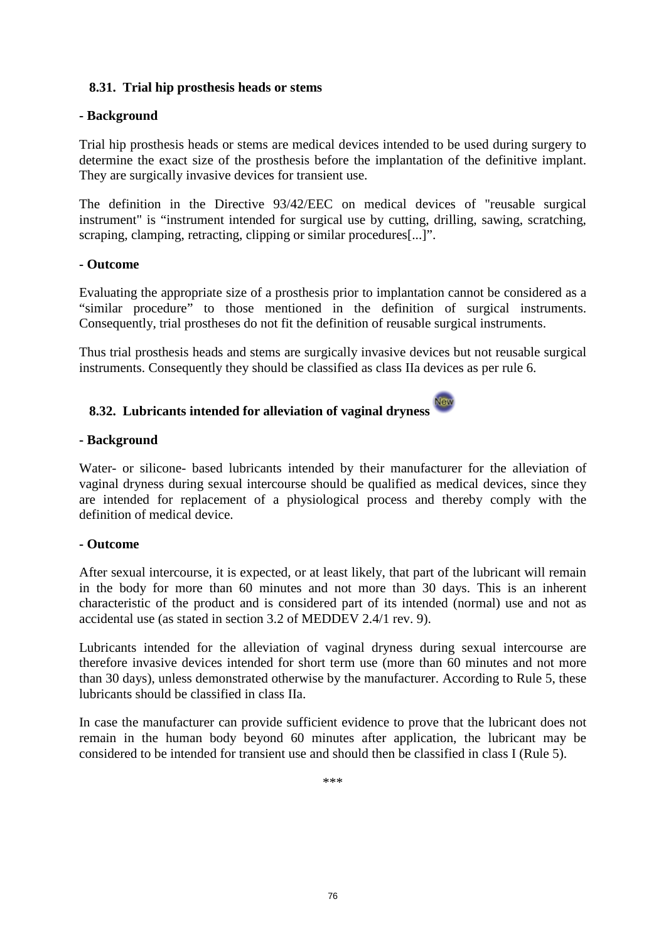#### <span id="page-75-1"></span>**8.31. Trial hip prosthesis heads or stems**

#### **- Background**

Trial hip prosthesis heads or stems are medical devices intended to be used during surgery to determine the exact size of the prosthesis before the implantation of the definitive implant. They are surgically invasive devices for transient use.

The definition in the Directive 93/42/EEC on medical devices of "reusable surgical instrument" is "instrument intended for surgical use by cutting, drilling, sawing, scratching, scraping, clamping, retracting, clipping or similar procedures[...]".

#### **- Outcome**

Evaluating the appropriate size of a prosthesis prior to implantation cannot be considered as a "similar procedure" to those mentioned in the definition of surgical instruments. Consequently, trial prostheses do not fit the definition of reusable surgical instruments.

Thus trial prosthesis heads and stems are surgically invasive devices but not reusable surgical instruments. Consequently they should be classified as class IIa devices as per rule 6.

#### <span id="page-75-0"></span>**8.32. Lubricants intended for alleviation of vaginal dryness**

#### **- Background**

Water- or silicone- based lubricants intended by their manufacturer for the alleviation of vaginal dryness during sexual intercourse should be qualified as medical devices, since they are intended for replacement of a physiological process and thereby comply with the definition of medical device.

#### **- Outcome**

After sexual intercourse, it is expected, or at least likely, that part of the lubricant will remain in the body for more than 60 minutes and not more than 30 days. This is an inherent characteristic of the product and is considered part of its intended (normal) use and not as accidental use (as stated in section 3.2 of MEDDEV 2.4/1 rev. 9).

Lubricants intended for the alleviation of vaginal dryness during sexual intercourse are therefore invasive devices intended for short term use (more than 60 minutes and not more than 30 days), unless demonstrated otherwise by the manufacturer. According to Rule 5, these lubricants should be classified in class IIa.

In case the manufacturer can provide sufficient evidence to prove that the lubricant does not remain in the human body beyond 60 minutes after application, the lubricant may be considered to be intended for transient use and should then be classified in class I (Rule 5).

\*\*\*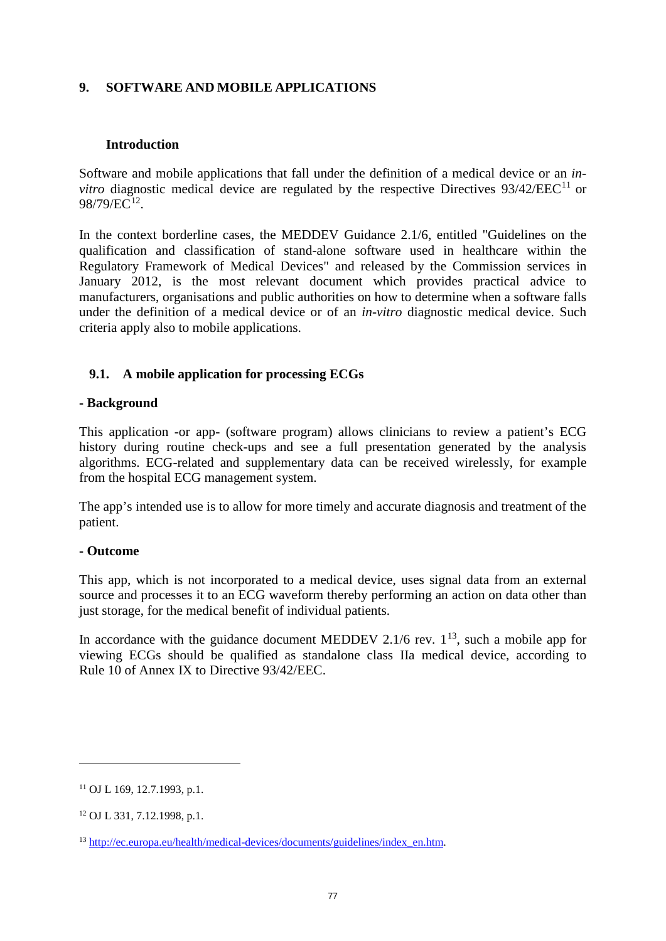#### **9. SOFTWARE AND MOBILE APPLICATIONS**

#### **Introduction**

Software and mobile applications that fall under the definition of a medical device or an *invitro* diagnostic medical device are regulated by the respective Directives 93/42/EEC<sup>[11](#page-76-0)</sup> or 98/79/EC[12.](#page-76-1)

In the context borderline cases, the MEDDEV Guidance 2.1/6, entitled "Guidelines on the qualification and classification of stand-alone software used in healthcare within the Regulatory Framework of Medical Devices" and released by the Commission services in January 2012, is the most relevant document which provides practical advice to manufacturers, organisations and public authorities on how to determine when a software falls under the definition of a medical device or of an *in-vitro* diagnostic medical device. Such criteria apply also to mobile applications.

#### <span id="page-76-3"></span>**9.1. A mobile application for processing ECGs**

#### **- Background**

This application -or app- (software program) allows clinicians to review a patient's ECG history during routine check-ups and see a full presentation generated by the analysis algorithms. ECG-related and supplementary data can be received wirelessly, for example from the hospital ECG management system.

The app's intended use is to allow for more timely and accurate diagnosis and treatment of the patient.

#### **- Outcome**

This app, which is not incorporated to a medical device, uses signal data from an external source and processes it to an ECG waveform thereby performing an action on data other than just storage, for the medical benefit of individual patients.

In accordance with the guidance document MEDDEV 2.1/6 rev.  $1^{13}$  $1^{13}$  $1^{13}$ , such a mobile app for viewing ECGs should be qualified as standalone class IIa medical device, according to Rule 10 of Annex IX to Directive 93/42/EEC.

 $\overline{a}$ 

<span id="page-76-0"></span><sup>11</sup> OJ L 169, 12.7.1993, p.1.

<span id="page-76-1"></span><sup>12</sup> OJ L 331, 7.12.1998, p.1.

<span id="page-76-2"></span><sup>13</sup> [http://ec.europa.eu/health/medical-devices/documents/guidelines/index\\_en.htm.](http://ec.europa.eu/health/medical-devices/documents/guidelines/index_en.htm)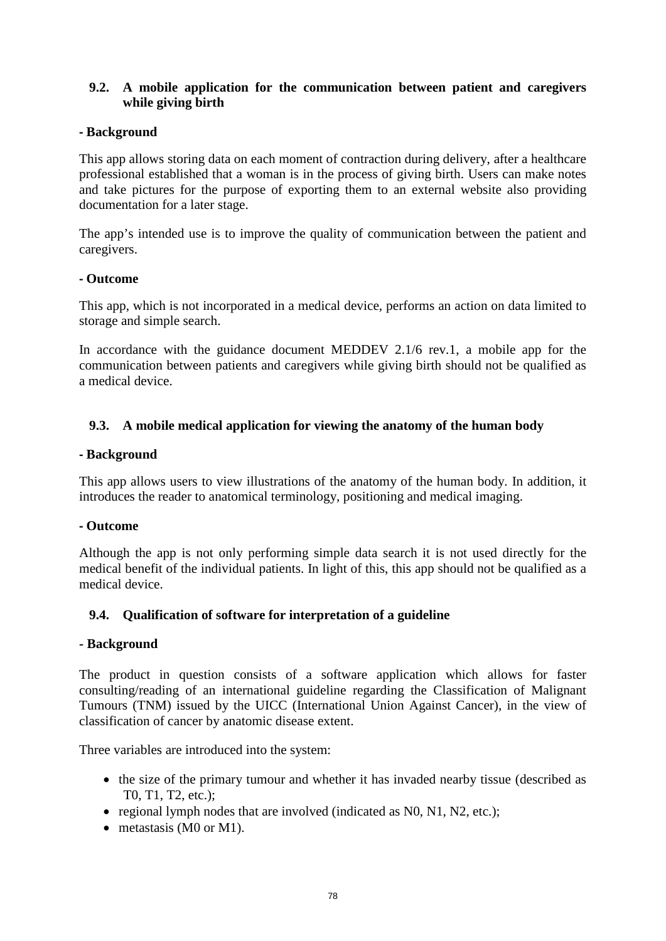#### <span id="page-77-0"></span>**9.2. A mobile application for the communication between patient and caregivers while giving birth**

#### **- Background**

This app allows storing data on each moment of contraction during delivery, after a healthcare professional established that a woman is in the process of giving birth. Users can make notes and take pictures for the purpose of exporting them to an external website also providing documentation for a later stage.

The app's intended use is to improve the quality of communication between the patient and caregivers.

#### **- Outcome**

This app, which is not incorporated in a medical device, performs an action on data limited to storage and simple search.

In accordance with the guidance document MEDDEV 2.1/6 rev.1, a mobile app for the communication between patients and caregivers while giving birth should not be qualified as a medical device.

#### <span id="page-77-1"></span>**9.3. A mobile medical application for viewing the anatomy of the human body**

#### **- Background**

This app allows users to view illustrations of the anatomy of the human body. In addition, it introduces the reader to anatomical terminology, positioning and medical imaging.

#### **- Outcome**

Although the app is not only performing simple data search it is not used directly for the medical benefit of the individual patients. In light of this, this app should not be qualified as a medical device.

#### **9.4. Qualification of software for interpretation of a guideline**

#### **- Background**

The product in question consists of a software application which allows for faster consulting/reading of an international guideline regarding the Classification of Malignant Tumours (TNM) issued by the UICC (International Union Against Cancer), in the view of classification of cancer by anatomic disease extent.

Three variables are introduced into the system:

- the size of the primary tumour and whether it has invaded nearby tissue (described as T0, T1, T2, etc.);
- regional lymph nodes that are involved (indicated as N0, N1, N2, etc.);
- metastasis (M0 or M1).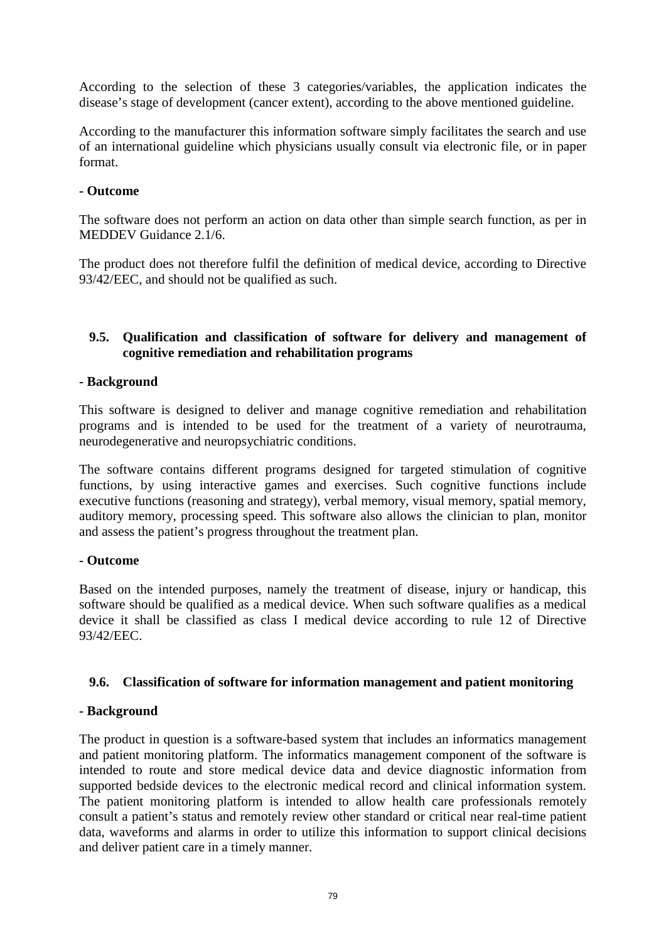According to the selection of these 3 categories/variables, the application indicates the disease's stage of development (cancer extent), according to the above mentioned guideline.

According to the manufacturer this information software simply facilitates the search and use of an international guideline which physicians usually consult via electronic file, or in paper format.

#### **- Outcome**

The software does not perform an action on data other than simple search function, as per in MEDDEV Guidance 2.1/6.

The product does not therefore fulfil the definition of medical device, according to Directive 93/42/EEC, and should not be qualified as such.

#### **9.5. Qualification and classification of software for delivery and management of cognitive remediation and rehabilitation programs**

#### **- Background**

This software is designed to deliver and manage cognitive remediation and rehabilitation programs and is intended to be used for the treatment of a variety of neurotrauma, neurodegenerative and neuropsychiatric conditions.

The software contains different [programs](http://ie.scientificbraintrainingpro.eu/programs#programs) designed for targeted stimulation of cognitive functions, by using interactive games and exercises. Such cognitive functions include executive functions (reasoning and strategy), verbal memory, visual memory, spatial memory, auditory memory, processing speed. This software also allows the clinician to plan, monitor and assess the patient's progress throughout the treatment plan.

#### **- Outcome**

Based on the intended purposes, namely the treatment of disease, injury or handicap, this software should be qualified as a medical device. When such software qualifies as a medical device it shall be classified as class I medical device according to rule 12 of Directive 93/42/EEC.

#### **9.6. Classification of software for information management and patient monitoring**

#### **- Background**

The product in question is a software-based system that includes an informatics management and patient monitoring platform. The informatics management component of the software is intended to route and store medical device data and device diagnostic information from supported bedside devices to the electronic medical record and clinical information system. The patient monitoring platform is intended to allow health care professionals remotely consult a patient's status and remotely review other standard or critical near real-time patient data, waveforms and alarms in order to utilize this information to support clinical decisions and deliver patient care in a timely manner.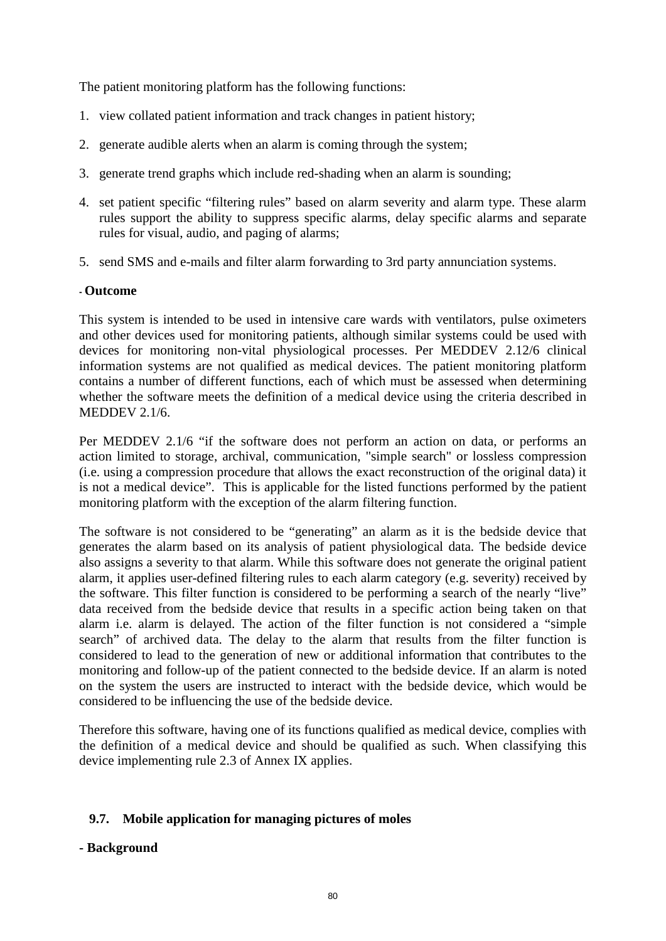The patient monitoring platform has the following functions:

- 1. view collated patient information and track changes in patient history;
- 2. generate audible alerts when an alarm is coming through the system;
- 3. generate trend graphs which include red-shading when an alarm is sounding;
- 4. set patient specific "filtering rules" based on alarm severity and alarm type. These alarm rules support the ability to suppress specific alarms, delay specific alarms and separate rules for visual, audio, and paging of alarms;
- 5. send SMS and e-mails and filter alarm forwarding to 3rd party annunciation systems.

#### **- Outcome**

This system is intended to be used in intensive care wards with ventilators, pulse oximeters and other devices used for monitoring patients, although similar systems could be used with devices for monitoring non-vital physiological processes. Per MEDDEV 2.12/6 clinical information systems are not qualified as medical devices. The patient monitoring platform contains a number of different functions, each of which must be assessed when determining whether the software meets the definition of a medical device using the criteria described in MEDDEV 2.1/6.

Per MEDDEV 2.1/6 "if the software does not perform an action on data, or performs an action limited to storage, archival, communication, "simple search" or lossless compression (i.e. using a compression procedure that allows the exact reconstruction of the original data) it is not a medical device". This is applicable for the listed functions performed by the patient monitoring platform with the exception of the alarm filtering function.

The software is not considered to be "generating" an alarm as it is the bedside device that generates the alarm based on its analysis of patient physiological data. The bedside device also assigns a severity to that alarm. While this software does not generate the original patient alarm, it applies user-defined filtering rules to each alarm category (e.g. severity) received by the software. This filter function is considered to be performing a search of the nearly "live" data received from the bedside device that results in a specific action being taken on that alarm i.e. alarm is delayed. The action of the filter function is not considered a "simple search" of archived data. The delay to the alarm that results from the filter function is considered to lead to the generation of new or additional information that contributes to the monitoring and follow-up of the patient connected to the bedside device. If an alarm is noted on the system the users are instructed to interact with the bedside device, which would be considered to be influencing the use of the bedside device.

Therefore this software, having one of its functions qualified as medical device, complies with the definition of a medical device and should be qualified as such. When classifying this device implementing rule 2.3 of Annex IX applies.

#### <span id="page-79-0"></span>**9.7. Mobile application for managing pictures of moles**

#### **- Background**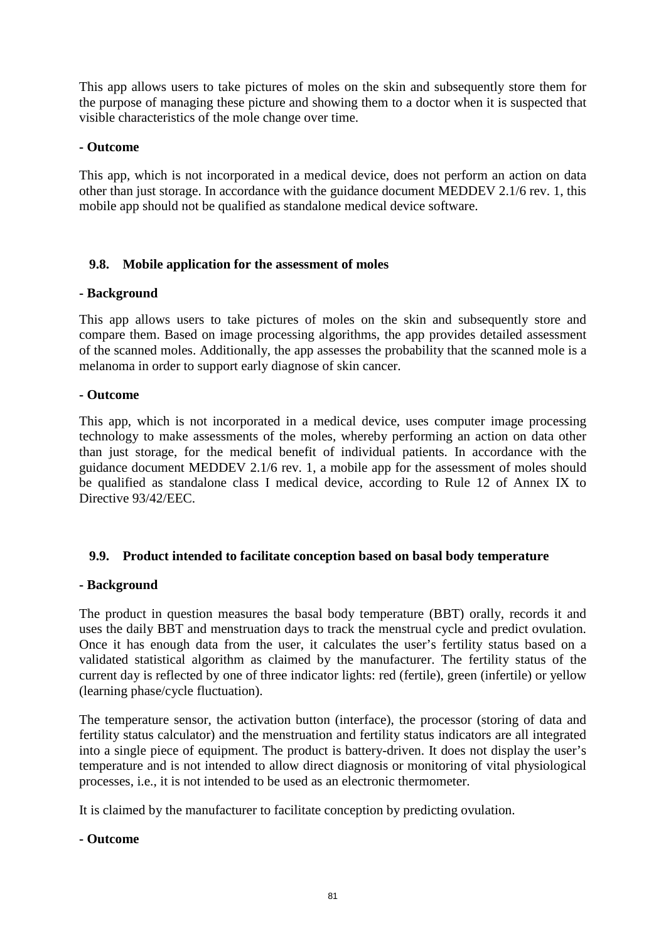This app allows users to take pictures of moles on the skin and subsequently store them for the purpose of managing these picture and showing them to a doctor when it is suspected that visible characteristics of the mole change over time.

#### **- Outcome**

This app, which is not incorporated in a medical device, does not perform an action on data other than just storage. In accordance with the guidance document MEDDEV 2.1/6 rev. 1, this mobile app should not be qualified as standalone medical device software.

#### <span id="page-80-0"></span>**9.8. Mobile application for the assessment of moles**

#### **- Background**

This app allows users to take pictures of moles on the skin and subsequently store and compare them. Based on image processing algorithms, the app provides detailed assessment of the scanned moles. Additionally, the app assesses the probability that the scanned mole is a melanoma in order to support early diagnose of skin cancer.

#### **- Outcome**

This app, which is not incorporated in a medical device, uses computer image processing technology to make assessments of the moles, whereby performing an action on data other than just storage, for the medical benefit of individual patients. In accordance with the guidance document MEDDEV 2.1/6 rev. 1, a mobile app for the assessment of moles should be qualified as standalone class I medical device, according to Rule 12 of Annex IX to Directive 93/42/EEC.

#### <span id="page-80-1"></span>**9.9. Product intended to facilitate conception based on basal body temperature**

#### **- Background**

The product in question measures the basal body temperature (BBT) orally, records it and uses the daily BBT and menstruation days to track the menstrual cycle and predict ovulation. Once it has enough data from the user, it calculates the user's fertility status based on a validated statistical algorithm as claimed by the manufacturer. The fertility status of the current day is reflected by one of three indicator lights: red (fertile), green (infertile) or yellow (learning phase/cycle fluctuation).

The temperature sensor, the activation button (interface), the processor (storing of data and fertility status calculator) and the menstruation and fertility status indicators are all integrated into a single piece of equipment. The product is battery-driven. It does not display the user's temperature and is not intended to allow direct diagnosis or monitoring of vital physiological processes, i.e., it is not intended to be used as an electronic thermometer.

It is claimed by the manufacturer to facilitate conception by predicting ovulation.

#### **- Outcome**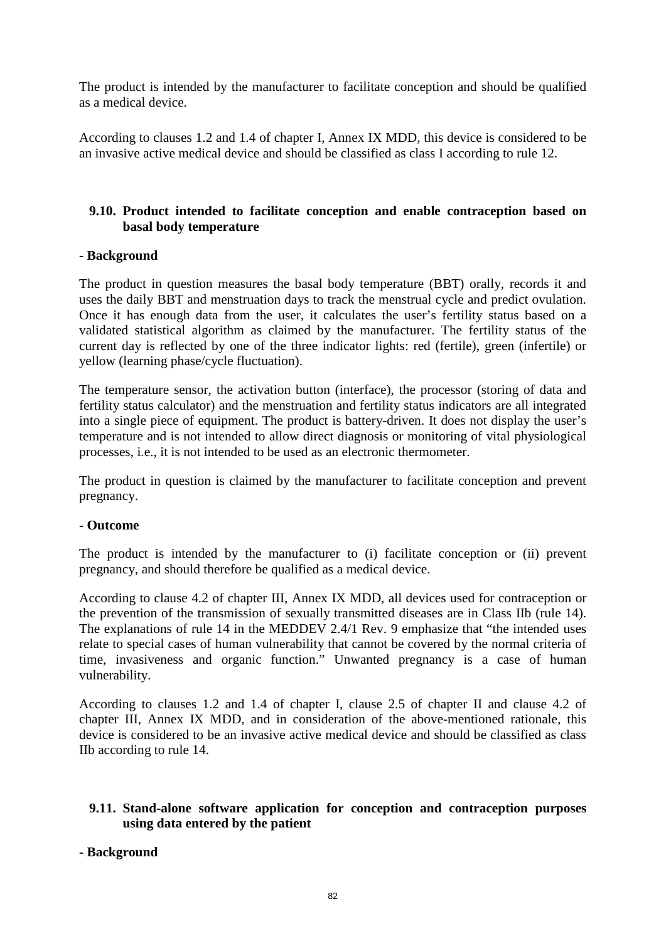The product is intended by the manufacturer to facilitate conception and should be qualified as a medical device.

According to clauses 1.2 and 1.4 of chapter I, Annex IX MDD, this device is considered to be an invasive active medical device and should be classified as class I according to rule 12.

#### <span id="page-81-0"></span>**9.10. Product intended to facilitate conception and enable contraception based on basal body temperature**

#### **- Background**

The product in question measures the basal body temperature (BBT) orally, records it and uses the daily BBT and menstruation days to track the menstrual cycle and predict ovulation. Once it has enough data from the user, it calculates the user's fertility status based on a validated statistical algorithm as claimed by the manufacturer. The fertility status of the current day is reflected by one of the three indicator lights: red (fertile), green (infertile) or yellow (learning phase/cycle fluctuation).

The temperature sensor, the activation button (interface), the processor (storing of data and fertility status calculator) and the menstruation and fertility status indicators are all integrated into a single piece of equipment. The product is battery-driven. It does not display the user's temperature and is not intended to allow direct diagnosis or monitoring of vital physiological processes, i.e., it is not intended to be used as an electronic thermometer.

The product in question is claimed by the manufacturer to facilitate conception and prevent pregnancy.

#### **- Outcome**

The product is intended by the manufacturer to (i) facilitate conception or (ii) prevent pregnancy, and should therefore be qualified as a medical device.

According to clause 4.2 of chapter III, Annex IX MDD, all devices used for contraception or the prevention of the transmission of sexually transmitted diseases are in Class IIb (rule 14). The explanations of rule 14 in the MEDDEV 2.4/1 Rev. 9 emphasize that "the intended uses relate to special cases of human vulnerability that cannot be covered by the normal criteria of time, invasiveness and organic function." Unwanted pregnancy is a case of human vulnerability.

According to clauses 1.2 and 1.4 of chapter I, clause 2.5 of chapter II and clause 4.2 of chapter III, Annex IX MDD, and in consideration of the above-mentioned rationale, this device is considered to be an invasive active medical device and should be classified as class IIb according to rule 14.

#### <span id="page-81-1"></span>**9.11. Stand-alone software application for conception and contraception purposes using data entered by the patient**

#### **- Background**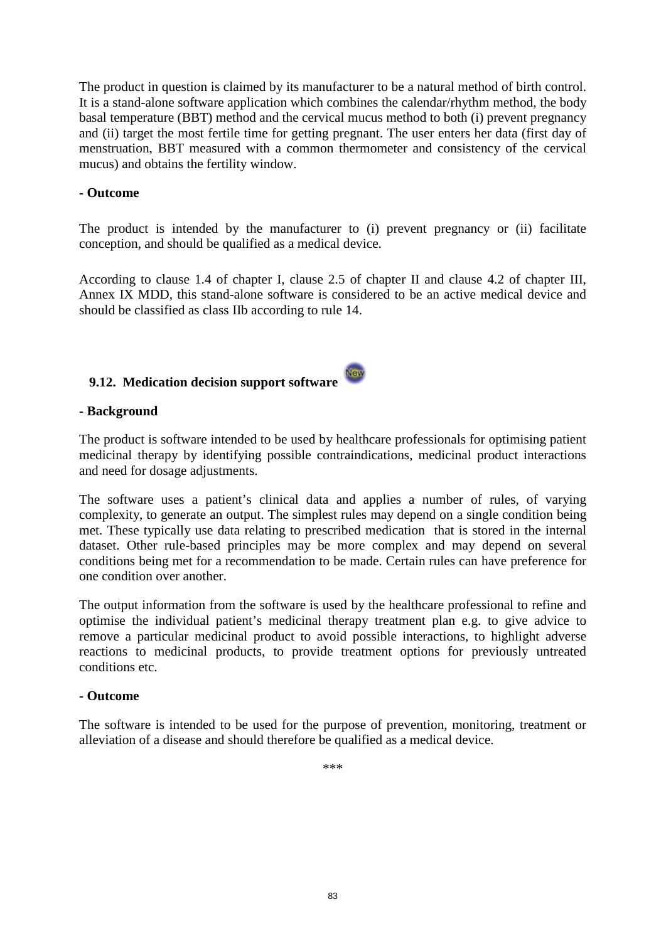The product in question is claimed by its manufacturer to be a natural method of birth control. It is a stand-alone software application which combines the calendar/rhythm method, the body basal temperature (BBT) method and the cervical mucus method to both (i) prevent pregnancy and (ii) target the most fertile time for getting pregnant. The user enters her data (first day of menstruation, BBT measured with a common thermometer and consistency of the cervical mucus) and obtains the fertility window.

#### **- Outcome**

The product is intended by the manufacturer to (i) prevent pregnancy or (ii) facilitate conception, and should be qualified as a medical device.

According to clause 1.4 of chapter I, clause 2.5 of chapter II and clause 4.2 of chapter III, Annex IX MDD, this stand-alone software is considered to be an active medical device and should be classified as class IIb according to rule 14.

#### <span id="page-82-0"></span>New **9.12. Medication decision support software**

#### **- Background**

The product is software intended to be used by healthcare professionals for optimising patient medicinal therapy by identifying possible contraindications, medicinal product interactions and need for dosage adjustments.

The software uses a patient's clinical data and applies a number of rules, of varying complexity, to generate an output. The simplest rules may depend on a single condition being met. These typically use data relating to prescribed medication that is stored in the internal dataset. Other rule-based principles may be more complex and may depend on several conditions being met for a recommendation to be made. Certain rules can have preference for one condition over another.

The output information from the software is used by the healthcare professional to refine and optimise the individual patient's medicinal therapy treatment plan e.g. to give advice to remove a particular medicinal product to avoid possible interactions, to highlight adverse reactions to medicinal products, to provide treatment options for previously untreated conditions etc.

#### **- Outcome**

The software is intended to be used for the purpose of prevention, monitoring, treatment or alleviation of a disease and should therefore be qualified as a medical device.

\*\*\*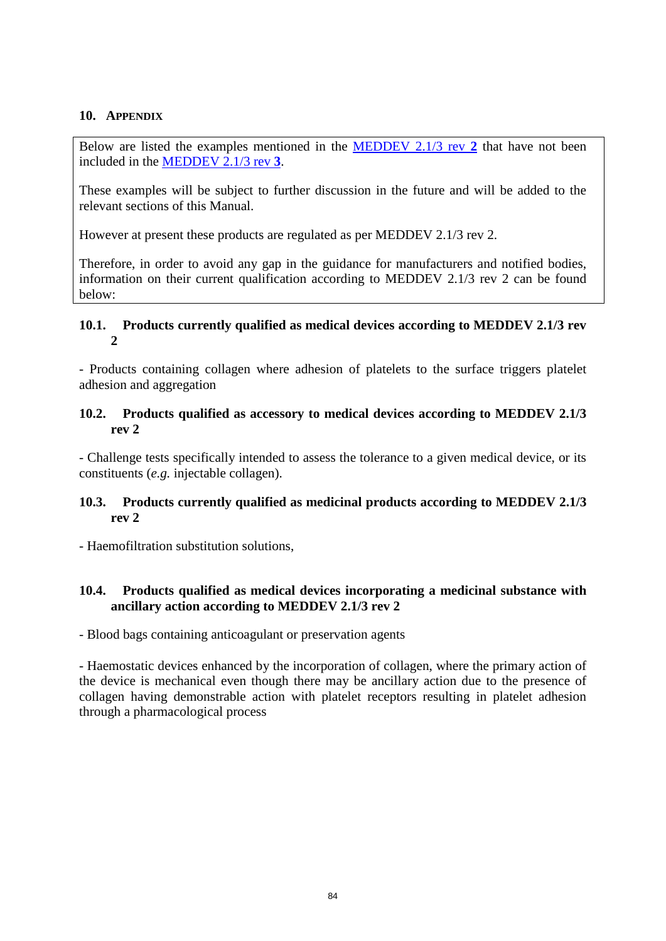#### **10. APPENDIX**

Below are listed the examples mentioned in the [MEDDEV 2.1/3 rev](http://ec.europa.eu/consumers/sectors/medical-devices/files/meddev/2_1_3____07-2001_en.pdf) **2** that have not been included in the [MEDDEV 2.1/3 rev](http://ec.europa.eu/consumers/sectors/medical-devices/files/meddev/2_1_3_rev_3-12_2009_en.pdf) **3**.

These examples will be subject to further discussion in the future and will be added to the relevant sections of this Manual.

However at present these products are regulated as per MEDDEV 2.1/3 rev 2.

Therefore, in order to avoid any gap in the guidance for manufacturers and notified bodies, information on their current qualification according to MEDDEV 2.1/3 rev 2 can be found below:

#### **10.1. Products currently qualified as medical devices according to MEDDEV 2.1/3 rev 2**

- Products containing collagen where adhesion of platelets to the surface triggers platelet adhesion and aggregation

#### **10.2. Products qualified as accessory to medical devices according to MEDDEV 2.1/3 rev 2**

- Challenge tests specifically intended to assess the tolerance to a given medical device, or its constituents (*e.g.* injectable collagen).

#### **10.3. Products currently qualified as medicinal products according to MEDDEV 2.1/3 rev 2**

- Haemofiltration substitution solutions,

#### **10.4. Products qualified as medical devices incorporating a medicinal substance with ancillary action according to MEDDEV 2.1/3 rev 2**

- Blood bags containing anticoagulant or preservation agents

- Haemostatic devices enhanced by the incorporation of collagen, where the primary action of the device is mechanical even though there may be ancillary action due to the presence of collagen having demonstrable action with platelet receptors resulting in platelet adhesion through a pharmacological process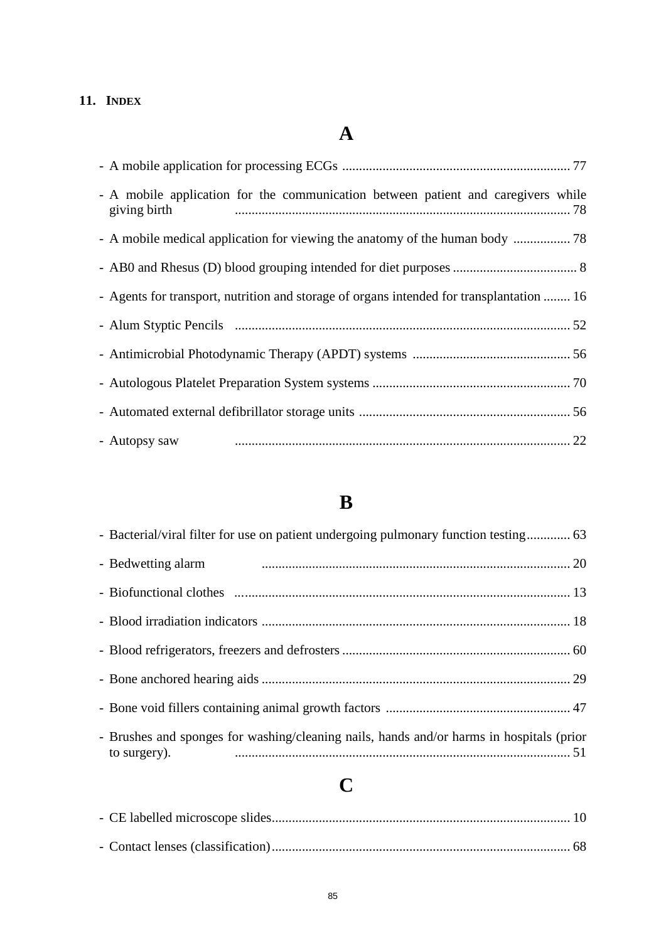### **11. INDEX**

### **A**

| - A mobile application for the communication between patient and caregivers while<br>giving birth |  |
|---------------------------------------------------------------------------------------------------|--|
|                                                                                                   |  |
|                                                                                                   |  |
| - Agents for transport, nutrition and storage of organs intended for transplantation  16          |  |
|                                                                                                   |  |
|                                                                                                   |  |
|                                                                                                   |  |
|                                                                                                   |  |
| - Autopsy saw                                                                                     |  |

### **B**

| - Bedwetting alarm                                                                                       |  |
|----------------------------------------------------------------------------------------------------------|--|
|                                                                                                          |  |
|                                                                                                          |  |
|                                                                                                          |  |
|                                                                                                          |  |
|                                                                                                          |  |
| - Brushes and sponges for washing/cleaning nails, hands and/or harms in hospitals (prior<br>to surgery). |  |

### **C**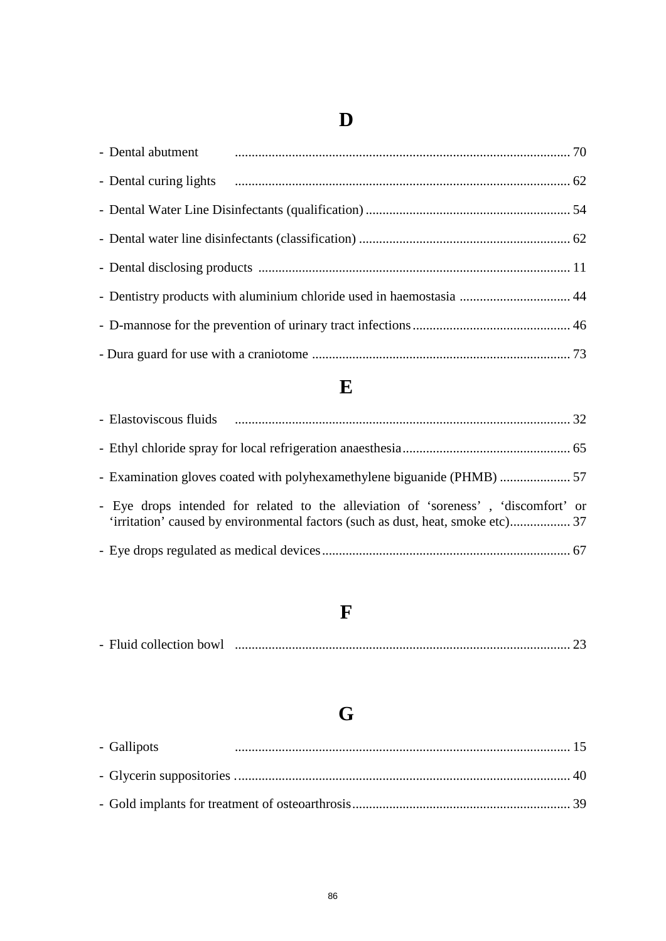### **D**

| - Dental abutment manufactured about the contract of the contract of the contract of the contract of the contract of the contract of the contract of the contract of the contract of the contract of the contract of the contr |  |
|--------------------------------------------------------------------------------------------------------------------------------------------------------------------------------------------------------------------------------|--|
|                                                                                                                                                                                                                                |  |
|                                                                                                                                                                                                                                |  |
|                                                                                                                                                                                                                                |  |
|                                                                                                                                                                                                                                |  |
| - Dentistry products with aluminium chloride used in haemostasia  44                                                                                                                                                           |  |
|                                                                                                                                                                                                                                |  |
|                                                                                                                                                                                                                                |  |

### **E**

| - Eye drops intended for related to the alleviation of 'soreness', 'discomfort' or |  |
|------------------------------------------------------------------------------------|--|
|                                                                                    |  |

### **F**

| - Fluid collection bowl |  |  |
|-------------------------|--|--|
|-------------------------|--|--|

## **G**

| - Gallipots |  |
|-------------|--|
|             |  |
|             |  |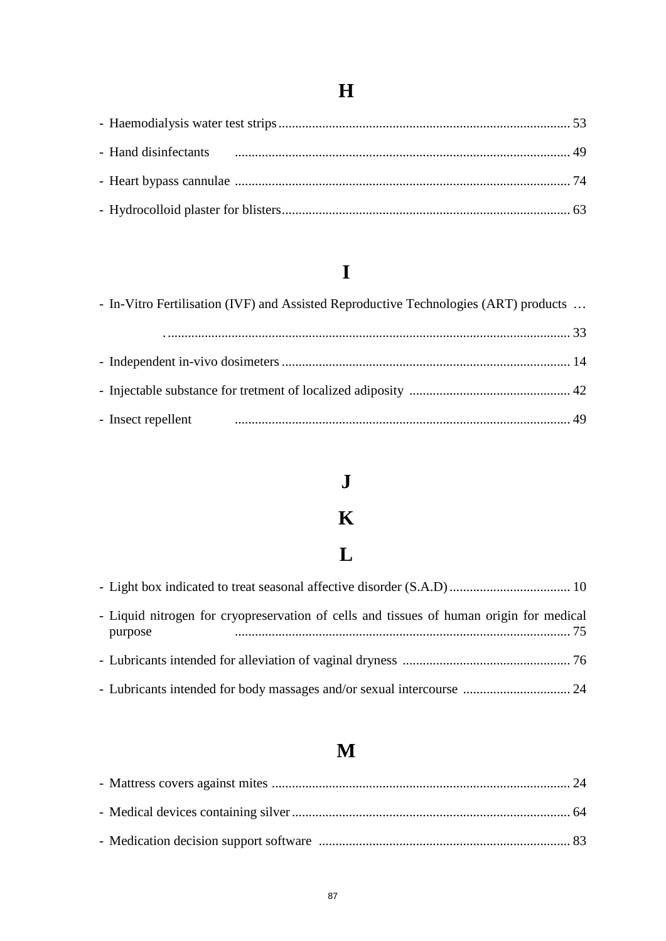### **H**

### **I**

| - In-Vitro Fertilisation (IVF) and Assisted Reproductive Technologies (ART) products |  |
|--------------------------------------------------------------------------------------|--|
|                                                                                      |  |
|                                                                                      |  |
|                                                                                      |  |
| - Insect repellent                                                                   |  |

### **J**

### **K**

## **L**

| - Liquid nitrogen for cryopreservation of cells and tissues of human origin for medical<br>purpose |  |
|----------------------------------------------------------------------------------------------------|--|
|                                                                                                    |  |
|                                                                                                    |  |

### **M**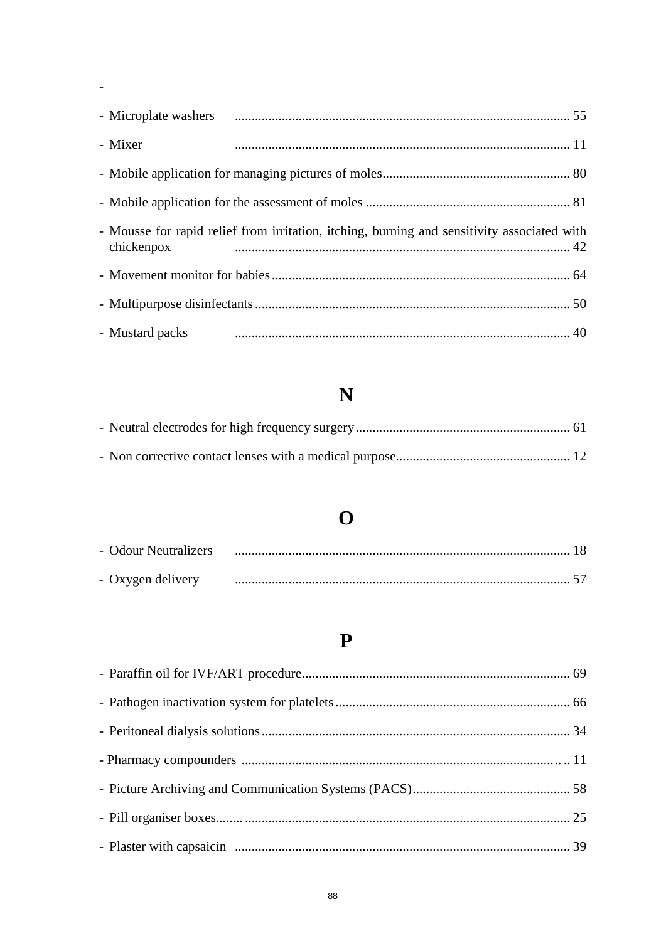| - Mixer    |                                                                                             |  |
|------------|---------------------------------------------------------------------------------------------|--|
|            |                                                                                             |  |
|            |                                                                                             |  |
| chickenpox | - Mousse for rapid relief from irritation, itching, burning and sensitivity associated with |  |
|            |                                                                                             |  |
|            |                                                                                             |  |
|            |                                                                                             |  |

 $\frac{1}{\sqrt{2}}$ 

### $\overline{\mathbf{N}}$

### $\overline{\mathbf{O}}$

| - Odour Neutralizers |  |
|----------------------|--|
| - Oxygen delivery    |  |

### $\mathbf P$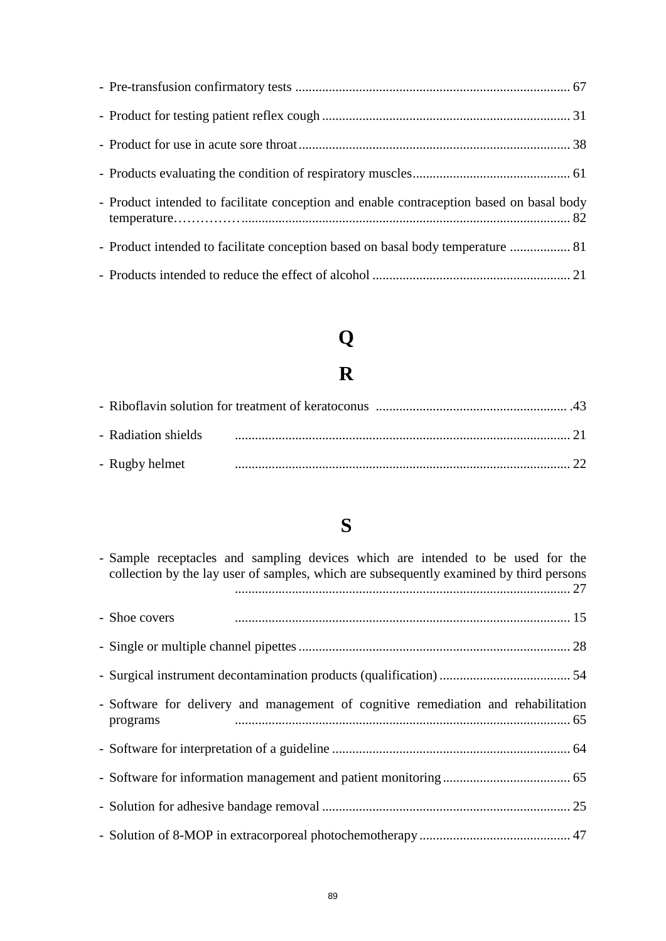| - Product intended to facilitate conception and enable contraception based on basal body |  |
|------------------------------------------------------------------------------------------|--|
| - Product intended to facilitate conception based on basal body temperature  81          |  |
|                                                                                          |  |

# **Q**

## **R**

| - Radiation shields |  |  |
|---------------------|--|--|
| - Rugby helmet      |  |  |

### **S**

| - Sample receptacles and sampling devices which are intended to be used for the<br>collection by the lay user of samples, which are subsequently examined by third persons |  |
|----------------------------------------------------------------------------------------------------------------------------------------------------------------------------|--|
| - Shoe covers                                                                                                                                                              |  |
|                                                                                                                                                                            |  |
|                                                                                                                                                                            |  |
| - Software for delivery and management of cognitive remediation and rehabilitation<br>programs                                                                             |  |
|                                                                                                                                                                            |  |
|                                                                                                                                                                            |  |
|                                                                                                                                                                            |  |
|                                                                                                                                                                            |  |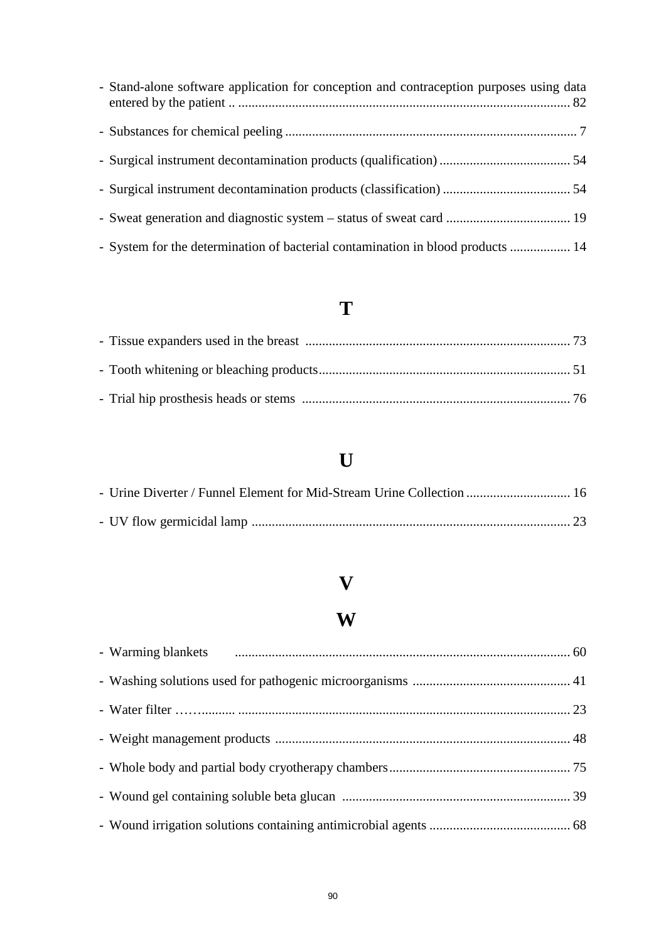| - Stand-alone software application for conception and contraception purposes using data |  |
|-----------------------------------------------------------------------------------------|--|
|                                                                                         |  |
|                                                                                         |  |
|                                                                                         |  |
|                                                                                         |  |
| - System for the determination of bacterial contamination in blood products  14         |  |

### **T**

### **U**

| - Urine Diverter / Funnel Element for Mid-Stream Urine Collection  16 |  |
|-----------------------------------------------------------------------|--|
|                                                                       |  |

### **V**

### **W**